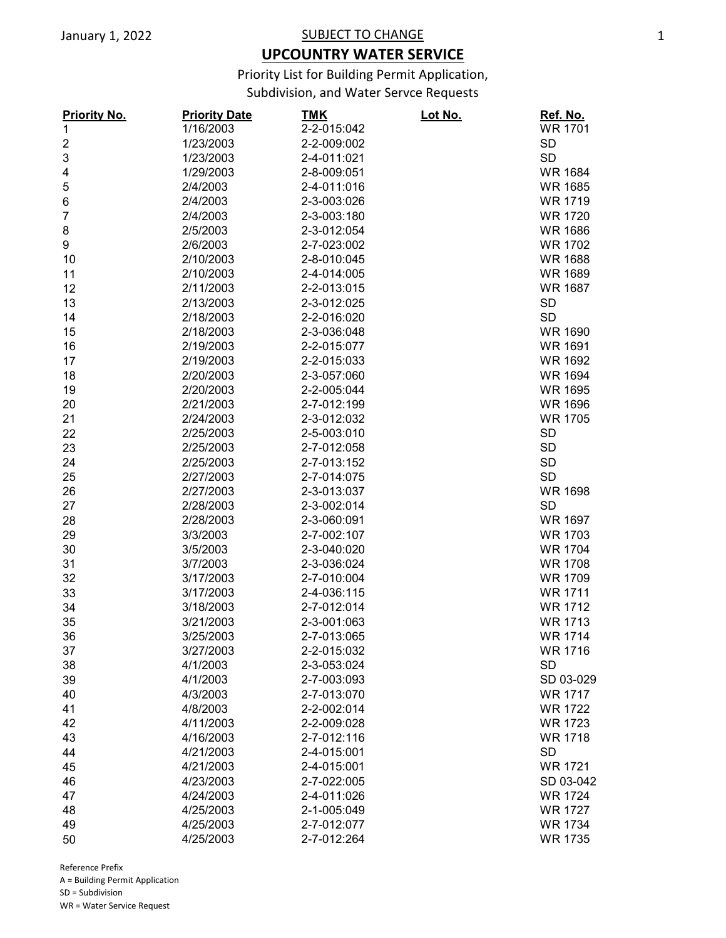## **UPCOUNTRY WATER SERVICE**

Priority List for Building Permit Application,

Subdivision, and Water Servce Requests

| <b>Priority No.</b>     | <b>Priority Date</b> | <u>TMK</u>  | Lot No. | <u>Ref. No.</u> |
|-------------------------|----------------------|-------------|---------|-----------------|
| $\mathbf{1}$            | 1/16/2003            | 2-2-015:042 |         | <b>WR 1701</b>  |
| $\overline{\mathbf{c}}$ | 1/23/2003            | 2-2-009:002 |         | <b>SD</b>       |
| 3                       | 1/23/2003            | 2-4-011:021 |         | <b>SD</b>       |
| 4                       | 1/29/2003            | 2-8-009:051 |         | <b>WR 1684</b>  |
| 5                       | 2/4/2003             | 2-4-011:016 |         | <b>WR 1685</b>  |
| 6                       | 2/4/2003             | 2-3-003:026 |         | <b>WR 1719</b>  |
| $\overline{7}$          | 2/4/2003             | 2-3-003:180 |         | <b>WR 1720</b>  |
| 8                       | 2/5/2003             | 2-3-012:054 |         | <b>WR 1686</b>  |
| 9                       | 2/6/2003             | 2-7-023:002 |         | <b>WR 1702</b>  |
| 10                      | 2/10/2003            | 2-8-010:045 |         | <b>WR 1688</b>  |
| 11                      | 2/10/2003            | 2-4-014:005 |         | <b>WR 1689</b>  |
| 12                      | 2/11/2003            | 2-2-013:015 |         | <b>WR 1687</b>  |
| 13                      | 2/13/2003            | 2-3-012:025 |         | <b>SD</b>       |
| 14                      | 2/18/2003            | 2-2-016:020 |         | <b>SD</b>       |
| 15                      | 2/18/2003            | 2-3-036:048 |         | <b>WR 1690</b>  |
| 16                      | 2/19/2003            | 2-2-015:077 |         | <b>WR 1691</b>  |
| 17                      | 2/19/2003            | 2-2-015:033 |         | <b>WR 1692</b>  |
| 18                      | 2/20/2003            | 2-3-057:060 |         | <b>WR 1694</b>  |
| 19                      | 2/20/2003            | 2-2-005:044 |         | <b>WR 1695</b>  |
| 20                      | 2/21/2003            | 2-7-012:199 |         | <b>WR 1696</b>  |
| 21                      | 2/24/2003            | 2-3-012:032 |         | <b>WR 1705</b>  |
| 22                      | 2/25/2003            | 2-5-003:010 |         | <b>SD</b>       |
| 23                      | 2/25/2003            | 2-7-012:058 |         | <b>SD</b>       |
| 24                      | 2/25/2003            | 2-7-013:152 |         | <b>SD</b>       |
| 25                      | 2/27/2003            | 2-7-014:075 |         | <b>SD</b>       |
| 26                      | 2/27/2003            | 2-3-013:037 |         | <b>WR 1698</b>  |
| 27                      | 2/28/2003            | 2-3-002:014 |         | <b>SD</b>       |
| 28                      | 2/28/2003            | 2-3-060:091 |         | <b>WR 1697</b>  |
| 29                      | 3/3/2003             | 2-7-002:107 |         | <b>WR 1703</b>  |
| 30                      | 3/5/2003             | 2-3-040:020 |         | <b>WR 1704</b>  |
| 31                      | 3/7/2003             | 2-3-036:024 |         | <b>WR 1708</b>  |
| 32                      | 3/17/2003            | 2-7-010:004 |         | <b>WR 1709</b>  |
| 33                      | 3/17/2003            | 2-4-036:115 |         | <b>WR 1711</b>  |
| 34                      | 3/18/2003            | 2-7-012:014 |         | <b>WR 1712</b>  |
| 35                      | 3/21/2003            | 2-3-001:063 |         | <b>WR 1713</b>  |
| 36                      | 3/25/2003            | 2-7-013:065 |         | <b>WR 1714</b>  |
| 37                      | 3/27/2003            | 2-2-015:032 |         | <b>WR 1716</b>  |
| 38                      | 4/1/2003             | 2-3-053:024 |         | <b>SD</b>       |
| 39                      | 4/1/2003             | 2-7-003:093 |         | SD 03-029       |
| 40                      | 4/3/2003             | 2-7-013:070 |         | <b>WR 1717</b>  |
| 41                      | 4/8/2003             | 2-2-002:014 |         | <b>WR 1722</b>  |
| 42                      | 4/11/2003            | 2-2-009:028 |         | <b>WR 1723</b>  |
| 43                      | 4/16/2003            | 2-7-012:116 |         | <b>WR 1718</b>  |
|                         | 4/21/2003            |             |         | <b>SD</b>       |
| 44                      |                      | 2-4-015:001 |         |                 |
| 45                      | 4/21/2003            | 2-4-015:001 |         | <b>WR 1721</b>  |
| 46                      | 4/23/2003            | 2-7-022:005 |         | SD 03-042       |
| 47                      | 4/24/2003            | 2-4-011:026 |         | <b>WR 1724</b>  |
| 48                      | 4/25/2003            | 2-1-005:049 |         | <b>WR 1727</b>  |
| 49                      | 4/25/2003            | 2-7-012:077 |         | <b>WR 1734</b>  |
| 50                      | 4/25/2003            | 2-7-012:264 |         | <b>WR 1735</b>  |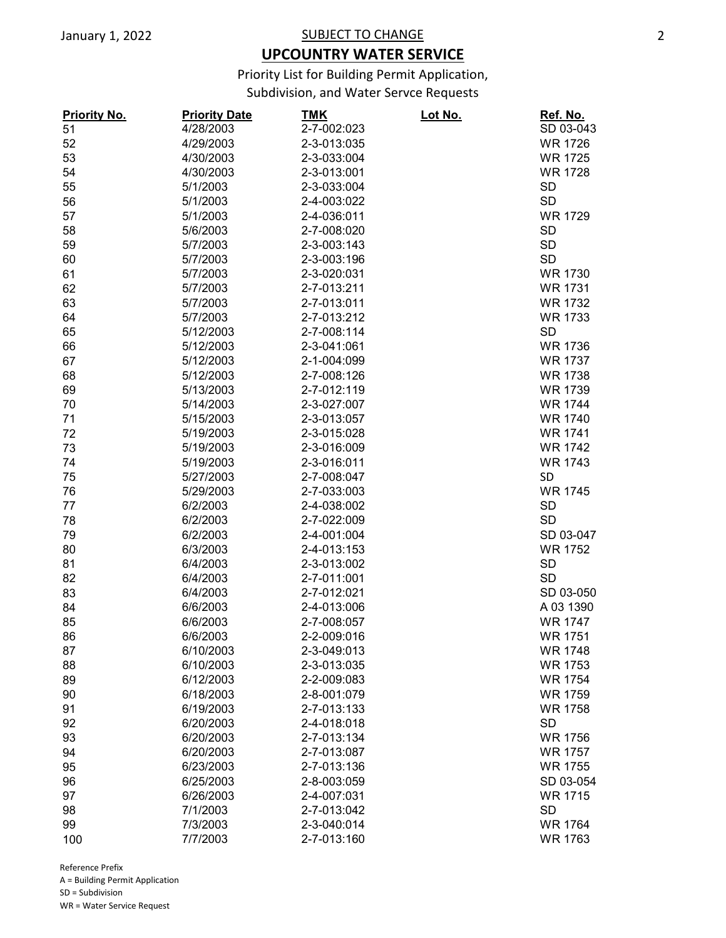## **UPCOUNTRY WATER SERVICE**

Priority List for Building Permit Application,

Subdivision, and Water Servce Requests

| <b>Priority No.</b> | <b>Priority Date</b> | <b>TMK</b>  | Lot No. | Ref. No.       |
|---------------------|----------------------|-------------|---------|----------------|
| 51                  | 4/28/2003            | 2-7-002:023 |         | SD 03-043      |
| 52                  | 4/29/2003            | 2-3-013:035 |         | <b>WR 1726</b> |
| 53                  | 4/30/2003            | 2-3-033:004 |         | <b>WR 1725</b> |
| 54                  | 4/30/2003            | 2-3-013:001 |         | <b>WR 1728</b> |
| 55                  | 5/1/2003             | 2-3-033:004 |         | <b>SD</b>      |
| 56                  | 5/1/2003             | 2-4-003:022 |         | <b>SD</b>      |
| 57                  | 5/1/2003             | 2-4-036:011 |         | <b>WR 1729</b> |
| 58                  | 5/6/2003             | 2-7-008:020 |         | <b>SD</b>      |
| 59                  | 5/7/2003             | 2-3-003:143 |         | <b>SD</b>      |
| 60                  | 5/7/2003             | 2-3-003:196 |         | <b>SD</b>      |
| 61                  | 5/7/2003             | 2-3-020:031 |         | WR 1730        |
| 62                  | 5/7/2003             | 2-7-013:211 |         | <b>WR 1731</b> |
| 63                  | 5/7/2003             | 2-7-013:011 |         | <b>WR 1732</b> |
| 64                  | 5/7/2003             | 2-7-013:212 |         | <b>WR 1733</b> |
| 65                  | 5/12/2003            | 2-7-008:114 |         | <b>SD</b>      |
| 66                  | 5/12/2003            | 2-3-041:061 |         | <b>WR 1736</b> |
| 67                  | 5/12/2003            | 2-1-004:099 |         | <b>WR 1737</b> |
| 68                  | 5/12/2003            | 2-7-008:126 |         | <b>WR 1738</b> |
| 69                  | 5/13/2003            | 2-7-012:119 |         | <b>WR 1739</b> |
| 70                  | 5/14/2003            | 2-3-027:007 |         | <b>WR 1744</b> |
|                     | 5/15/2003            | 2-3-013:057 |         | <b>WR 1740</b> |
| 71                  | 5/19/2003            | 2-3-015:028 |         | <b>WR 1741</b> |
| 72                  |                      |             |         | <b>WR 1742</b> |
| 73                  | 5/19/2003            | 2-3-016:009 |         |                |
| 74                  | 5/19/2003            | 2-3-016:011 |         | <b>WR 1743</b> |
| 75                  | 5/27/2003            | 2-7-008:047 |         | SD             |
| 76                  | 5/29/2003            | 2-7-033:003 |         | <b>WR 1745</b> |
| 77                  | 6/2/2003             | 2-4-038:002 |         | <b>SD</b>      |
| 78                  | 6/2/2003             | 2-7-022:009 |         | <b>SD</b>      |
| 79                  | 6/2/2003             | 2-4-001:004 |         | SD 03-047      |
| 80                  | 6/3/2003             | 2-4-013:153 |         | <b>WR 1752</b> |
| 81                  | 6/4/2003             | 2-3-013:002 |         | <b>SD</b>      |
| 82                  | 6/4/2003             | 2-7-011:001 |         | <b>SD</b>      |
| 83                  | 6/4/2003             | 2-7-012:021 |         | SD 03-050      |
| 84                  | 6/6/2003             | 2-4-013:006 |         | A 03 1390      |
| 85                  | 6/6/2003             | 2-7-008:057 |         | <b>WR 1747</b> |
| 86                  | 6/6/2003             | 2-2-009:016 |         | <b>WR 1751</b> |
| 87                  | 6/10/2003            | 2-3-049:013 |         | <b>WR 1748</b> |
| 88                  | 6/10/2003            | 2-3-013:035 |         | <b>WR 1753</b> |
| 89                  | 6/12/2003            | 2-2-009:083 |         | <b>WR 1754</b> |
| 90                  | 6/18/2003            | 2-8-001:079 |         | <b>WR 1759</b> |
| 91                  | 6/19/2003            | 2-7-013:133 |         | <b>WR 1758</b> |
| 92                  | 6/20/2003            | 2-4-018:018 |         | <b>SD</b>      |
| 93                  | 6/20/2003            | 2-7-013:134 |         | <b>WR 1756</b> |
| 94                  | 6/20/2003            | 2-7-013:087 |         | <b>WR 1757</b> |
| 95                  | 6/23/2003            | 2-7-013:136 |         | <b>WR 1755</b> |
| 96                  | 6/25/2003            | 2-8-003:059 |         | SD 03-054      |
| 97                  | 6/26/2003            | 2-4-007:031 |         | <b>WR 1715</b> |
| 98                  | 7/1/2003             | 2-7-013:042 |         | <b>SD</b>      |
| 99                  | 7/3/2003             | 2-3-040:014 |         | <b>WR 1764</b> |
| 100                 | 7/7/2003             | 2-7-013:160 |         | WR 1763        |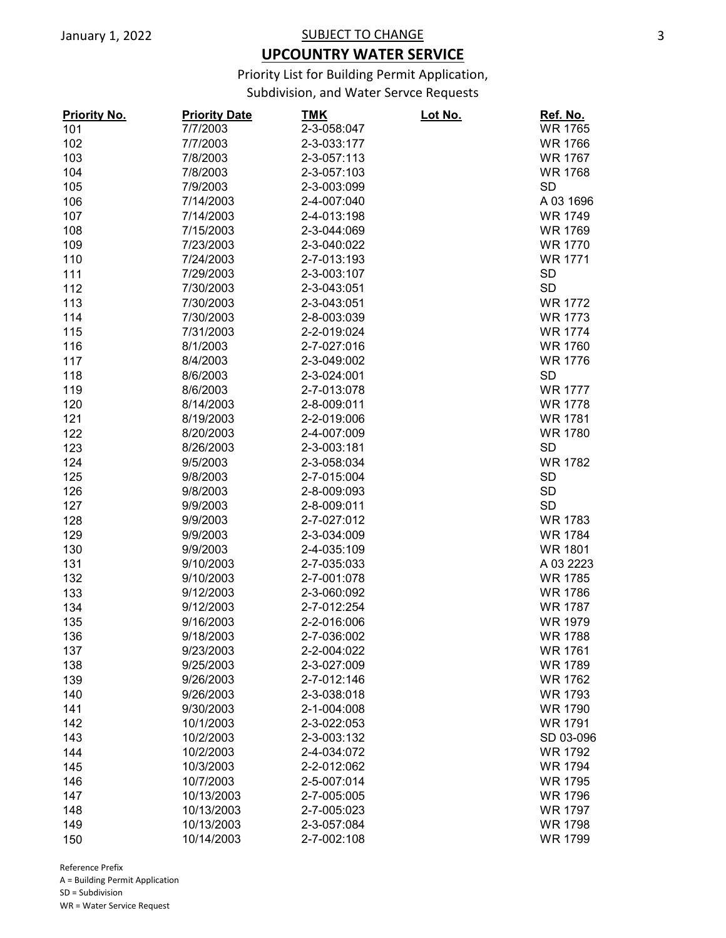## **UPCOUNTRY WATER SERVICE**

Priority List for Building Permit Application,

Subdivision, and Water Servce Requests

| <b>Priority No.</b> | <b>Priority Date</b> | <u>TMK</u>  | <u>Lot No.</u> | Ref. No.       |
|---------------------|----------------------|-------------|----------------|----------------|
| 101                 | 7/7/2003             | 2-3-058:047 |                | <b>WR 1765</b> |
| 102                 | 7/7/2003             | 2-3-033:177 |                | <b>WR 1766</b> |
| 103                 | 7/8/2003             | 2-3-057:113 |                | <b>WR 1767</b> |
| 104                 | 7/8/2003             | 2-3-057:103 |                | <b>WR 1768</b> |
| 105                 | 7/9/2003             | 2-3-003:099 |                | <b>SD</b>      |
| 106                 | 7/14/2003            | 2-4-007:040 |                | A 03 1696      |
| 107                 | 7/14/2003            | 2-4-013:198 |                | <b>WR 1749</b> |
| 108                 | 7/15/2003            | 2-3-044:069 |                | <b>WR 1769</b> |
| 109                 | 7/23/2003            | 2-3-040:022 |                | <b>WR 1770</b> |
| 110                 | 7/24/2003            | 2-7-013:193 |                | <b>WR 1771</b> |
| 111                 | 7/29/2003            | 2-3-003:107 |                | <b>SD</b>      |
| 112                 | 7/30/2003            | 2-3-043:051 |                | <b>SD</b>      |
| 113                 | 7/30/2003            | 2-3-043:051 |                | <b>WR 1772</b> |
| 114                 | 7/30/2003            | 2-8-003:039 |                | <b>WR 1773</b> |
| 115                 | 7/31/2003            | 2-2-019:024 |                | <b>WR 1774</b> |
| 116                 | 8/1/2003             | 2-7-027:016 |                | <b>WR 1760</b> |
| 117                 | 8/4/2003             | 2-3-049:002 |                | <b>WR 1776</b> |
| 118                 | 8/6/2003             | 2-3-024:001 |                | <b>SD</b>      |
| 119                 | 8/6/2003             | 2-7-013:078 |                | <b>WR 1777</b> |
| 120                 | 8/14/2003            | 2-8-009:011 |                | <b>WR 1778</b> |
| 121                 | 8/19/2003            | 2-2-019:006 |                | <b>WR 1781</b> |
| 122                 | 8/20/2003            | 2-4-007:009 |                | <b>WR 1780</b> |
| 123                 | 8/26/2003            | 2-3-003:181 |                | <b>SD</b>      |
| 124                 | 9/5/2003             | 2-3-058:034 |                | <b>WR 1782</b> |
| 125                 | 9/8/2003             | 2-7-015:004 |                | <b>SD</b>      |
| 126                 | 9/8/2003             | 2-8-009:093 |                | <b>SD</b>      |
| 127                 | 9/9/2003             | 2-8-009:011 |                | <b>SD</b>      |
| 128                 | 9/9/2003             | 2-7-027:012 |                | <b>WR 1783</b> |
| 129                 | 9/9/2003             | 2-3-034:009 |                | <b>WR 1784</b> |
| 130                 | 9/9/2003             | 2-4-035:109 |                | <b>WR 1801</b> |
| 131                 | 9/10/2003            | 2-7-035:033 |                | A 03 2223      |
| 132                 | 9/10/2003            | 2-7-001:078 |                | <b>WR 1785</b> |
| 133                 | 9/12/2003            | 2-3-060:092 |                | <b>WR 1786</b> |
| 134                 | 9/12/2003            | 2-7-012:254 |                | <b>WR 1787</b> |
| 135                 | 9/16/2003            | 2-2-016:006 |                | <b>WR 1979</b> |
| 136                 | 9/18/2003            | 2-7-036:002 |                | <b>WR 1788</b> |
| 137                 | 9/23/2003            | 2-2-004:022 |                | <b>WR 1761</b> |
| 138                 | 9/25/2003            | 2-3-027:009 |                | <b>WR 1789</b> |
| 139                 | 9/26/2003            | 2-7-012:146 |                | <b>WR 1762</b> |
| 140                 | 9/26/2003            | 2-3-038:018 |                | <b>WR 1793</b> |
| 141                 | 9/30/2003            | 2-1-004:008 |                | <b>WR 1790</b> |
| 142                 | 10/1/2003            | 2-3-022:053 |                | <b>WR 1791</b> |
| 143                 | 10/2/2003            | 2-3-003:132 |                | SD 03-096      |
|                     |                      | 2-4-034:072 |                | <b>WR 1792</b> |
| 144                 | 10/2/2003            |             |                |                |
| 145                 | 10/3/2003            | 2-2-012:062 |                | <b>WR 1794</b> |
| 146                 | 10/7/2003            | 2-5-007:014 |                | <b>WR 1795</b> |
| 147                 | 10/13/2003           | 2-7-005:005 |                | <b>WR 1796</b> |
| 148                 | 10/13/2003           | 2-7-005:023 |                | <b>WR 1797</b> |
| 149                 | 10/13/2003           | 2-3-057:084 |                | <b>WR 1798</b> |
| 150                 | 10/14/2003           | 2-7-002:108 |                | <b>WR 1799</b> |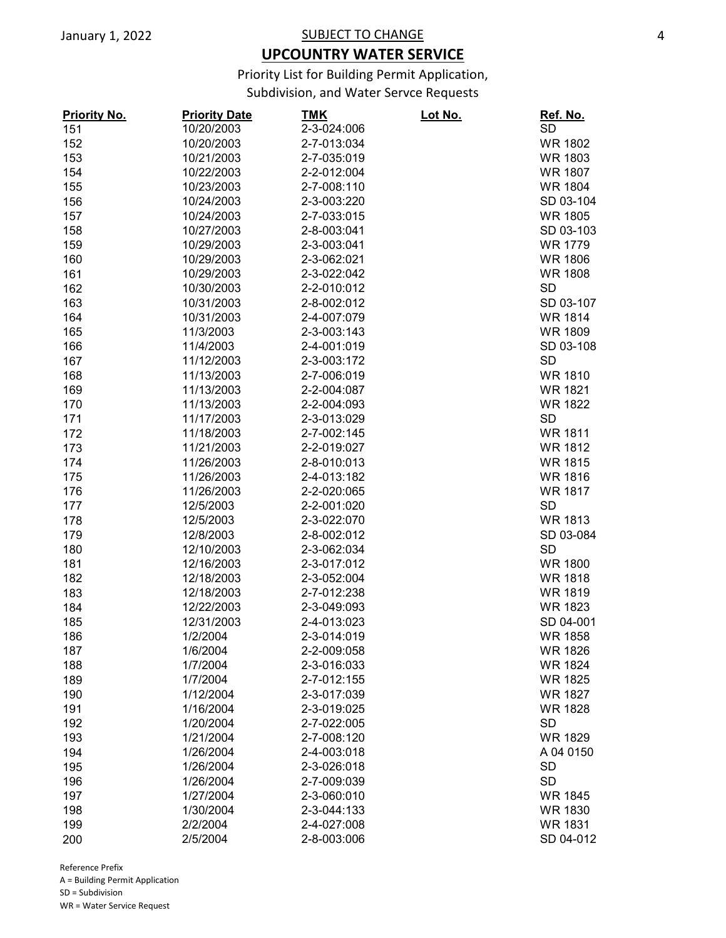## **UPCOUNTRY WATER SERVICE**

Priority List for Building Permit Application,

Subdivision, and Water Servce Requests

| <b>Priority No.</b> | <b>Priority Date</b> | TMK         | Lot No. | <u>Ref. No.</u> |
|---------------------|----------------------|-------------|---------|-----------------|
| 151                 | 10/20/2003           | 2-3-024:006 |         | <b>SD</b>       |
| 152                 | 10/20/2003           | 2-7-013:034 |         | <b>WR 1802</b>  |
| 153                 | 10/21/2003           | 2-7-035:019 |         | <b>WR 1803</b>  |
| 154                 | 10/22/2003           | 2-2-012:004 |         | <b>WR 1807</b>  |
| 155                 | 10/23/2003           | 2-7-008:110 |         | <b>WR 1804</b>  |
| 156                 | 10/24/2003           | 2-3-003:220 |         | SD 03-104       |
| 157                 | 10/24/2003           | 2-7-033:015 |         | <b>WR 1805</b>  |
| 158                 | 10/27/2003           | 2-8-003:041 |         | SD 03-103       |
| 159                 | 10/29/2003           | 2-3-003:041 |         | <b>WR 1779</b>  |
| 160                 | 10/29/2003           | 2-3-062:021 |         | <b>WR 1806</b>  |
| 161                 | 10/29/2003           | 2-3-022:042 |         | <b>WR 1808</b>  |
| 162                 | 10/30/2003           | 2-2-010:012 |         | <b>SD</b>       |
| 163                 | 10/31/2003           | 2-8-002:012 |         | SD 03-107       |
| 164                 | 10/31/2003           | 2-4-007:079 |         | <b>WR 1814</b>  |
| 165                 | 11/3/2003            | 2-3-003:143 |         | <b>WR 1809</b>  |
| 166                 | 11/4/2003            | 2-4-001:019 |         | SD 03-108       |
| 167                 | 11/12/2003           | 2-3-003:172 |         | <b>SD</b>       |
| 168                 | 11/13/2003           | 2-7-006:019 |         | <b>WR 1810</b>  |
| 169                 | 11/13/2003           | 2-2-004:087 |         | <b>WR 1821</b>  |
| 170                 | 11/13/2003           | 2-2-004:093 |         | <b>WR 1822</b>  |
| 171                 | 11/17/2003           | 2-3-013:029 |         | <b>SD</b>       |
| 172                 | 11/18/2003           | 2-7-002:145 |         | <b>WR 1811</b>  |
| 173                 | 11/21/2003           | 2-2-019:027 |         | <b>WR 1812</b>  |
| 174                 | 11/26/2003           | 2-8-010:013 |         | <b>WR 1815</b>  |
|                     | 11/26/2003           | 2-4-013:182 |         | <b>WR 1816</b>  |
| 175                 |                      | 2-2-020:065 |         | <b>WR 1817</b>  |
| 176                 | 11/26/2003           |             |         | <b>SD</b>       |
| 177                 | 12/5/2003            | 2-2-001:020 |         |                 |
| 178                 | 12/5/2003            | 2-3-022:070 |         | <b>WR 1813</b>  |
| 179                 | 12/8/2003            | 2-8-002:012 |         | SD 03-084       |
| 180                 | 12/10/2003           | 2-3-062:034 |         | <b>SD</b>       |
| 181                 | 12/16/2003           | 2-3-017:012 |         | <b>WR 1800</b>  |
| 182                 | 12/18/2003           | 2-3-052:004 |         | <b>WR 1818</b>  |
| 183                 | 12/18/2003           | 2-7-012:238 |         | <b>WR 1819</b>  |
| 184                 | 12/22/2003           | 2-3-049:093 |         | <b>WR 1823</b>  |
| 185                 | 12/31/2003           | 2-4-013:023 |         | SD 04-001       |
| 186                 | 1/2/2004             | 2-3-014:019 |         | <b>WR 1858</b>  |
| 187                 | 1/6/2004             | 2-2-009:058 |         | <b>WR 1826</b>  |
| 188                 | 1/7/2004             | 2-3-016:033 |         | <b>WR 1824</b>  |
| 189                 | 1/7/2004             | 2-7-012:155 |         | <b>WR 1825</b>  |
| 190                 | 1/12/2004            | 2-3-017:039 |         | <b>WR 1827</b>  |
| 191                 | 1/16/2004            | 2-3-019:025 |         | <b>WR 1828</b>  |
| 192                 | 1/20/2004            | 2-7-022:005 |         | <b>SD</b>       |
| 193                 | 1/21/2004            | 2-7-008:120 |         | <b>WR 1829</b>  |
| 194                 | 1/26/2004            | 2-4-003:018 |         | A 04 0150       |
| 195                 | 1/26/2004            | 2-3-026:018 |         | <b>SD</b>       |
| 196                 | 1/26/2004            | 2-7-009:039 |         | <b>SD</b>       |
| 197                 | 1/27/2004            | 2-3-060:010 |         | <b>WR 1845</b>  |
| 198                 | 1/30/2004            | 2-3-044:133 |         | <b>WR 1830</b>  |
| 199                 | 2/2/2004             | 2-4-027:008 |         | <b>WR 1831</b>  |
| 200                 | 2/5/2004             | 2-8-003:006 |         | SD 04-012       |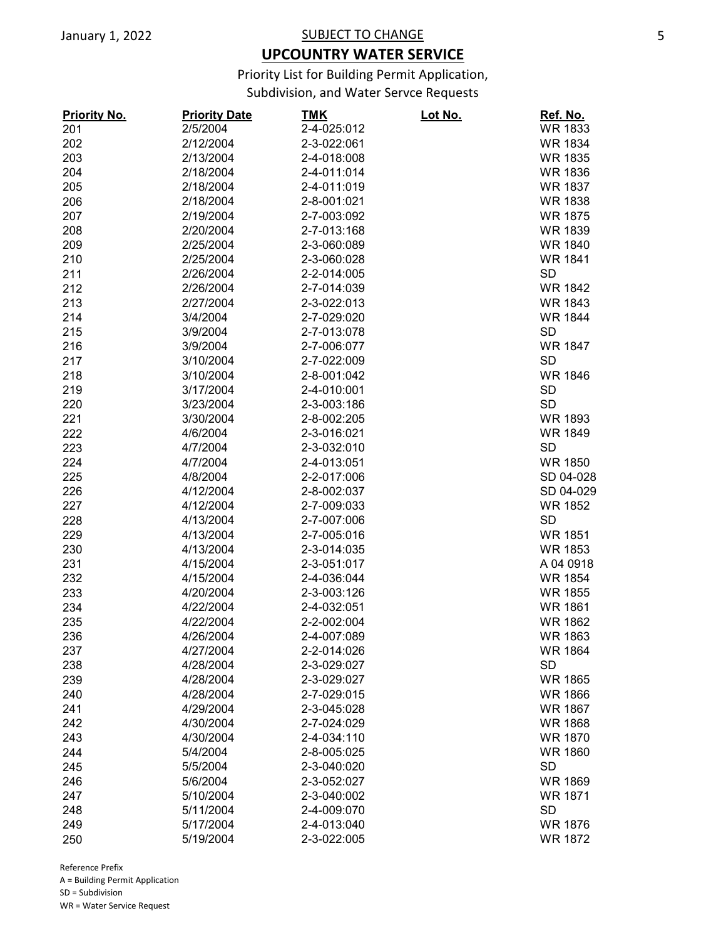## **UPCOUNTRY WATER SERVICE**

Priority List for Building Permit Application,

Subdivision, and Water Servce Requests

| <b>Priority No.</b> | <b>Priority Date</b> | <u>TMK</u>  | <u> Lot No.</u> | Ref. No.       |
|---------------------|----------------------|-------------|-----------------|----------------|
| 201                 | 2/5/2004             | 2-4-025:012 |                 | <b>WR 1833</b> |
| 202                 | 2/12/2004            | 2-3-022:061 |                 | <b>WR 1834</b> |
| 203                 | 2/13/2004            | 2-4-018:008 |                 | <b>WR 1835</b> |
| 204                 | 2/18/2004            | 2-4-011:014 |                 | <b>WR 1836</b> |
| 205                 | 2/18/2004            | 2-4-011:019 |                 | <b>WR 1837</b> |
| 206                 | 2/18/2004            | 2-8-001:021 |                 | <b>WR 1838</b> |
| 207                 | 2/19/2004            | 2-7-003:092 |                 | <b>WR 1875</b> |
| 208                 | 2/20/2004            | 2-7-013:168 |                 | <b>WR 1839</b> |
| 209                 | 2/25/2004            | 2-3-060:089 |                 | <b>WR 1840</b> |
| 210                 | 2/25/2004            | 2-3-060:028 |                 | <b>WR 1841</b> |
| 211                 | 2/26/2004            | 2-2-014:005 |                 | <b>SD</b>      |
| 212                 | 2/26/2004            | 2-7-014:039 |                 | <b>WR 1842</b> |
| 213                 | 2/27/2004            | 2-3-022:013 |                 | <b>WR 1843</b> |
| 214                 | 3/4/2004             | 2-7-029:020 |                 | <b>WR 1844</b> |
| 215                 | 3/9/2004             | 2-7-013:078 |                 | <b>SD</b>      |
| 216                 | 3/9/2004             | 2-7-006:077 |                 | <b>WR 1847</b> |
| 217                 | 3/10/2004            | 2-7-022:009 |                 | <b>SD</b>      |
| 218                 | 3/10/2004            | 2-8-001:042 |                 | <b>WR 1846</b> |
| 219                 | 3/17/2004            | 2-4-010:001 |                 | <b>SD</b>      |
| 220                 | 3/23/2004            | 2-3-003:186 |                 | <b>SD</b>      |
| 221                 | 3/30/2004            | 2-8-002:205 |                 | <b>WR 1893</b> |
| 222                 | 4/6/2004             | 2-3-016:021 |                 | <b>WR 1849</b> |
| 223                 | 4/7/2004             | 2-3-032:010 |                 | <b>SD</b>      |
| 224                 | 4/7/2004             | 2-4-013:051 |                 | <b>WR 1850</b> |
| 225                 | 4/8/2004             | 2-2-017:006 |                 | SD 04-028      |
| 226                 | 4/12/2004            | 2-8-002:037 |                 | SD 04-029      |
| 227                 | 4/12/2004            | 2-7-009:033 |                 | <b>WR 1852</b> |
| 228                 | 4/13/2004            | 2-7-007:006 |                 | <b>SD</b>      |
| 229                 | 4/13/2004            | 2-7-005:016 |                 | <b>WR 1851</b> |
| 230                 | 4/13/2004            | 2-3-014:035 |                 | <b>WR 1853</b> |
| 231                 | 4/15/2004            | 2-3-051:017 |                 | A 04 0918      |
| 232                 | 4/15/2004            | 2-4-036:044 |                 | <b>WR 1854</b> |
| 233                 | 4/20/2004            | 2-3-003:126 |                 | <b>WR 1855</b> |
| 234                 | 4/22/2004            | 2-4-032:051 |                 | <b>WR 1861</b> |
| 235                 | 4/22/2004            | 2-2-002:004 |                 | <b>WR 1862</b> |
| 236                 | 4/26/2004            | 2-4-007:089 |                 | WR 1863        |
| 237                 | 4/27/2004            | 2-2-014:026 |                 | <b>WR 1864</b> |
| 238                 | 4/28/2004            | 2-3-029:027 |                 | <b>SD</b>      |
| 239                 | 4/28/2004            | 2-3-029:027 |                 | <b>WR 1865</b> |
| 240                 | 4/28/2004            | 2-7-029:015 |                 | <b>WR 1866</b> |
| 241                 | 4/29/2004            | 2-3-045:028 |                 | <b>WR 1867</b> |
| 242                 |                      |             |                 |                |
|                     | 4/30/2004            | 2-7-024:029 |                 | <b>WR 1868</b> |
| 243                 | 4/30/2004            | 2-4-034:110 |                 | <b>WR 1870</b> |
| 244                 | 5/4/2004             | 2-8-005:025 |                 | <b>WR 1860</b> |
| 245                 | 5/5/2004             | 2-3-040:020 |                 | <b>SD</b>      |
| 246                 | 5/6/2004             | 2-3-052:027 |                 | <b>WR 1869</b> |
| 247                 | 5/10/2004            | 2-3-040:002 |                 | <b>WR 1871</b> |
| 248                 | 5/11/2004            | 2-4-009:070 |                 | <b>SD</b>      |
| 249                 | 5/17/2004            | 2-4-013:040 |                 | <b>WR 1876</b> |
| 250                 | 5/19/2004            | 2-3-022:005 |                 | <b>WR 1872</b> |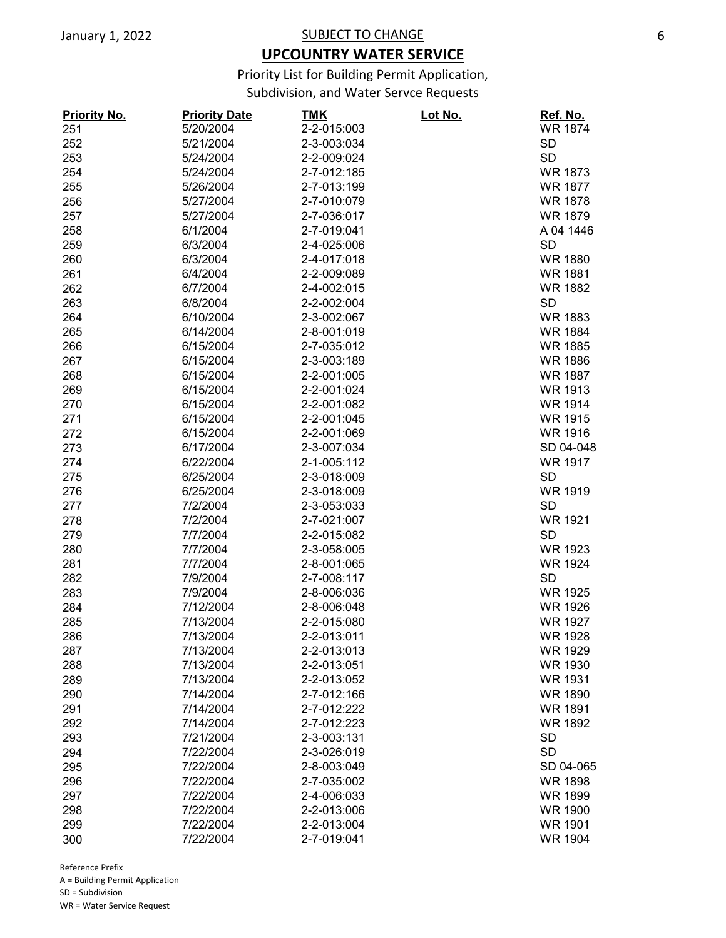## **UPCOUNTRY WATER SERVICE**

Priority List for Building Permit Application,

Subdivision, and Water Servce Requests

| <b>Priority No.</b> | <b>Priority Date</b>  | TMK         | <u>Lot No.</u> | <u>Ref. No.</u> |
|---------------------|-----------------------|-------------|----------------|-----------------|
| 251                 | 5/20/2004             | 2-2-015:003 |                | <b>WR 1874</b>  |
| 252                 | 5/21/2004             | 2-3-003:034 |                | <b>SD</b>       |
| 253                 | 5/24/2004             | 2-2-009:024 |                | <b>SD</b>       |
| 254                 | 5/24/2004             | 2-7-012:185 |                | <b>WR 1873</b>  |
| 255                 | 5/26/2004             | 2-7-013:199 |                | <b>WR 1877</b>  |
| 256                 | 5/27/2004             | 2-7-010:079 |                | <b>WR 1878</b>  |
| 257                 | 5/27/2004             | 2-7-036:017 |                | <b>WR 1879</b>  |
| 258                 | 6/1/2004              | 2-7-019:041 |                | A 04 1446       |
| 259                 | 6/3/2004              | 2-4-025:006 |                | <b>SD</b>       |
| 260                 | 6/3/2004              | 2-4-017:018 |                | <b>WR 1880</b>  |
| 261                 | 6/4/2004              | 2-2-009:089 |                | <b>WR 1881</b>  |
| 262                 | 6/7/2004              | 2-4-002:015 |                | <b>WR 1882</b>  |
| 263                 | 6/8/2004              | 2-2-002:004 |                | <b>SD</b>       |
| 264                 | 6/10/2004             | 2-3-002:067 |                | <b>WR 1883</b>  |
| 265                 | 6/14/2004             | 2-8-001:019 |                | <b>WR 1884</b>  |
| 266                 | 6/15/2004             | 2-7-035:012 |                | <b>WR 1885</b>  |
| 267                 | 6/15/2004             | 2-3-003:189 |                | <b>WR 1886</b>  |
| 268                 | 6/15/2004             | 2-2-001:005 |                | <b>WR 1887</b>  |
| 269                 | 6/15/2004             | 2-2-001:024 |                | <b>WR 1913</b>  |
| 270                 | 6/15/2004             | 2-2-001:082 |                | <b>WR 1914</b>  |
| 271                 | 6/15/2004             | 2-2-001:045 |                | <b>WR 1915</b>  |
| 272                 | 6/15/2004             | 2-2-001:069 |                | <b>WR 1916</b>  |
| 273                 | 6/17/2004             | 2-3-007:034 |                | SD 04-048       |
| 274                 | 6/22/2004             | 2-1-005:112 |                | <b>WR 1917</b>  |
| 275                 | 6/25/2004             | 2-3-018:009 |                | <b>SD</b>       |
| 276                 | 6/25/2004             | 2-3-018:009 |                | <b>WR 1919</b>  |
| 277                 | 7/2/2004              | 2-3-053:033 |                | <b>SD</b>       |
| 278                 | 7/2/2004              | 2-7-021:007 |                | <b>WR 1921</b>  |
| 279                 | 7/7/2004              | 2-2-015:082 |                | <b>SD</b>       |
| 280                 | 7/7/2004              | 2-3-058:005 |                | WR 1923         |
| 281                 | 7/7/2004              | 2-8-001:065 |                | <b>WR 1924</b>  |
| 282                 | 7/9/2004              | 2-7-008:117 |                | <b>SD</b>       |
|                     |                       |             |                |                 |
| 283                 | 7/9/2004<br>7/12/2004 | 2-8-006:036 |                | <b>WR 1925</b>  |
| 284                 |                       | 2-8-006:048 |                | <b>WR 1926</b>  |
| 285                 | 7/13/2004             | 2-2-015:080 |                | <b>WR 1927</b>  |
| 286                 | 7/13/2004             | 2-2-013:011 |                | <b>WR 1928</b>  |
| 287                 | 7/13/2004             | 2-2-013:013 |                | <b>WR 1929</b>  |
| 288                 | 7/13/2004             | 2-2-013:051 |                | <b>WR 1930</b>  |
| 289                 | 7/13/2004             | 2-2-013:052 |                | <b>WR 1931</b>  |
| 290                 | 7/14/2004             | 2-7-012:166 |                | <b>WR 1890</b>  |
| 291                 | 7/14/2004             | 2-7-012:222 |                | <b>WR 1891</b>  |
| 292                 | 7/14/2004             | 2-7-012:223 |                | <b>WR 1892</b>  |
| 293                 | 7/21/2004             | 2-3-003:131 |                | <b>SD</b>       |
| 294                 | 7/22/2004             | 2-3-026:019 |                | <b>SD</b>       |
| 295                 | 7/22/2004             | 2-8-003:049 |                | SD 04-065       |
| 296                 | 7/22/2004             | 2-7-035:002 |                | <b>WR 1898</b>  |
| 297                 | 7/22/2004             | 2-4-006:033 |                | <b>WR 1899</b>  |
| 298                 | 7/22/2004             | 2-2-013:006 |                | <b>WR 1900</b>  |
| 299                 | 7/22/2004             | 2-2-013:004 |                | <b>WR 1901</b>  |
| 300                 | 7/22/2004             | 2-7-019:041 |                | <b>WR 1904</b>  |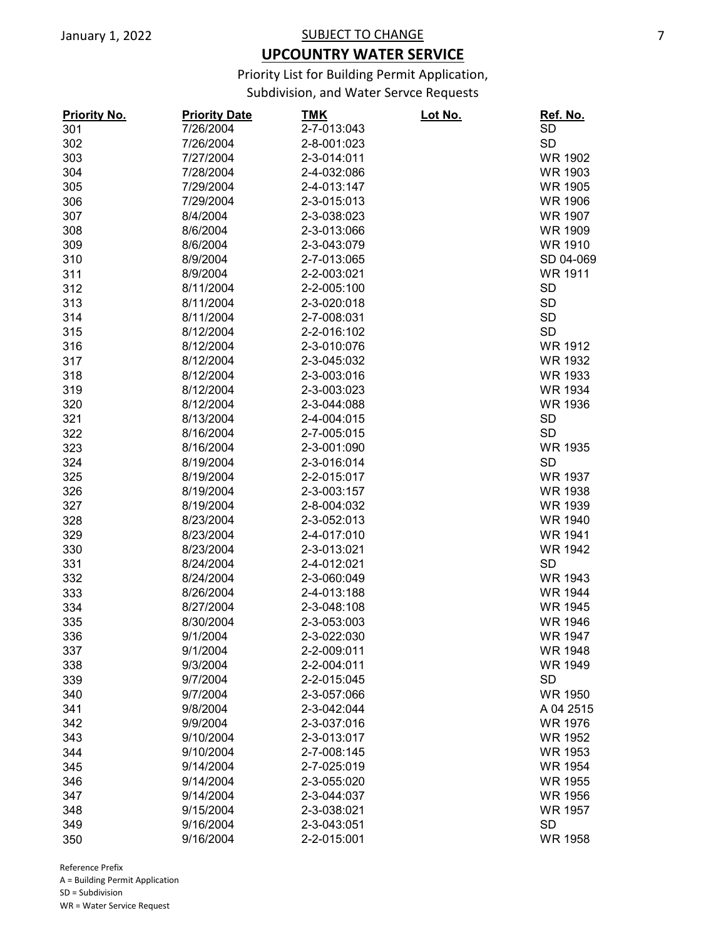## **UPCOUNTRY WATER SERVICE**

Priority List for Building Permit Application,

Subdivision, and Water Servce Requests

| <b>Priority No.</b> | <b>Priority Date</b> | <u>TMK</u>  | <u> Lot No.</u> | Ref. No.       |
|---------------------|----------------------|-------------|-----------------|----------------|
| 301                 | 7/26/2004            | 2-7-013:043 |                 | SD             |
| 302                 | 7/26/2004            | 2-8-001:023 |                 | <b>SD</b>      |
| 303                 | 7/27/2004            | 2-3-014:011 |                 | <b>WR 1902</b> |
| 304                 | 7/28/2004            | 2-4-032:086 |                 | <b>WR 1903</b> |
| 305                 | 7/29/2004            | 2-4-013:147 |                 | <b>WR 1905</b> |
| 306                 | 7/29/2004            | 2-3-015:013 |                 | <b>WR 1906</b> |
| 307                 | 8/4/2004             | 2-3-038:023 |                 | <b>WR 1907</b> |
| 308                 | 8/6/2004             | 2-3-013:066 |                 | <b>WR 1909</b> |
| 309                 | 8/6/2004             | 2-3-043:079 |                 | <b>WR 1910</b> |
| 310                 | 8/9/2004             | 2-7-013:065 |                 | SD 04-069      |
| 311                 | 8/9/2004             | 2-2-003:021 |                 | <b>WR 1911</b> |
| 312                 | 8/11/2004            | 2-2-005:100 |                 | <b>SD</b>      |
| 313                 | 8/11/2004            | 2-3-020:018 |                 | <b>SD</b>      |
| 314                 | 8/11/2004            | 2-7-008:031 |                 | <b>SD</b>      |
| 315                 | 8/12/2004            | 2-2-016:102 |                 | <b>SD</b>      |
| 316                 | 8/12/2004            | 2-3-010:076 |                 | <b>WR 1912</b> |
| 317                 | 8/12/2004            | 2-3-045:032 |                 | <b>WR 1932</b> |
| 318                 | 8/12/2004            | 2-3-003:016 |                 | <b>WR 1933</b> |
| 319                 | 8/12/2004            | 2-3-003:023 |                 | <b>WR 1934</b> |
| 320                 | 8/12/2004            | 2-3-044:088 |                 | <b>WR 1936</b> |
| 321                 | 8/13/2004            | 2-4-004:015 |                 | <b>SD</b>      |
| 322                 | 8/16/2004            | 2-7-005:015 |                 | <b>SD</b>      |
| 323                 | 8/16/2004            | 2-3-001:090 |                 | <b>WR 1935</b> |
| 324                 | 8/19/2004            | 2-3-016:014 |                 | <b>SD</b>      |
| 325                 | 8/19/2004            | 2-2-015:017 |                 | <b>WR 1937</b> |
| 326                 | 8/19/2004            | 2-3-003:157 |                 | <b>WR 1938</b> |
| 327                 | 8/19/2004            | 2-8-004:032 |                 | <b>WR 1939</b> |
| 328                 | 8/23/2004            | 2-3-052:013 |                 | <b>WR 1940</b> |
| 329                 | 8/23/2004            | 2-4-017:010 |                 | <b>WR 1941</b> |
| 330                 | 8/23/2004            | 2-3-013:021 |                 | <b>WR 1942</b> |
| 331                 | 8/24/2004            | 2-4-012:021 |                 | <b>SD</b>      |
| 332                 | 8/24/2004            | 2-3-060:049 |                 | <b>WR 1943</b> |
| 333                 | 8/26/2004            | 2-4-013:188 |                 | <b>WR 1944</b> |
| 334                 | 8/27/2004            | 2-3-048:108 |                 | <b>WR 1945</b> |
| 335                 | 8/30/2004            | 2-3-053:003 |                 | <b>WR 1946</b> |
| 336                 | 9/1/2004             | 2-3-022:030 |                 | <b>WR 1947</b> |
| 337                 | 9/1/2004             | 2-2-009:011 |                 | <b>WR 1948</b> |
| 338                 | 9/3/2004             | 2-2-004:011 |                 | <b>WR 1949</b> |
| 339                 | 9/7/2004             | 2-2-015:045 |                 | <b>SD</b>      |
| 340                 | 9/7/2004             | 2-3-057:066 |                 | <b>WR 1950</b> |
| 341                 | 9/8/2004             | 2-3-042:044 |                 | A 04 2515      |
| 342                 | 9/9/2004             | 2-3-037:016 |                 | <b>WR 1976</b> |
| 343                 | 9/10/2004            | 2-3-013:017 |                 | <b>WR 1952</b> |
| 344                 | 9/10/2004            | 2-7-008:145 |                 | <b>WR 1953</b> |
| 345                 | 9/14/2004            | 2-7-025:019 |                 | <b>WR 1954</b> |
| 346                 | 9/14/2004            | 2-3-055:020 |                 | <b>WR 1955</b> |
| 347                 | 9/14/2004            | 2-3-044:037 |                 | <b>WR 1956</b> |
| 348                 | 9/15/2004            | 2-3-038:021 |                 | <b>WR 1957</b> |
| 349                 | 9/16/2004            | 2-3-043:051 |                 | <b>SD</b>      |
| 350                 | 9/16/2004            | 2-2-015:001 |                 | <b>WR 1958</b> |
|                     |                      |             |                 |                |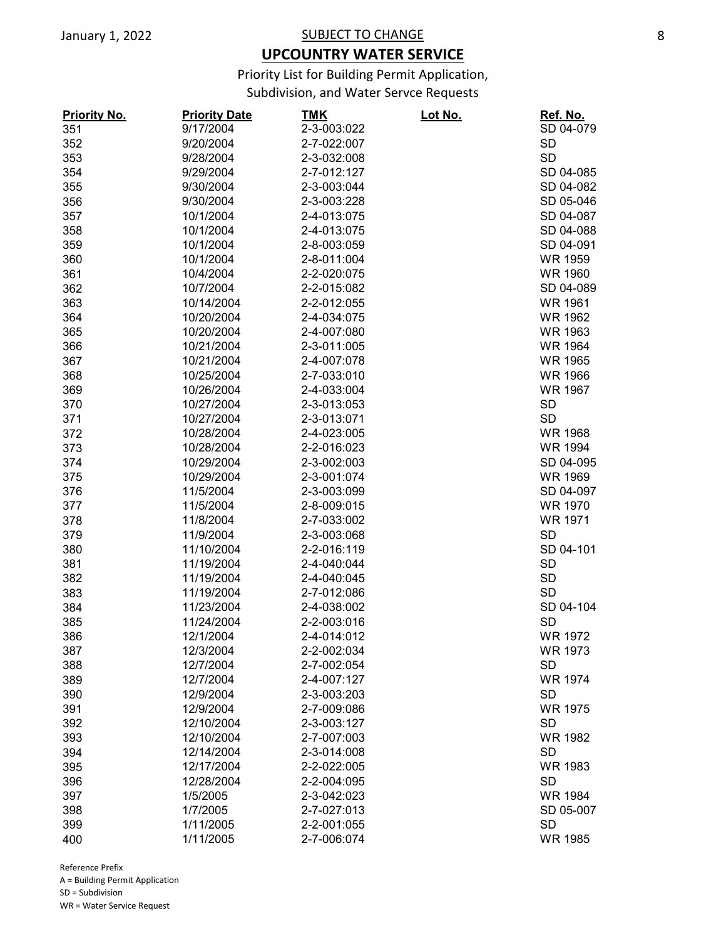## **UPCOUNTRY WATER SERVICE**

Priority List for Building Permit Application,

Subdivision, and Water Servce Requests

| <b>Priority No.</b> | <b>Priority Date</b>     | <u>TMK</u>  | <u> Lot No.</u> | <u>Ref. No.</u> |
|---------------------|--------------------------|-------------|-----------------|-----------------|
| 351                 | 9/17/2004                | 2-3-003:022 |                 | SD 04-079       |
| 352                 | 9/20/2004                | 2-7-022:007 |                 | <b>SD</b>       |
| 353                 | 9/28/2004                | 2-3-032:008 |                 | <b>SD</b>       |
| 354                 | 9/29/2004                | 2-7-012:127 |                 | SD 04-085       |
| 355                 | 9/30/2004                | 2-3-003:044 |                 | SD 04-082       |
| 356                 | 9/30/2004                | 2-3-003:228 |                 | SD 05-046       |
| 357                 | 10/1/2004                | 2-4-013:075 |                 | SD 04-087       |
| 358                 | 10/1/2004                | 2-4-013:075 |                 | SD 04-088       |
| 359                 | 10/1/2004                | 2-8-003:059 |                 | SD 04-091       |
| 360                 | 10/1/2004                | 2-8-011:004 |                 | <b>WR 1959</b>  |
| 361                 | 10/4/2004                | 2-2-020:075 |                 | <b>WR 1960</b>  |
| 362                 | 10/7/2004                | 2-2-015:082 |                 | SD 04-089       |
| 363                 | 10/14/2004               | 2-2-012:055 |                 | <b>WR 1961</b>  |
| 364                 | 10/20/2004               | 2-4-034:075 |                 | <b>WR 1962</b>  |
| 365                 | 10/20/2004               | 2-4-007:080 |                 | <b>WR 1963</b>  |
| 366                 | 10/21/2004               | 2-3-011:005 |                 | <b>WR 1964</b>  |
| 367                 | 10/21/2004               | 2-4-007:078 |                 | <b>WR 1965</b>  |
| 368                 | 10/25/2004               | 2-7-033:010 |                 | <b>WR 1966</b>  |
| 369                 | 10/26/2004               | 2-4-033:004 |                 | <b>WR 1967</b>  |
| 370                 | 10/27/2004               | 2-3-013:053 |                 | <b>SD</b>       |
| 371                 | 10/27/2004               | 2-3-013:071 |                 | <b>SD</b>       |
| 372                 | 10/28/2004               | 2-4-023:005 |                 | <b>WR 1968</b>  |
| 373                 | 10/28/2004               | 2-2-016:023 |                 | <b>WR 1994</b>  |
| 374                 | 10/29/2004               | 2-3-002:003 |                 | SD 04-095       |
| 375                 | 10/29/2004               | 2-3-001:074 |                 | <b>WR 1969</b>  |
| 376                 | 11/5/2004                | 2-3-003:099 |                 | SD 04-097       |
| 377                 | 11/5/2004                | 2-8-009:015 |                 | <b>WR 1970</b>  |
| 378                 | 11/8/2004                | 2-7-033:002 |                 | <b>WR 1971</b>  |
| 379                 | 11/9/2004                | 2-3-003:068 |                 | <b>SD</b>       |
| 380                 | 11/10/2004               | 2-2-016:119 |                 | SD 04-101       |
| 381                 | 11/19/2004               | 2-4-040:044 |                 | <b>SD</b>       |
| 382                 | 11/19/2004               | 2-4-040:045 |                 | <b>SD</b>       |
|                     | 11/19/2004               | 2-7-012:086 |                 | <b>SD</b>       |
| 383                 |                          |             |                 |                 |
| 384                 | 11/23/2004<br>11/24/2004 | 2-4-038:002 |                 | SD 04-104       |
| 385                 |                          | 2-2-003:016 |                 | <b>SD</b>       |
| 386                 | 12/1/2004                | 2-4-014:012 |                 | <b>WR 1972</b>  |
| 387                 | 12/3/2004                | 2-2-002:034 |                 | WR 1973         |
| 388                 | 12/7/2004                | 2-7-002:054 |                 | <b>SD</b>       |
| 389                 | 12/7/2004                | 2-4-007:127 |                 | <b>WR 1974</b>  |
| 390                 | 12/9/2004                | 2-3-003:203 |                 | <b>SD</b>       |
| 391                 | 12/9/2004                | 2-7-009:086 |                 | <b>WR 1975</b>  |
| 392                 | 12/10/2004               | 2-3-003:127 |                 | <b>SD</b>       |
| 393                 | 12/10/2004               | 2-7-007:003 |                 | <b>WR 1982</b>  |
| 394                 | 12/14/2004               | 2-3-014:008 |                 | <b>SD</b>       |
| 395                 | 12/17/2004               | 2-2-022:005 |                 | <b>WR 1983</b>  |
| 396                 | 12/28/2004               | 2-2-004:095 |                 | <b>SD</b>       |
| 397                 | 1/5/2005                 | 2-3-042:023 |                 | <b>WR 1984</b>  |
| 398                 | 1/7/2005                 | 2-7-027:013 |                 | SD 05-007       |
| 399                 | 1/11/2005                | 2-2-001:055 |                 | <b>SD</b>       |
| 400                 | 1/11/2005                | 2-7-006:074 |                 | <b>WR 1985</b>  |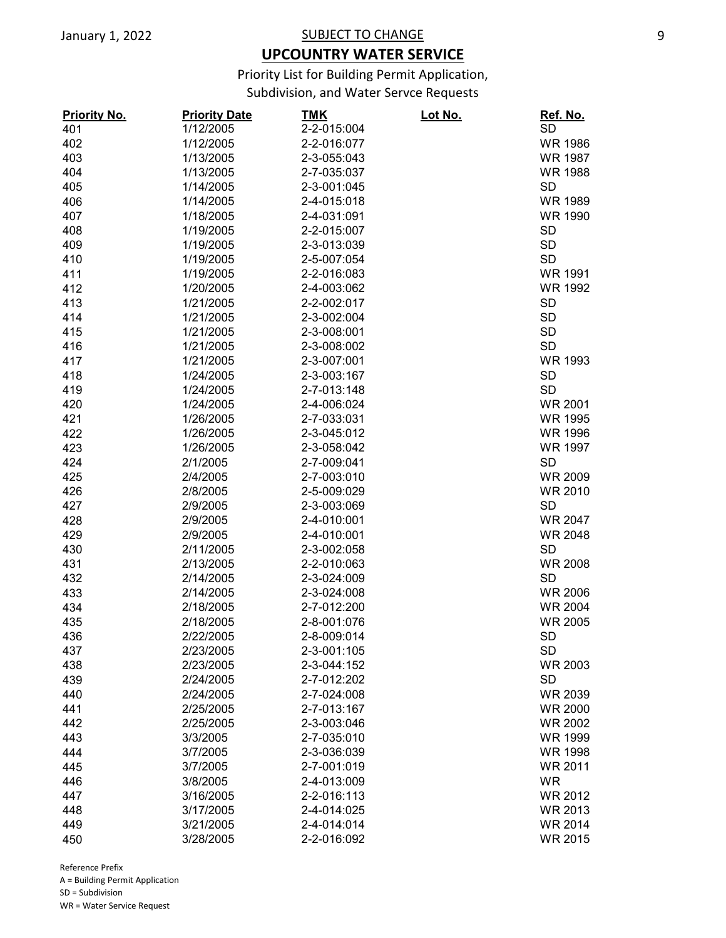## **UPCOUNTRY WATER SERVICE**

Priority List for Building Permit Application,

Subdivision, and Water Servce Requests

| <b>Priority No.</b> | <b>Priority Date</b> | <u>TMK</u>  | Lot No. | <u>Ref. No.</u>             |
|---------------------|----------------------|-------------|---------|-----------------------------|
| 401                 | 1/12/2005            | 2-2-015:004 |         | <b>SD</b>                   |
| 402                 | 1/12/2005            | 2-2-016:077 |         | <b>WR 1986</b>              |
| 403                 | 1/13/2005            | 2-3-055:043 |         | <b>WR 1987</b>              |
| 404                 | 1/13/2005            | 2-7-035:037 |         | <b>WR 1988</b>              |
| 405                 | 1/14/2005            | 2-3-001:045 |         | <b>SD</b>                   |
| 406                 | 1/14/2005            | 2-4-015:018 |         | <b>WR 1989</b>              |
| 407                 | 1/18/2005            | 2-4-031:091 |         | <b>WR 1990</b>              |
| 408                 | 1/19/2005            | 2-2-015:007 |         | <b>SD</b>                   |
| 409                 | 1/19/2005            | 2-3-013:039 |         | <b>SD</b>                   |
| 410                 | 1/19/2005            | 2-5-007:054 |         | <b>SD</b>                   |
| 411                 | 1/19/2005            | 2-2-016:083 |         | <b>WR 1991</b>              |
| 412                 | 1/20/2005            | 2-4-003:062 |         | <b>WR 1992</b>              |
| 413                 | 1/21/2005            | 2-2-002:017 |         | <b>SD</b>                   |
| 414                 | 1/21/2005            | 2-3-002:004 |         | <b>SD</b>                   |
| 415                 | 1/21/2005            | 2-3-008:001 |         | <b>SD</b>                   |
| 416                 | 1/21/2005            | 2-3-008:002 |         | <b>SD</b>                   |
| 417                 | 1/21/2005            | 2-3-007:001 |         | <b>WR 1993</b>              |
| 418                 | 1/24/2005            | 2-3-003:167 |         | <b>SD</b>                   |
| 419                 | 1/24/2005            | 2-7-013:148 |         | <b>SD</b>                   |
| 420                 | 1/24/2005            | 2-4-006:024 |         | <b>WR 2001</b>              |
| 421                 | 1/26/2005            | 2-7-033:031 |         | <b>WR 1995</b>              |
| 422                 | 1/26/2005            | 2-3-045:012 |         | <b>WR 1996</b>              |
| 423                 | 1/26/2005            | 2-3-058:042 |         | <b>WR 1997</b>              |
| 424                 | 2/1/2005             | 2-7-009:041 |         | <b>SD</b>                   |
|                     |                      | 2-7-003:010 |         | <b>WR 2009</b>              |
| 425                 | 2/4/2005             |             |         |                             |
| 426                 | 2/8/2005             | 2-5-009:029 |         | <b>WR 2010</b><br><b>SD</b> |
| 427                 | 2/9/2005             | 2-3-003:069 |         |                             |
| 428                 | 2/9/2005             | 2-4-010:001 |         | <b>WR 2047</b>              |
| 429                 | 2/9/2005             | 2-4-010:001 |         | <b>WR 2048</b>              |
| 430                 | 2/11/2005            | 2-3-002:058 |         | <b>SD</b>                   |
| 431                 | 2/13/2005            | 2-2-010:063 |         | <b>WR 2008</b>              |
| 432                 | 2/14/2005            | 2-3-024:009 |         | <b>SD</b>                   |
| 433                 | 2/14/2005            | 2-3-024:008 |         | <b>WR 2006</b>              |
| 434                 | 2/18/2005            | 2-7-012:200 |         | <b>WR 2004</b>              |
| 435                 | 2/18/2005            | 2-8-001:076 |         | <b>WR 2005</b>              |
| 436                 | 2/22/2005            | 2-8-009:014 |         | <b>SD</b>                   |
| 437                 | 2/23/2005            | 2-3-001:105 |         | <b>SD</b>                   |
| 438                 | 2/23/2005            | 2-3-044:152 |         | <b>WR 2003</b>              |
| 439                 | 2/24/2005            | 2-7-012:202 |         | <b>SD</b>                   |
| 440                 | 2/24/2005            | 2-7-024:008 |         | WR 2039                     |
| 441                 | 2/25/2005            | 2-7-013:167 |         | <b>WR 2000</b>              |
| 442                 | 2/25/2005            | 2-3-003:046 |         | <b>WR 2002</b>              |
| 443                 | 3/3/2005             | 2-7-035:010 |         | <b>WR 1999</b>              |
| 444                 | 3/7/2005             | 2-3-036:039 |         | <b>WR 1998</b>              |
| 445                 | 3/7/2005             | 2-7-001:019 |         | WR 2011                     |
| 446                 | 3/8/2005             | 2-4-013:009 |         | <b>WR</b>                   |
| 447                 | 3/16/2005            | 2-2-016:113 |         | <b>WR 2012</b>              |
| 448                 | 3/17/2005            | 2-4-014:025 |         | <b>WR 2013</b>              |
| 449                 | 3/21/2005            | 2-4-014:014 |         | <b>WR 2014</b>              |
| 450                 | 3/28/2005            | 2-2-016:092 |         | <b>WR 2015</b>              |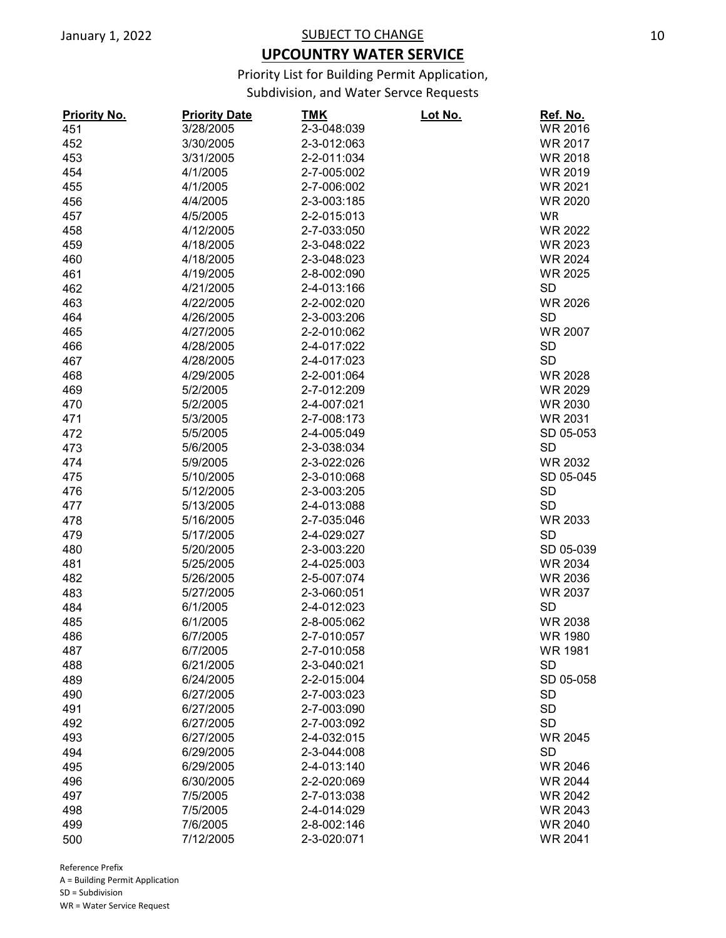# **UPCOUNTRY WATER SERVICE**

Priority List for Building Permit Application,

Subdivision, and Water Servce Requests

| <b>Priority No.</b> | <b>Priority Date</b> | TMK         | <u>Lot No.</u> | Ref. No.       |
|---------------------|----------------------|-------------|----------------|----------------|
| 451                 | 3/28/2005            | 2-3-048:039 |                | <b>WR 2016</b> |
| 452                 | 3/30/2005            | 2-3-012:063 |                | <b>WR 2017</b> |
| 453                 | 3/31/2005            | 2-2-011:034 |                | <b>WR 2018</b> |
| 454                 | 4/1/2005             | 2-7-005:002 |                | <b>WR 2019</b> |
| 455                 | 4/1/2005             | 2-7-006:002 |                | <b>WR 2021</b> |
| 456                 | 4/4/2005             | 2-3-003:185 |                | <b>WR 2020</b> |
| 457                 | 4/5/2005             | 2-2-015:013 |                | <b>WR</b>      |
| 458                 | 4/12/2005            | 2-7-033:050 |                | <b>WR 2022</b> |
| 459                 | 4/18/2005            | 2-3-048:022 |                | <b>WR 2023</b> |
| 460                 | 4/18/2005            | 2-3-048:023 |                | <b>WR 2024</b> |
| 461                 | 4/19/2005            | 2-8-002:090 |                | <b>WR 2025</b> |
| 462                 | 4/21/2005            | 2-4-013:166 |                | <b>SD</b>      |
| 463                 | 4/22/2005            | 2-2-002:020 |                | <b>WR 2026</b> |
| 464                 | 4/26/2005            | 2-3-003:206 |                | <b>SD</b>      |
| 465                 | 4/27/2005            | 2-2-010:062 |                | <b>WR 2007</b> |
| 466                 | 4/28/2005            | 2-4-017:022 |                | <b>SD</b>      |
| 467                 | 4/28/2005            | 2-4-017:023 |                | <b>SD</b>      |
| 468                 | 4/29/2005            | 2-2-001:064 |                | <b>WR 2028</b> |
| 469                 | 5/2/2005             | 2-7-012:209 |                | WR 2029        |
| 470                 | 5/2/2005             | 2-4-007:021 |                | <b>WR 2030</b> |
| 471                 | 5/3/2005             | 2-7-008:173 |                | WR 2031        |
| 472                 | 5/5/2005             | 2-4-005:049 |                | SD 05-053      |
| 473                 | 5/6/2005             | 2-3-038:034 |                | <b>SD</b>      |
| 474                 | 5/9/2005             | 2-3-022:026 |                | WR 2032        |
| 475                 | 5/10/2005            | 2-3-010:068 |                | SD 05-045      |
| 476                 | 5/12/2005            | 2-3-003:205 |                | <b>SD</b>      |
| 477                 | 5/13/2005            | 2-4-013:088 |                | <b>SD</b>      |
| 478                 | 5/16/2005            | 2-7-035:046 |                | <b>WR 2033</b> |
| 479                 | 5/17/2005            | 2-4-029:027 |                | <b>SD</b>      |
| 480                 | 5/20/2005            | 2-3-003:220 |                | SD 05-039      |
| 481                 | 5/25/2005            | 2-4-025:003 |                | <b>WR 2034</b> |
| 482                 | 5/26/2005            | 2-5-007:074 |                | <b>WR 2036</b> |
| 483                 | 5/27/2005            | 2-3-060:051 |                | <b>WR 2037</b> |
| 484                 | 6/1/2005             | 2-4-012:023 |                | <b>SD</b>      |
| 485                 | 6/1/2005             | 2-8-005:062 |                | <b>WR 2038</b> |
| 486                 | 6/7/2005             | 2-7-010:057 |                | <b>WR 1980</b> |
| 487                 | 6/7/2005             | 2-7-010:058 |                | <b>WR 1981</b> |
| 488                 | 6/21/2005            | 2-3-040:021 |                | <b>SD</b>      |
| 489                 | 6/24/2005            | 2-2-015:004 |                | SD 05-058      |
| 490                 | 6/27/2005            | 2-7-003:023 |                | <b>SD</b>      |
| 491                 | 6/27/2005            | 2-7-003:090 |                | <b>SD</b>      |
| 492                 | 6/27/2005            | 2-7-003:092 |                | <b>SD</b>      |
| 493                 | 6/27/2005            | 2-4-032:015 |                | <b>WR 2045</b> |
| 494                 | 6/29/2005            | 2-3-044:008 |                | <b>SD</b>      |
| 495                 | 6/29/2005            | 2-4-013:140 |                | <b>WR 2046</b> |
| 496                 | 6/30/2005            | 2-2-020:069 |                | <b>WR 2044</b> |
| 497                 | 7/5/2005             | 2-7-013:038 |                | <b>WR 2042</b> |
| 498                 | 7/5/2005             | 2-4-014:029 |                | <b>WR 2043</b> |
| 499                 | 7/6/2005             | 2-8-002:146 |                | <b>WR 2040</b> |
| 500                 | 7/12/2005            | 2-3-020:071 |                | <b>WR 2041</b> |
|                     |                      |             |                |                |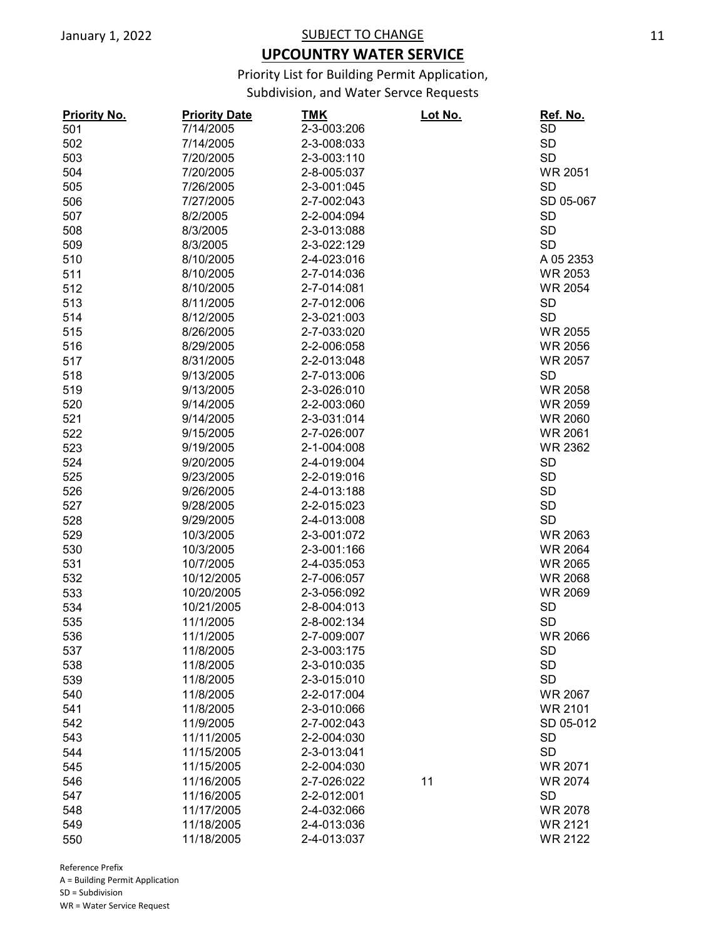## **UPCOUNTRY WATER SERVICE**

Priority List for Building Permit Application,

Subdivision, and Water Servce Requests

| <b>Priority No.</b> | <b>Priority Date</b> | <b>TMK</b>  | Lot No. | Ref. No.       |
|---------------------|----------------------|-------------|---------|----------------|
| 501                 | 7/14/2005            | 2-3-003:206 |         | <b>SD</b>      |
| 502                 | 7/14/2005            | 2-3-008:033 |         | <b>SD</b>      |
| 503                 | 7/20/2005            | 2-3-003:110 |         | <b>SD</b>      |
| 504                 | 7/20/2005            | 2-8-005:037 |         | <b>WR 2051</b> |
| 505                 | 7/26/2005            | 2-3-001:045 |         | <b>SD</b>      |
| 506                 | 7/27/2005            | 2-7-002:043 |         | SD 05-067      |
| 507                 | 8/2/2005             | 2-2-004:094 |         | <b>SD</b>      |
| 508                 | 8/3/2005             | 2-3-013:088 |         | <b>SD</b>      |
| 509                 | 8/3/2005             | 2-3-022:129 |         | <b>SD</b>      |
| 510                 | 8/10/2005            | 2-4-023:016 |         | A 05 2353      |
| 511                 | 8/10/2005            | 2-7-014:036 |         | <b>WR 2053</b> |
| 512                 | 8/10/2005            | 2-7-014:081 |         | <b>WR 2054</b> |
| 513                 | 8/11/2005            | 2-7-012:006 |         | <b>SD</b>      |
| 514                 | 8/12/2005            | 2-3-021:003 |         | <b>SD</b>      |
| 515                 | 8/26/2005            | 2-7-033:020 |         | <b>WR 2055</b> |
| 516                 | 8/29/2005            | 2-2-006:058 |         | <b>WR 2056</b> |
| 517                 | 8/31/2005            | 2-2-013:048 |         | <b>WR 2057</b> |
|                     |                      |             |         | <b>SD</b>      |
| 518                 | 9/13/2005            | 2-7-013:006 |         |                |
| 519                 | 9/13/2005            | 2-3-026:010 |         | <b>WR 2058</b> |
| 520                 | 9/14/2005            | 2-2-003:060 |         | <b>WR 2059</b> |
| 521                 | 9/14/2005            | 2-3-031:014 |         | <b>WR 2060</b> |
| 522                 | 9/15/2005            | 2-7-026:007 |         | <b>WR 2061</b> |
| 523                 | 9/19/2005            | 2-1-004:008 |         | <b>WR 2362</b> |
| 524                 | 9/20/2005            | 2-4-019:004 |         | <b>SD</b>      |
| 525                 | 9/23/2005            | 2-2-019:016 |         | <b>SD</b>      |
| 526                 | 9/26/2005            | 2-4-013:188 |         | <b>SD</b>      |
| 527                 | 9/28/2005            | 2-2-015:023 |         | <b>SD</b>      |
| 528                 | 9/29/2005            | 2-4-013:008 |         | <b>SD</b>      |
| 529                 | 10/3/2005            | 2-3-001:072 |         | <b>WR 2063</b> |
| 530                 | 10/3/2005            | 2-3-001:166 |         | <b>WR 2064</b> |
| 531                 | 10/7/2005            | 2-4-035:053 |         | <b>WR 2065</b> |
| 532                 | 10/12/2005           | 2-7-006:057 |         | <b>WR 2068</b> |
| 533                 | 10/20/2005           | 2-3-056:092 |         | <b>WR 2069</b> |
| 534                 | 10/21/2005           | 2-8-004:013 |         | <b>SD</b>      |
| 535                 | 11/1/2005            | 2-8-002:134 |         | <b>SD</b>      |
| 536                 | 11/1/2005            | 2-7-009:007 |         | <b>WR 2066</b> |
| 537                 | 11/8/2005            | 2-3-003:175 |         | <b>SD</b>      |
| 538                 | 11/8/2005            | 2-3-010:035 |         | <b>SD</b>      |
| 539                 | 11/8/2005            | 2-3-015:010 |         | <b>SD</b>      |
| 540                 | 11/8/2005            | 2-2-017:004 |         | <b>WR 2067</b> |
| 541                 | 11/8/2005            | 2-3-010:066 |         | <b>WR 2101</b> |
| 542                 | 11/9/2005            | 2-7-002:043 |         | SD 05-012      |
| 543                 | 11/11/2005           | 2-2-004:030 |         | <b>SD</b>      |
| 544                 | 11/15/2005           | 2-3-013:041 |         | <b>SD</b>      |
| 545                 | 11/15/2005           | 2-2-004:030 |         | <b>WR 2071</b> |
| 546                 | 11/16/2005           | 2-7-026:022 | 11      | <b>WR 2074</b> |
| 547                 | 11/16/2005           | 2-2-012:001 |         | <b>SD</b>      |
|                     |                      |             |         |                |
| 548                 | 11/17/2005           | 2-4-032:066 |         | <b>WR 2078</b> |
| 549                 | 11/18/2005           | 2-4-013:036 |         | <b>WR 2121</b> |
| 550                 | 11/18/2005           | 2-4-013:037 |         | <b>WR 2122</b> |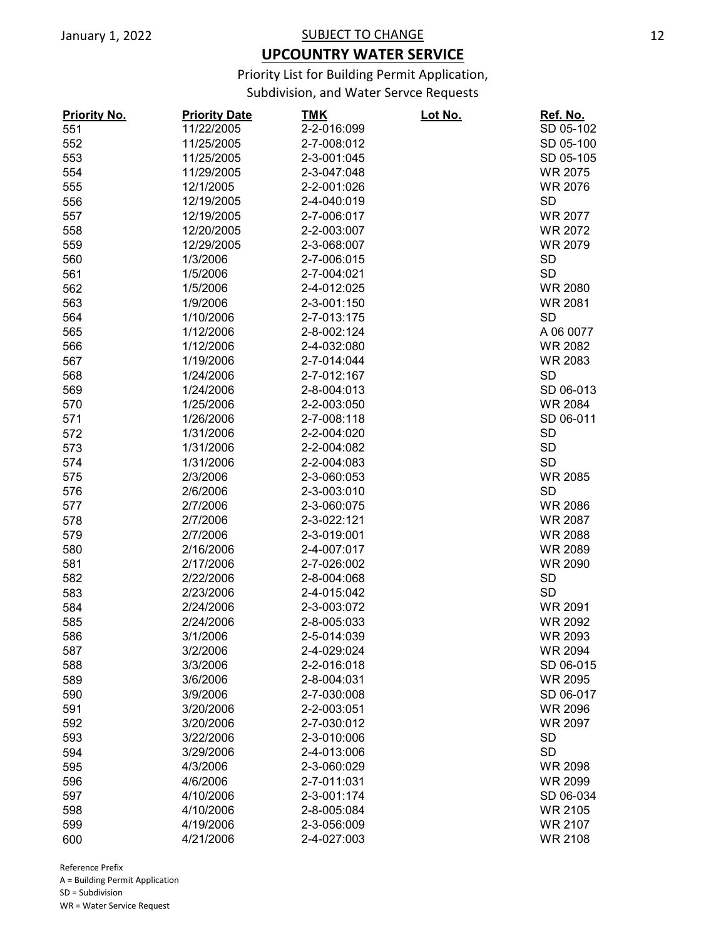## **UPCOUNTRY WATER SERVICE**

Priority List for Building Permit Application,

Subdivision, and Water Servce Requests

| <b>Priority No.</b> | <b>Priority Date</b> | <u>TMK</u>  | <u>Lot No.</u> | <u>Ref. No.</u> |
|---------------------|----------------------|-------------|----------------|-----------------|
| 551                 | 11/22/2005           | 2-2-016:099 |                | SD 05-102       |
| 552                 | 11/25/2005           | 2-7-008:012 |                | SD 05-100       |
| 553                 | 11/25/2005           | 2-3-001:045 |                | SD 05-105       |
| 554                 | 11/29/2005           | 2-3-047:048 |                | <b>WR 2075</b>  |
| 555                 | 12/1/2005            | 2-2-001:026 |                | <b>WR 2076</b>  |
| 556                 | 12/19/2005           | 2-4-040:019 |                | <b>SD</b>       |
| 557                 | 12/19/2005           | 2-7-006:017 |                | <b>WR 2077</b>  |
| 558                 | 12/20/2005           | 2-2-003:007 |                | <b>WR 2072</b>  |
| 559                 | 12/29/2005           | 2-3-068:007 |                | <b>WR 2079</b>  |
| 560                 | 1/3/2006             | 2-7-006:015 |                | <b>SD</b>       |
| 561                 | 1/5/2006             | 2-7-004:021 |                | <b>SD</b>       |
| 562                 | 1/5/2006             | 2-4-012:025 |                | <b>WR 2080</b>  |
| 563                 | 1/9/2006             | 2-3-001:150 |                | <b>WR 2081</b>  |
| 564                 | 1/10/2006            | 2-7-013:175 |                | <b>SD</b>       |
| 565                 | 1/12/2006            | 2-8-002:124 |                | A 06 0077       |
| 566                 | 1/12/2006            | 2-4-032:080 |                | <b>WR 2082</b>  |
| 567                 | 1/19/2006            | 2-7-014:044 |                | <b>WR 2083</b>  |
| 568                 | 1/24/2006            | 2-7-012:167 |                | <b>SD</b>       |
| 569                 | 1/24/2006            | 2-8-004:013 |                | SD 06-013       |
|                     | 1/25/2006            | 2-2-003:050 |                | WR 2084         |
| 570                 |                      |             |                |                 |
| 571                 | 1/26/2006            | 2-7-008:118 |                | SD 06-011       |
| 572                 | 1/31/2006            | 2-2-004:020 |                | <b>SD</b>       |
| 573                 | 1/31/2006            | 2-2-004:082 |                | <b>SD</b>       |
| 574                 | 1/31/2006            | 2-2-004:083 |                | <b>SD</b>       |
| 575                 | 2/3/2006             | 2-3-060:053 |                | <b>WR 2085</b>  |
| 576                 | 2/6/2006             | 2-3-003:010 |                | <b>SD</b>       |
| 577                 | 2/7/2006             | 2-3-060:075 |                | <b>WR 2086</b>  |
| 578                 | 2/7/2006             | 2-3-022:121 |                | <b>WR 2087</b>  |
| 579                 | 2/7/2006             | 2-3-019:001 |                | <b>WR 2088</b>  |
| 580                 | 2/16/2006            | 2-4-007:017 |                | <b>WR 2089</b>  |
| 581                 | 2/17/2006            | 2-7-026:002 |                | <b>WR 2090</b>  |
| 582                 | 2/22/2006            | 2-8-004:068 |                | <b>SD</b>       |
| 583                 | 2/23/2006            | 2-4-015:042 |                | <b>SD</b>       |
| 584                 | 2/24/2006            | 2-3-003:072 |                | <b>WR 2091</b>  |
| 585                 | 2/24/2006            | 2-8-005:033 |                | <b>WR 2092</b>  |
| 586                 | 3/1/2006             | 2-5-014:039 |                | <b>WR 2093</b>  |
| 587                 | 3/2/2006             | 2-4-029:024 |                | <b>WR 2094</b>  |
| 588                 | 3/3/2006             | 2-2-016:018 |                | SD 06-015       |
| 589                 | 3/6/2006             | 2-8-004:031 |                | WR 2095         |
| 590                 | 3/9/2006             | 2-7-030:008 |                | SD 06-017       |
| 591                 | 3/20/2006            | 2-2-003:051 |                | <b>WR 2096</b>  |
| 592                 | 3/20/2006            | 2-7-030:012 |                | <b>WR 2097</b>  |
| 593                 | 3/22/2006            | 2-3-010:006 |                | <b>SD</b>       |
| 594                 | 3/29/2006            | 2-4-013:006 |                | <b>SD</b>       |
| 595                 | 4/3/2006             | 2-3-060:029 |                | <b>WR 2098</b>  |
| 596                 | 4/6/2006             | 2-7-011:031 |                | <b>WR 2099</b>  |
| 597                 | 4/10/2006            | 2-3-001:174 |                | SD 06-034       |
| 598                 | 4/10/2006            | 2-8-005:084 |                | <b>WR 2105</b>  |
| 599                 | 4/19/2006            | 2-3-056:009 |                | <b>WR 2107</b>  |
| 600                 | 4/21/2006            | 2-4-027:003 |                | <b>WR 2108</b>  |
|                     |                      |             |                |                 |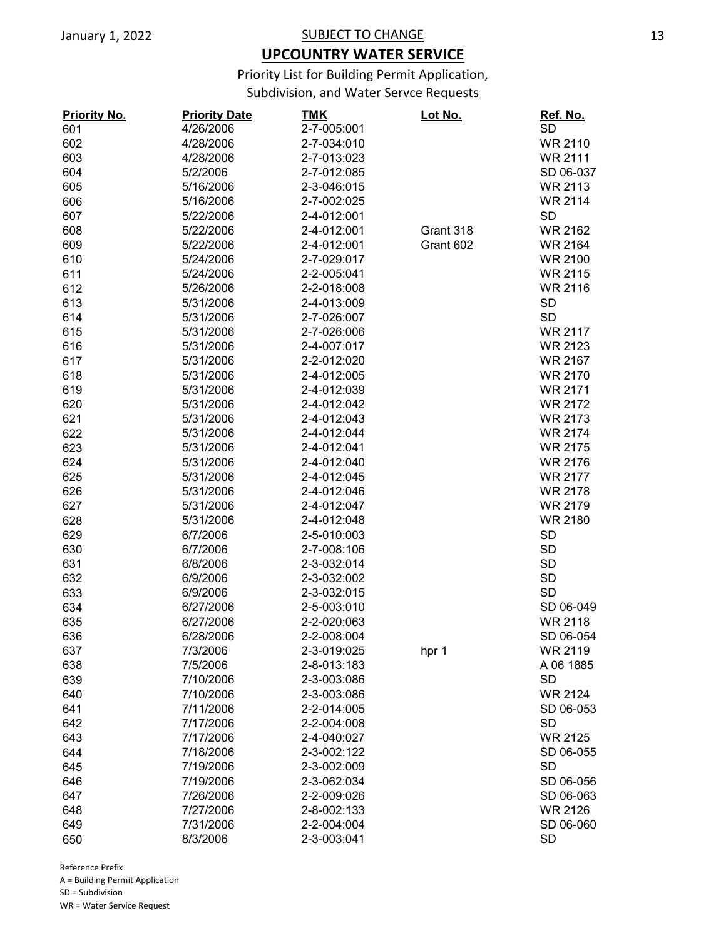## **UPCOUNTRY WATER SERVICE**

Priority List for Building Permit Application,

Subdivision, and Water Servce Requests

| <b>Priority No.</b> | <b>Priority Date</b> | <b>TMK</b>  | Lot No.   | Ref. No.       |
|---------------------|----------------------|-------------|-----------|----------------|
| 601                 | 4/26/2006            | 2-7-005:001 |           | <b>SD</b>      |
| 602                 | 4/28/2006            | 2-7-034:010 |           | <b>WR 2110</b> |
| 603                 | 4/28/2006            | 2-7-013:023 |           | <b>WR 2111</b> |
| 604                 | 5/2/2006             | 2-7-012:085 |           | SD 06-037      |
| 605                 | 5/16/2006            | 2-3-046:015 |           | <b>WR 2113</b> |
| 606                 | 5/16/2006            | 2-7-002:025 |           | <b>WR 2114</b> |
| 607                 | 5/22/2006            | 2-4-012:001 |           | <b>SD</b>      |
| 608                 | 5/22/2006            | 2-4-012:001 | Grant 318 | <b>WR 2162</b> |
| 609                 | 5/22/2006            | 2-4-012:001 | Grant 602 | <b>WR 2164</b> |
| 610                 | 5/24/2006            | 2-7-029:017 |           | <b>WR 2100</b> |
| 611                 | 5/24/2006            | 2-2-005:041 |           | <b>WR 2115</b> |
| 612                 | 5/26/2006            | 2-2-018:008 |           | <b>WR 2116</b> |
| 613                 | 5/31/2006            | 2-4-013:009 |           | <b>SD</b>      |
| 614                 | 5/31/2006            | 2-7-026:007 |           | <b>SD</b>      |
| 615                 | 5/31/2006            | 2-7-026:006 |           | <b>WR 2117</b> |
| 616                 | 5/31/2006            | 2-4-007:017 |           | <b>WR 2123</b> |
| 617                 | 5/31/2006            | 2-2-012:020 |           | <b>WR 2167</b> |
| 618                 | 5/31/2006            | 2-4-012:005 |           | <b>WR 2170</b> |
| 619                 | 5/31/2006            | 2-4-012:039 |           | <b>WR 2171</b> |
| 620                 | 5/31/2006            | 2-4-012:042 |           | <b>WR 2172</b> |
|                     |                      |             |           | <b>WR 2173</b> |
| 621                 | 5/31/2006            | 2-4-012:043 |           |                |
| 622                 | 5/31/2006            | 2-4-012:044 |           | <b>WR 2174</b> |
| 623                 | 5/31/2006            | 2-4-012:041 |           | <b>WR 2175</b> |
| 624                 | 5/31/2006            | 2-4-012:040 |           | <b>WR 2176</b> |
| 625                 | 5/31/2006            | 2-4-012:045 |           | <b>WR 2177</b> |
| 626                 | 5/31/2006            | 2-4-012:046 |           | <b>WR 2178</b> |
| 627                 | 5/31/2006            | 2-4-012:047 |           | <b>WR 2179</b> |
| 628                 | 5/31/2006            | 2-4-012:048 |           | <b>WR 2180</b> |
| 629                 | 6/7/2006             | 2-5-010:003 |           | <b>SD</b>      |
| 630                 | 6/7/2006             | 2-7-008:106 |           | <b>SD</b>      |
| 631                 | 6/8/2006             | 2-3-032:014 |           | <b>SD</b>      |
| 632                 | 6/9/2006             | 2-3-032:002 |           | <b>SD</b>      |
| 633                 | 6/9/2006             | 2-3-032:015 |           | <b>SD</b>      |
| 634                 | 6/27/2006            | 2-5-003:010 |           | SD 06-049      |
| 635                 | 6/27/2006            | 2-2-020:063 |           | <b>WR 2118</b> |
| 636                 | 6/28/2006            | 2-2-008:004 |           | SD 06-054      |
| 637                 | 7/3/2006             | 2-3-019:025 | hpr 1     | WR 2119        |
| 638                 | 7/5/2006             | 2-8-013:183 |           | A 06 1885      |
| 639                 | 7/10/2006            | 2-3-003:086 |           | <b>SD</b>      |
| 640                 | 7/10/2006            | 2-3-003:086 |           | <b>WR 2124</b> |
| 641                 | 7/11/2006            | 2-2-014:005 |           | SD 06-053      |
| 642                 | 7/17/2006            | 2-2-004:008 |           | <b>SD</b>      |
| 643                 | 7/17/2006            | 2-4-040:027 |           | <b>WR 2125</b> |
| 644                 | 7/18/2006            | 2-3-002:122 |           | SD 06-055      |
| 645                 | 7/19/2006            | 2-3-002:009 |           | <b>SD</b>      |
| 646                 | 7/19/2006            | 2-3-062:034 |           | SD 06-056      |
| 647                 | 7/26/2006            | 2-2-009:026 |           | SD 06-063      |
| 648                 | 7/27/2006            | 2-8-002:133 |           | WR 2126        |
| 649                 | 7/31/2006            | 2-2-004:004 |           | SD 06-060      |
| 650                 | 8/3/2006             | 2-3-003:041 |           | <b>SD</b>      |
|                     |                      |             |           |                |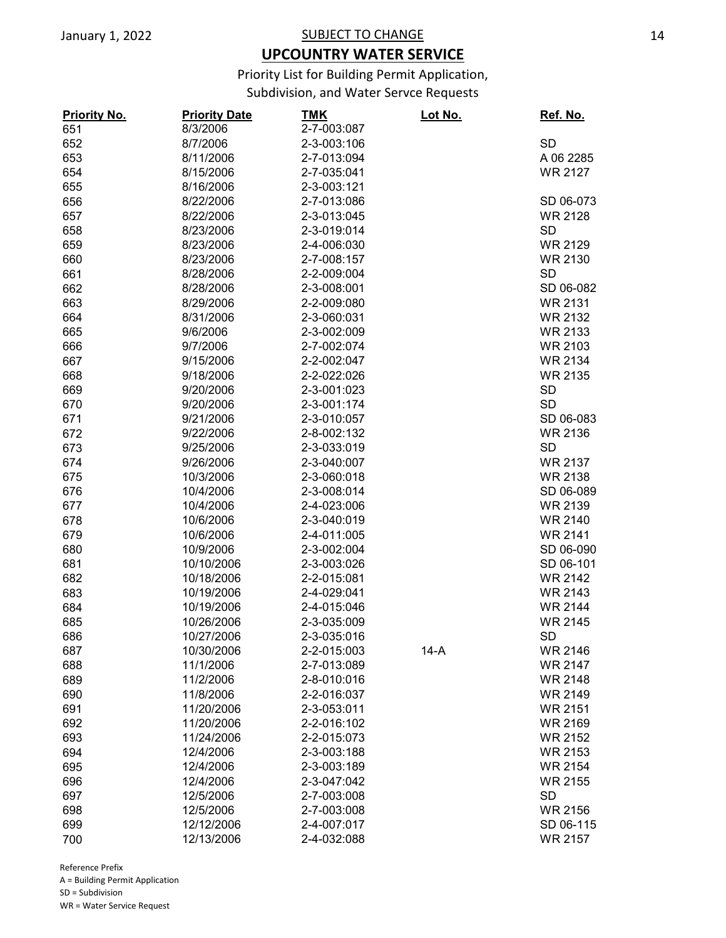## **UPCOUNTRY WATER SERVICE**

Priority List for Building Permit Application,

Subdivision, and Water Servce Requests

| <b>Priority No.</b> | <b>Priority Date</b> | <b>TMK</b>  | Lot No. | Ref. No.       |
|---------------------|----------------------|-------------|---------|----------------|
| 651                 | 8/3/2006             | 2-7-003:087 |         |                |
| 652                 | 8/7/2006             | 2-3-003:106 |         | <b>SD</b>      |
| 653                 | 8/11/2006            | 2-7-013:094 |         | A 06 2285      |
| 654                 | 8/15/2006            | 2-7-035:041 |         | <b>WR 2127</b> |
| 655                 | 8/16/2006            | 2-3-003:121 |         |                |
| 656                 | 8/22/2006            | 2-7-013:086 |         | SD 06-073      |
| 657                 | 8/22/2006            | 2-3-013:045 |         | <b>WR 2128</b> |
| 658                 | 8/23/2006            | 2-3-019:014 |         | <b>SD</b>      |
| 659                 | 8/23/2006            | 2-4-006:030 |         | <b>WR 2129</b> |
| 660                 | 8/23/2006            | 2-7-008:157 |         | <b>WR 2130</b> |
| 661                 | 8/28/2006            | 2-2-009:004 |         | <b>SD</b>      |
| 662                 | 8/28/2006            | 2-3-008:001 |         | SD 06-082      |
| 663                 | 8/29/2006            | 2-2-009:080 |         | <b>WR 2131</b> |
| 664                 | 8/31/2006            | 2-3-060:031 |         | <b>WR 2132</b> |
| 665                 | 9/6/2006             | 2-3-002:009 |         | <b>WR 2133</b> |
| 666                 | 9/7/2006             | 2-7-002:074 |         | <b>WR 2103</b> |
|                     |                      | 2-2-002:047 |         | <b>WR 2134</b> |
| 667                 | 9/15/2006            |             |         |                |
| 668                 | 9/18/2006            | 2-2-022:026 |         | <b>WR 2135</b> |
| 669                 | 9/20/2006            | 2-3-001:023 |         | <b>SD</b>      |
| 670                 | 9/20/2006            | 2-3-001:174 |         | <b>SD</b>      |
| 671                 | 9/21/2006            | 2-3-010:057 |         | SD 06-083      |
| 672                 | 9/22/2006            | 2-8-002:132 |         | <b>WR 2136</b> |
| 673                 | 9/25/2006            | 2-3-033:019 |         | <b>SD</b>      |
| 674                 | 9/26/2006            | 2-3-040:007 |         | <b>WR 2137</b> |
| 675                 | 10/3/2006            | 2-3-060:018 |         | <b>WR 2138</b> |
| 676                 | 10/4/2006            | 2-3-008:014 |         | SD 06-089      |
| 677                 | 10/4/2006            | 2-4-023:006 |         | <b>WR 2139</b> |
| 678                 | 10/6/2006            | 2-3-040:019 |         | <b>WR 2140</b> |
| 679                 | 10/6/2006            | 2-4-011:005 |         | <b>WR 2141</b> |
| 680                 | 10/9/2006            | 2-3-002:004 |         | SD 06-090      |
| 681                 | 10/10/2006           | 2-3-003:026 |         | SD 06-101      |
| 682                 | 10/18/2006           | 2-2-015:081 |         | <b>WR 2142</b> |
| 683                 | 10/19/2006           | 2-4-029:041 |         | <b>WR 2143</b> |
| 684                 | 10/19/2006           | 2-4-015:046 |         | <b>WR 2144</b> |
| 685                 | 10/26/2006           | 2-3-035:009 |         | <b>WR 2145</b> |
| 686                 | 10/27/2006           | 2-3-035:016 |         | <b>SD</b>      |
| 687                 | 10/30/2006           | 2-2-015:003 | $14-A$  | <b>WR 2146</b> |
| 688                 | 11/1/2006            | 2-7-013:089 |         | <b>WR 2147</b> |
| 689                 | 11/2/2006            | 2-8-010:016 |         | <b>WR 2148</b> |
| 690                 | 11/8/2006            | 2-2-016:037 |         | <b>WR 2149</b> |
| 691                 | 11/20/2006           | 2-3-053:011 |         | <b>WR 2151</b> |
| 692                 | 11/20/2006           | 2-2-016:102 |         | <b>WR 2169</b> |
| 693                 | 11/24/2006           | 2-2-015:073 |         | <b>WR 2152</b> |
| 694                 | 12/4/2006            | 2-3-003:188 |         | <b>WR 2153</b> |
| 695                 | 12/4/2006            | 2-3-003:189 |         | <b>WR 2154</b> |
| 696                 | 12/4/2006            | 2-3-047:042 |         | <b>WR 2155</b> |
| 697                 | 12/5/2006            | 2-7-003:008 |         | <b>SD</b>      |
|                     |                      |             |         |                |
| 698                 | 12/5/2006            | 2-7-003:008 |         | <b>WR 2156</b> |
| 699                 | 12/12/2006           | 2-4-007:017 |         | SD 06-115      |
| 700                 | 12/13/2006           | 2-4-032:088 |         | <b>WR 2157</b> |

Reference Prefix A = Building Permit Application SD = Subdivision WR = Water Service Request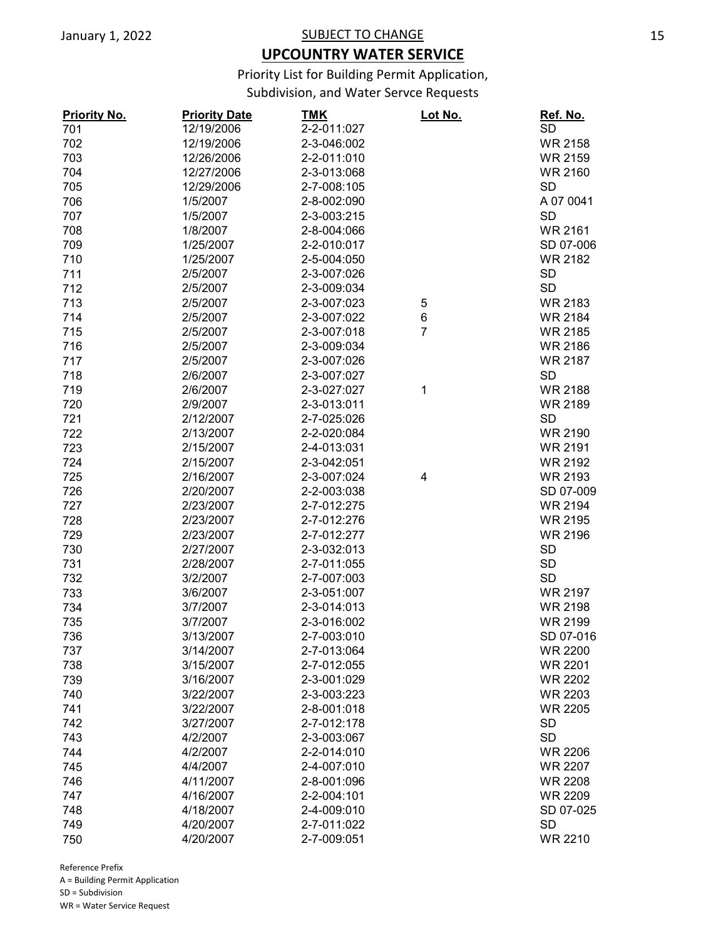## **UPCOUNTRY WATER SERVICE**

Priority List for Building Permit Application,

Subdivision, and Water Servce Requests

| <b>Priority No.</b> | <b>Priority Date</b> | <u>TMK</u>  | Lot No.        | Ref. No.       |
|---------------------|----------------------|-------------|----------------|----------------|
| 701                 | 12/19/2006           | 2-2-011:027 |                | <b>SD</b>      |
| 702                 | 12/19/2006           | 2-3-046:002 |                | <b>WR 2158</b> |
| 703                 | 12/26/2006           | 2-2-011:010 |                | <b>WR 2159</b> |
| 704                 | 12/27/2006           | 2-3-013:068 |                | <b>WR 2160</b> |
| 705                 | 12/29/2006           | 2-7-008:105 |                | <b>SD</b>      |
| 706                 | 1/5/2007             | 2-8-002:090 |                | A 07 0041      |
| 707                 | 1/5/2007             | 2-3-003:215 |                | <b>SD</b>      |
| 708                 | 1/8/2007             | 2-8-004:066 |                | <b>WR 2161</b> |
| 709                 | 1/25/2007            | 2-2-010:017 |                | SD 07-006      |
| 710                 | 1/25/2007            | 2-5-004:050 |                | <b>WR 2182</b> |
| 711                 | 2/5/2007             | 2-3-007:026 |                | <b>SD</b>      |
| 712                 | 2/5/2007             | 2-3-009:034 |                | <b>SD</b>      |
| 713                 | 2/5/2007             | 2-3-007:023 | 5              | <b>WR 2183</b> |
| 714                 | 2/5/2007             | 2-3-007:022 | 6              | <b>WR 2184</b> |
| 715                 | 2/5/2007             | 2-3-007:018 | $\overline{7}$ | <b>WR 2185</b> |
| 716                 | 2/5/2007             | 2-3-009:034 |                | <b>WR 2186</b> |
| 717                 | 2/5/2007             | 2-3-007:026 |                | <b>WR 2187</b> |
| 718                 | 2/6/2007             | 2-3-007:027 |                | <b>SD</b>      |
|                     | 2/6/2007             | 2-3-027:027 |                | <b>WR 2188</b> |
| 719                 |                      |             | 1              |                |
| 720                 | 2/9/2007             | 2-3-013:011 |                | <b>WR 2189</b> |
| 721                 | 2/12/2007            | 2-7-025:026 |                | <b>SD</b>      |
| 722                 | 2/13/2007            | 2-2-020:084 |                | <b>WR 2190</b> |
| 723                 | 2/15/2007            | 2-4-013:031 |                | <b>WR 2191</b> |
| 724                 | 2/15/2007            | 2-3-042:051 |                | <b>WR 2192</b> |
| 725                 | 2/16/2007            | 2-3-007:024 | 4              | <b>WR 2193</b> |
| 726                 | 2/20/2007            | 2-2-003:038 |                | SD 07-009      |
| 727                 | 2/23/2007            | 2-7-012:275 |                | <b>WR 2194</b> |
| 728                 | 2/23/2007            | 2-7-012:276 |                | <b>WR 2195</b> |
| 729                 | 2/23/2007            | 2-7-012:277 |                | <b>WR 2196</b> |
| 730                 | 2/27/2007            | 2-3-032:013 |                | <b>SD</b>      |
| 731                 | 2/28/2007            | 2-7-011:055 |                | <b>SD</b>      |
| 732                 | 3/2/2007             | 2-7-007:003 |                | <b>SD</b>      |
| 733                 | 3/6/2007             | 2-3-051:007 |                | <b>WR 2197</b> |
| 734                 | 3/7/2007             | 2-3-014:013 |                | <b>WR 2198</b> |
| 735                 | 3/7/2007             | 2-3-016:002 |                | <b>WR 2199</b> |
| 736                 | 3/13/2007            | 2-7-003:010 |                | SD 07-016      |
| 737                 | 3/14/2007            | 2-7-013:064 |                | <b>WR 2200</b> |
| 738                 | 3/15/2007            | 2-7-012:055 |                | <b>WR 2201</b> |
| 739                 | 3/16/2007            | 2-3-001:029 |                | <b>WR 2202</b> |
| 740                 | 3/22/2007            | 2-3-003:223 |                | <b>WR 2203</b> |
| 741                 | 3/22/2007            | 2-8-001:018 |                | <b>WR 2205</b> |
| 742                 | 3/27/2007            | 2-7-012:178 |                | <b>SD</b>      |
| 743                 | 4/2/2007             | 2-3-003:067 |                | <b>SD</b>      |
| 744                 | 4/2/2007             | 2-2-014:010 |                | <b>WR 2206</b> |
| 745                 | 4/4/2007             | 2-4-007:010 |                | <b>WR 2207</b> |
| 746                 | 4/11/2007            | 2-8-001:096 |                | <b>WR 2208</b> |
| 747                 | 4/16/2007            | 2-2-004:101 |                | <b>WR 2209</b> |
| 748                 | 4/18/2007            | 2-4-009:010 |                | SD 07-025      |
| 749                 | 4/20/2007            | 2-7-011:022 |                | <b>SD</b>      |
| 750                 | 4/20/2007            | 2-7-009:051 |                | <b>WR 2210</b> |
|                     |                      |             |                |                |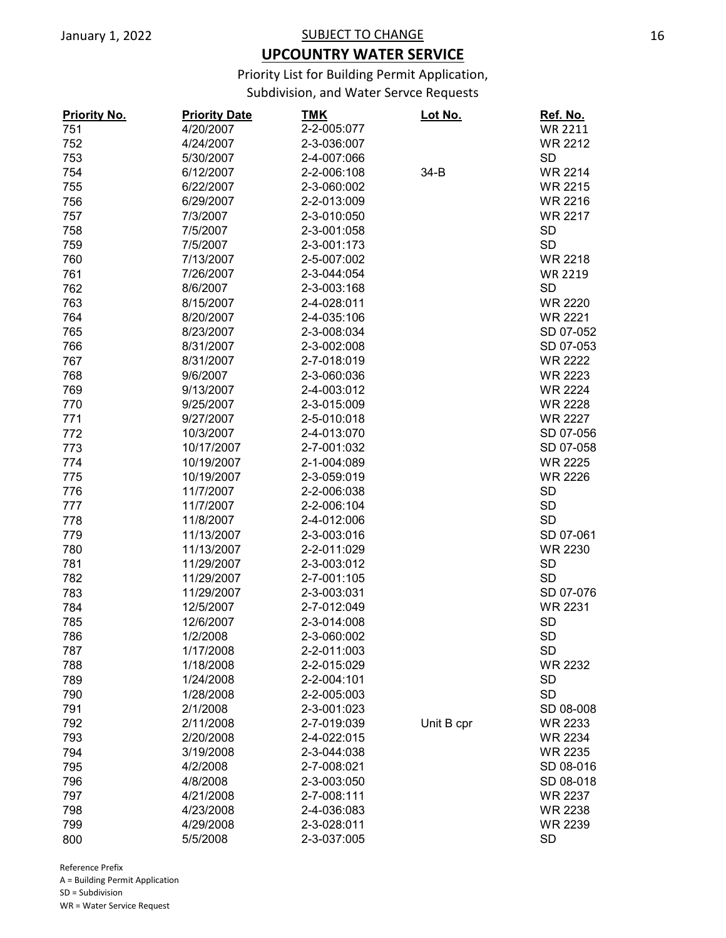## **UPCOUNTRY WATER SERVICE**

Priority List for Building Permit Application,

Subdivision, and Water Servce Requests

| <b>Priority No.</b> | <b>Priority Date</b> | <u>TMK</u>  | <u>Lot No.</u> | Ref. No.       |
|---------------------|----------------------|-------------|----------------|----------------|
| 751                 | 4/20/2007            | 2-2-005:077 |                | <b>WR 2211</b> |
| 752                 | 4/24/2007            | 2-3-036:007 |                | <b>WR 2212</b> |
| 753                 | 5/30/2007            | 2-4-007:066 |                | <b>SD</b>      |
| 754                 | 6/12/2007            | 2-2-006:108 | $34-B$         | <b>WR 2214</b> |
| 755                 | 6/22/2007            | 2-3-060:002 |                | <b>WR 2215</b> |
| 756                 | 6/29/2007            | 2-2-013:009 |                | <b>WR 2216</b> |
| 757                 | 7/3/2007             | 2-3-010:050 |                | <b>WR 2217</b> |
| 758                 | 7/5/2007             | 2-3-001:058 |                | <b>SD</b>      |
| 759                 | 7/5/2007             | 2-3-001:173 |                | <b>SD</b>      |
| 760                 | 7/13/2007            | 2-5-007:002 |                | <b>WR 2218</b> |
| 761                 | 7/26/2007            | 2-3-044:054 |                | <b>WR 2219</b> |
| 762                 | 8/6/2007             | 2-3-003:168 |                | SD             |
| 763                 | 8/15/2007            | 2-4-028:011 |                | <b>WR 2220</b> |
| 764                 | 8/20/2007            | 2-4-035:106 |                | <b>WR 2221</b> |
| 765                 | 8/23/2007            | 2-3-008:034 |                | SD 07-052      |
| 766                 | 8/31/2007            | 2-3-002:008 |                | SD 07-053      |
| 767                 | 8/31/2007            | 2-7-018:019 |                | <b>WR 2222</b> |
| 768                 | 9/6/2007             | 2-3-060:036 |                | <b>WR 2223</b> |
| 769                 | 9/13/2007            | 2-4-003:012 |                | <b>WR 2224</b> |
| 770                 | 9/25/2007            | 2-3-015:009 |                | <b>WR 2228</b> |
| 771                 | 9/27/2007            | 2-5-010:018 |                | <b>WR 2227</b> |
|                     | 10/3/2007            | 2-4-013:070 |                | SD 07-056      |
| 772                 |                      |             |                |                |
| 773                 | 10/17/2007           | 2-7-001:032 |                | SD 07-058      |
| 774                 | 10/19/2007           | 2-1-004:089 |                | <b>WR 2225</b> |
| 775                 | 10/19/2007           | 2-3-059:019 |                | <b>WR 2226</b> |
| 776                 | 11/7/2007            | 2-2-006:038 |                | <b>SD</b>      |
| 777                 | 11/7/2007            | 2-2-006:104 |                | <b>SD</b>      |
| 778                 | 11/8/2007            | 2-4-012:006 |                | <b>SD</b>      |
| 779                 | 11/13/2007           | 2-3-003:016 |                | SD 07-061      |
| 780                 | 11/13/2007           | 2-2-011:029 |                | <b>WR 2230</b> |
| 781                 | 11/29/2007           | 2-3-003:012 |                | <b>SD</b>      |
| 782                 | 11/29/2007           | 2-7-001:105 |                | <b>SD</b>      |
| 783                 | 11/29/2007           | 2-3-003:031 |                | SD 07-076      |
| 784                 | 12/5/2007            | 2-7-012:049 |                | <b>WR 2231</b> |
| 785                 | 12/6/2007            | 2-3-014:008 |                | <b>SD</b>      |
| 786                 | 1/2/2008             | 2-3-060:002 |                | <b>SD</b>      |
| 787                 | 1/17/2008            | 2-2-011:003 |                | <b>SD</b>      |
| 788                 | 1/18/2008            | 2-2-015:029 |                | <b>WR 2232</b> |
| 789                 | 1/24/2008            | 2-2-004:101 |                | <b>SD</b>      |
| 790                 | 1/28/2008            | 2-2-005:003 |                | <b>SD</b>      |
| 791                 | 2/1/2008             | 2-3-001:023 |                | SD 08-008      |
| 792                 | 2/11/2008            | 2-7-019:039 | Unit B cpr     | WR 2233        |
| 793                 | 2/20/2008            | 2-4-022:015 |                | <b>WR 2234</b> |
| 794                 | 3/19/2008            | 2-3-044:038 |                | <b>WR 2235</b> |
| 795                 | 4/2/2008             | 2-7-008:021 |                | SD 08-016      |
| 796                 | 4/8/2008             | 2-3-003:050 |                | SD 08-018      |
| 797                 | 4/21/2008            | 2-7-008:111 |                | WR 2237        |
| 798                 | 4/23/2008            | 2-4-036:083 |                | <b>WR 2238</b> |
| 799                 | 4/29/2008            | 2-3-028:011 |                | <b>WR 2239</b> |
| 800                 | 5/5/2008             | 2-3-037:005 |                | <b>SD</b>      |
|                     |                      |             |                |                |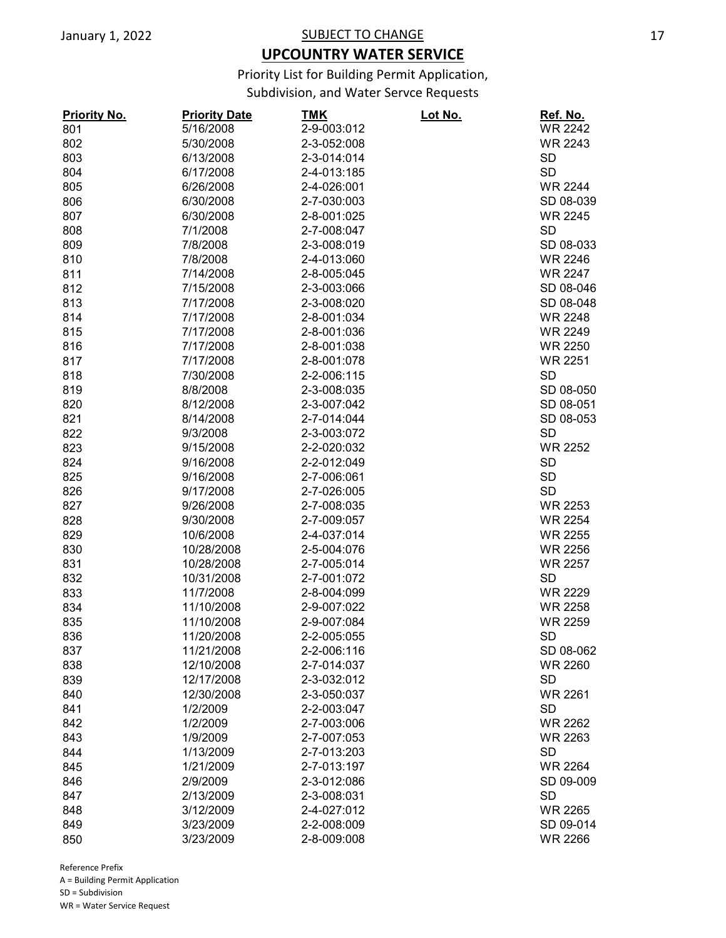## **UPCOUNTRY WATER SERVICE**

Priority List for Building Permit Application,

Subdivision, and Water Servce Requests

| <b>Priority No.</b> | <b>Priority Date</b> | <u>TMK</u>  | <u>Lot No.</u> | Ref. No.       |
|---------------------|----------------------|-------------|----------------|----------------|
| 801                 | 5/16/2008            | 2-9-003:012 |                | <b>WR 2242</b> |
| 802                 | 5/30/2008            | 2-3-052:008 |                | <b>WR 2243</b> |
| 803                 | 6/13/2008            | 2-3-014:014 |                | <b>SD</b>      |
| 804                 | 6/17/2008            | 2-4-013:185 |                | <b>SD</b>      |
| 805                 | 6/26/2008            | 2-4-026:001 |                | <b>WR 2244</b> |
| 806                 | 6/30/2008            | 2-7-030:003 |                | SD 08-039      |
| 807                 | 6/30/2008            | 2-8-001:025 |                | <b>WR 2245</b> |
| 808                 | 7/1/2008             | 2-7-008:047 |                | <b>SD</b>      |
| 809                 | 7/8/2008             | 2-3-008:019 |                | SD 08-033      |
| 810                 | 7/8/2008             | 2-4-013:060 |                | <b>WR 2246</b> |
| 811                 | 7/14/2008            | 2-8-005:045 |                | <b>WR 2247</b> |
| 812                 | 7/15/2008            | 2-3-003:066 |                | SD 08-046      |
| 813                 | 7/17/2008            | 2-3-008:020 |                | SD 08-048      |
| 814                 | 7/17/2008            | 2-8-001:034 |                | <b>WR 2248</b> |
| 815                 | 7/17/2008            | 2-8-001:036 |                | <b>WR 2249</b> |
| 816                 | 7/17/2008            | 2-8-001:038 |                | <b>WR 2250</b> |
| 817                 | 7/17/2008            | 2-8-001:078 |                | <b>WR 2251</b> |
| 818                 | 7/30/2008            | 2-2-006:115 |                | <b>SD</b>      |
| 819                 | 8/8/2008             | 2-3-008:035 |                | SD 08-050      |
| 820                 | 8/12/2008            | 2-3-007:042 |                | SD 08-051      |
| 821                 | 8/14/2008            | 2-7-014:044 |                | SD 08-053      |
| 822                 | 9/3/2008             | 2-3-003:072 |                | <b>SD</b>      |
| 823                 | 9/15/2008            | 2-2-020:032 |                | <b>WR 2252</b> |
| 824                 | 9/16/2008            | 2-2-012:049 |                | <b>SD</b>      |
| 825                 | 9/16/2008            | 2-7-006:061 |                | <b>SD</b>      |
| 826                 | 9/17/2008            | 2-7-026:005 |                | <b>SD</b>      |
| 827                 | 9/26/2008            | 2-7-008:035 |                | <b>WR 2253</b> |
| 828                 | 9/30/2008            | 2-7-009:057 |                | <b>WR 2254</b> |
| 829                 | 10/6/2008            | 2-4-037:014 |                | <b>WR 2255</b> |
| 830                 | 10/28/2008           | 2-5-004:076 |                | <b>WR 2256</b> |
| 831                 | 10/28/2008           | 2-7-005:014 |                | <b>WR 2257</b> |
| 832                 | 10/31/2008           | 2-7-001:072 |                | <b>SD</b>      |
| 833                 | 11/7/2008            | 2-8-004:099 |                | <b>WR 2229</b> |
| 834                 | 11/10/2008           | 2-9-007:022 |                | <b>WR 2258</b> |
|                     |                      |             |                |                |
| 835                 | 11/10/2008           | 2-9-007:084 |                | <b>WR 2259</b> |
| 836                 | 11/20/2008           | 2-2-005:055 |                | <b>SD</b>      |
| 837                 | 11/21/2008           | 2-2-006:116 |                | SD 08-062      |
| 838                 | 12/10/2008           | 2-7-014:037 |                | <b>WR 2260</b> |
| 839                 | 12/17/2008           | 2-3-032:012 |                | <b>SD</b>      |
| 840                 | 12/30/2008           | 2-3-050:037 |                | <b>WR 2261</b> |
| 841                 | 1/2/2009             | 2-2-003:047 |                | <b>SD</b>      |
| 842                 | 1/2/2009             | 2-7-003:006 |                | <b>WR 2262</b> |
| 843                 | 1/9/2009             | 2-7-007:053 |                | <b>WR 2263</b> |
| 844                 | 1/13/2009            | 2-7-013:203 |                | <b>SD</b>      |
| 845                 | 1/21/2009            | 2-7-013:197 |                | <b>WR 2264</b> |
| 846                 | 2/9/2009             | 2-3-012:086 |                | SD 09-009      |
| 847                 | 2/13/2009            | 2-3-008:031 |                | <b>SD</b>      |
| 848                 | 3/12/2009            | 2-4-027:012 |                | <b>WR 2265</b> |
| 849                 | 3/23/2009            | 2-2-008:009 |                | SD 09-014      |
| 850                 | 3/23/2009            | 2-8-009:008 |                | <b>WR 2266</b> |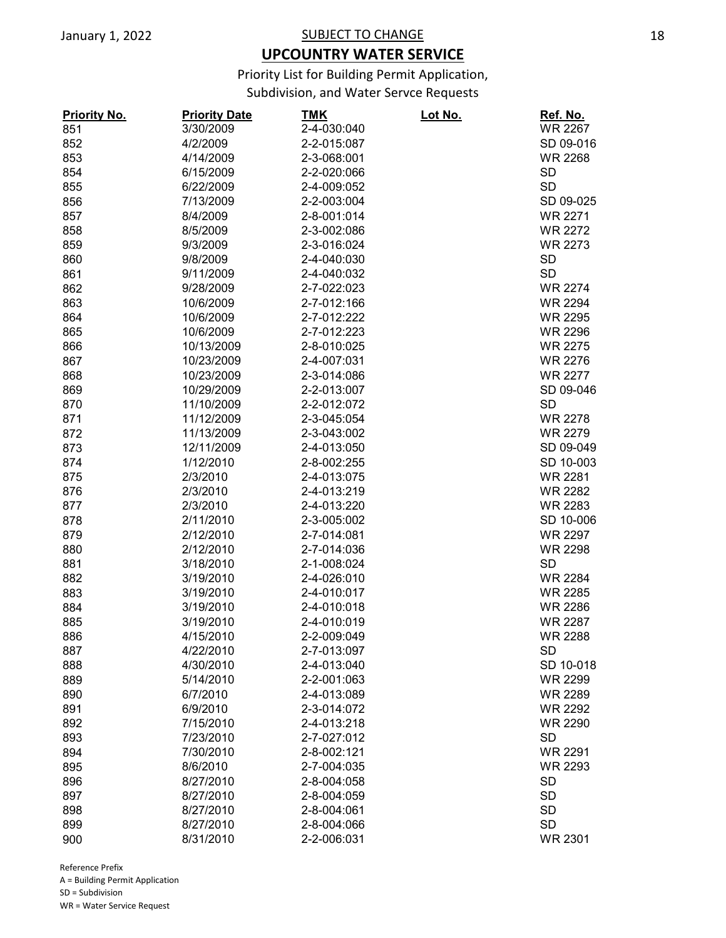## **UPCOUNTRY WATER SERVICE**

Priority List for Building Permit Application,

Subdivision, and Water Servce Requests

| <b>Priority No.</b> | <b>Priority Date</b> | <u>TMK</u>  | <u>Lot No.</u> | Ref. No.       |
|---------------------|----------------------|-------------|----------------|----------------|
| 851                 | 3/30/2009            | 2-4-030:040 |                | <b>WR 2267</b> |
| 852                 | 4/2/2009             | 2-2-015:087 |                | SD 09-016      |
| 853                 | 4/14/2009            | 2-3-068:001 |                | <b>WR 2268</b> |
| 854                 | 6/15/2009            | 2-2-020:066 |                | <b>SD</b>      |
| 855                 | 6/22/2009            | 2-4-009:052 |                | <b>SD</b>      |
| 856                 | 7/13/2009            | 2-2-003:004 |                | SD 09-025      |
| 857                 | 8/4/2009             | 2-8-001:014 |                | <b>WR 2271</b> |
| 858                 | 8/5/2009             | 2-3-002:086 |                | <b>WR 2272</b> |
| 859                 | 9/3/2009             | 2-3-016:024 |                | <b>WR 2273</b> |
| 860                 | 9/8/2009             | 2-4-040:030 |                | <b>SD</b>      |
| 861                 | 9/11/2009            | 2-4-040:032 |                | <b>SD</b>      |
| 862                 | 9/28/2009            | 2-7-022:023 |                | <b>WR 2274</b> |
| 863                 | 10/6/2009            | 2-7-012:166 |                | <b>WR 2294</b> |
| 864                 | 10/6/2009            | 2-7-012:222 |                | <b>WR 2295</b> |
| 865                 | 10/6/2009            | 2-7-012:223 |                | <b>WR 2296</b> |
| 866                 | 10/13/2009           | 2-8-010:025 |                | <b>WR 2275</b> |
| 867                 | 10/23/2009           | 2-4-007:031 |                | <b>WR 2276</b> |
| 868                 | 10/23/2009           | 2-3-014:086 |                | <b>WR 2277</b> |
| 869                 | 10/29/2009           | 2-2-013:007 |                | SD 09-046      |
| 870                 | 11/10/2009           | 2-2-012:072 |                | <b>SD</b>      |
| 871                 | 11/12/2009           | 2-3-045:054 |                | <b>WR 2278</b> |
| 872                 | 11/13/2009           | 2-3-043:002 |                | <b>WR 2279</b> |
| 873                 | 12/11/2009           | 2-4-013:050 |                | SD 09-049      |
| 874                 | 1/12/2010            | 2-8-002:255 |                | SD 10-003      |
| 875                 | 2/3/2010             | 2-4-013:075 |                | <b>WR 2281</b> |
| 876                 | 2/3/2010             | 2-4-013:219 |                | <b>WR 2282</b> |
| 877                 | 2/3/2010             | 2-4-013:220 |                | <b>WR 2283</b> |
| 878                 | 2/11/2010            | 2-3-005:002 |                | SD 10-006      |
| 879                 | 2/12/2010            | 2-7-014:081 |                | <b>WR 2297</b> |
| 880                 | 2/12/2010            | 2-7-014:036 |                | <b>WR 2298</b> |
| 881                 | 3/18/2010            | 2-1-008:024 |                | <b>SD</b>      |
| 882                 | 3/19/2010            | 2-4-026:010 |                | <b>WR 2284</b> |
| 883                 | 3/19/2010            | 2-4-010:017 |                | <b>WR 2285</b> |
| 884                 | 3/19/2010            | 2-4-010:018 |                | <b>WR 2286</b> |
| 885                 | 3/19/2010            | 2-4-010:019 |                | <b>WR 2287</b> |
| 886                 | 4/15/2010            | 2-2-009:049 |                | <b>WR 2288</b> |
| 887                 | 4/22/2010            | 2-7-013:097 |                | <b>SD</b>      |
| 888                 | 4/30/2010            | 2-4-013:040 |                | SD 10-018      |
| 889                 | 5/14/2010            | 2-2-001:063 |                | WR 2299        |
| 890                 | 6/7/2010             | 2-4-013:089 |                | <b>WR 2289</b> |
| 891                 | 6/9/2010             | 2-3-014:072 |                | <b>WR 2292</b> |
| 892                 | 7/15/2010            | 2-4-013:218 |                | <b>WR 2290</b> |
| 893                 | 7/23/2010            | 2-7-027:012 |                | <b>SD</b>      |
| 894                 | 7/30/2010            | 2-8-002:121 |                | <b>WR 2291</b> |
| 895                 | 8/6/2010             | 2-7-004:035 |                | <b>WR 2293</b> |
| 896                 | 8/27/2010            | 2-8-004:058 |                | <b>SD</b>      |
| 897                 | 8/27/2010            | 2-8-004:059 |                | <b>SD</b>      |
| 898                 | 8/27/2010            | 2-8-004:061 |                | <b>SD</b>      |
| 899                 | 8/27/2010            | 2-8-004:066 |                | <b>SD</b>      |
| 900                 | 8/31/2010            | 2-2-006:031 |                | <b>WR 2301</b> |
|                     |                      |             |                |                |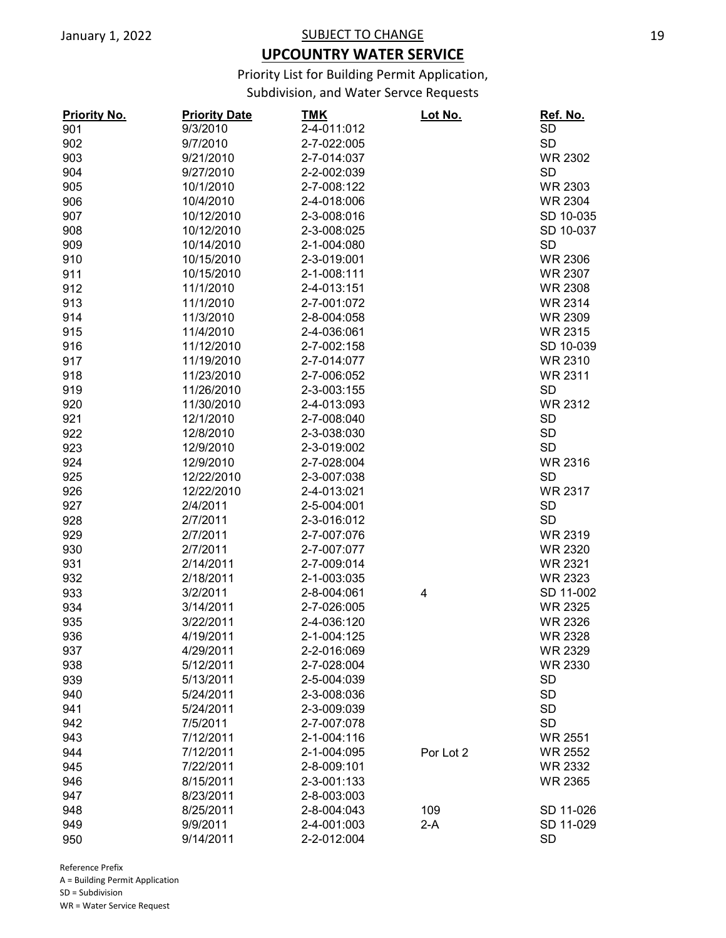## **UPCOUNTRY WATER SERVICE**

Priority List for Building Permit Application,

Subdivision, and Water Servce Requests

| <b>Priority No.</b> | <b>Priority Date</b> | TMK         | <u>Lot No.</u> | Ref. No.       |
|---------------------|----------------------|-------------|----------------|----------------|
| 901                 | 9/3/2010             | 2-4-011:012 |                | <b>SD</b>      |
| 902                 | 9/7/2010             | 2-7-022:005 |                | <b>SD</b>      |
| 903                 | 9/21/2010            | 2-7-014:037 |                | <b>WR 2302</b> |
| 904                 | 9/27/2010            | 2-2-002:039 |                | <b>SD</b>      |
| 905                 | 10/1/2010            | 2-7-008:122 |                | <b>WR 2303</b> |
| 906                 | 10/4/2010            | 2-4-018:006 |                | <b>WR 2304</b> |
| 907                 | 10/12/2010           | 2-3-008:016 |                | SD 10-035      |
| 908                 | 10/12/2010           | 2-3-008:025 |                | SD 10-037      |
| 909                 | 10/14/2010           | 2-1-004:080 |                | <b>SD</b>      |
| 910                 | 10/15/2010           | 2-3-019:001 |                | <b>WR 2306</b> |
| 911                 | 10/15/2010           | 2-1-008:111 |                | <b>WR 2307</b> |
| 912                 | 11/1/2010            | 2-4-013:151 |                | <b>WR 2308</b> |
| 913                 | 11/1/2010            | 2-7-001:072 |                | <b>WR 2314</b> |
| 914                 | 11/3/2010            | 2-8-004:058 |                | <b>WR 2309</b> |
| 915                 | 11/4/2010            | 2-4-036:061 |                | <b>WR 2315</b> |
| 916                 | 11/12/2010           | 2-7-002:158 |                | SD 10-039      |
| 917                 | 11/19/2010           | 2-7-014:077 |                | <b>WR 2310</b> |
| 918                 | 11/23/2010           | 2-7-006:052 |                | <b>WR 2311</b> |
| 919                 | 11/26/2010           | 2-3-003:155 |                | <b>SD</b>      |
| 920                 | 11/30/2010           | 2-4-013:093 |                | <b>WR 2312</b> |
| 921                 | 12/1/2010            | 2-7-008:040 |                | <b>SD</b>      |
|                     | 12/8/2010            | 2-3-038:030 |                | <b>SD</b>      |
| 922                 |                      |             |                | <b>SD</b>      |
| 923                 | 12/9/2010            | 2-3-019:002 |                |                |
| 924                 | 12/9/2010            | 2-7-028:004 |                | <b>WR 2316</b> |
| 925                 | 12/22/2010           | 2-3-007:038 |                | <b>SD</b>      |
| 926                 | 12/22/2010           | 2-4-013:021 |                | <b>WR 2317</b> |
| 927                 | 2/4/2011             | 2-5-004:001 |                | <b>SD</b>      |
| 928                 | 2/7/2011             | 2-3-016:012 |                | <b>SD</b>      |
| 929                 | 2/7/2011             | 2-7-007:076 |                | WR 2319        |
| 930                 | 2/7/2011             | 2-7-007:077 |                | <b>WR 2320</b> |
| 931                 | 2/14/2011            | 2-7-009:014 |                | <b>WR 2321</b> |
| 932                 | 2/18/2011            | 2-1-003:035 |                | <b>WR 2323</b> |
| 933                 | 3/2/2011             | 2-8-004:061 | 4              | SD 11-002      |
| 934                 | 3/14/2011            | 2-7-026:005 |                | <b>WR 2325</b> |
| 935                 | 3/22/2011            | 2-4-036:120 |                | <b>WR 2326</b> |
| 936                 | 4/19/2011            | 2-1-004:125 |                | <b>WR 2328</b> |
| 937                 | 4/29/2011            | 2-2-016:069 |                | <b>WR 2329</b> |
| 938                 | 5/12/2011            | 2-7-028:004 |                | <b>WR 2330</b> |
| 939                 | 5/13/2011            | 2-5-004:039 |                | <b>SD</b>      |
| 940                 | 5/24/2011            | 2-3-008:036 |                | <b>SD</b>      |
| 941                 | 5/24/2011            | 2-3-009:039 |                | <b>SD</b>      |
| 942                 | 7/5/2011             | 2-7-007:078 |                | <b>SD</b>      |
| 943                 | 7/12/2011            | 2-1-004:116 |                | <b>WR 2551</b> |
| 944                 | 7/12/2011            | 2-1-004:095 | Por Lot 2      | <b>WR 2552</b> |
| 945                 | 7/22/2011            | 2-8-009:101 |                | <b>WR 2332</b> |
| 946                 | 8/15/2011            | 2-3-001:133 |                | <b>WR 2365</b> |
| 947                 | 8/23/2011            | 2-8-003:003 |                |                |
| 948                 | 8/25/2011            | 2-8-004:043 | 109            | SD 11-026      |
| 949                 | 9/9/2011             | 2-4-001:003 | $2-A$          | SD 11-029      |
| 950                 | 9/14/2011            | 2-2-012:004 |                | <b>SD</b>      |
|                     |                      |             |                |                |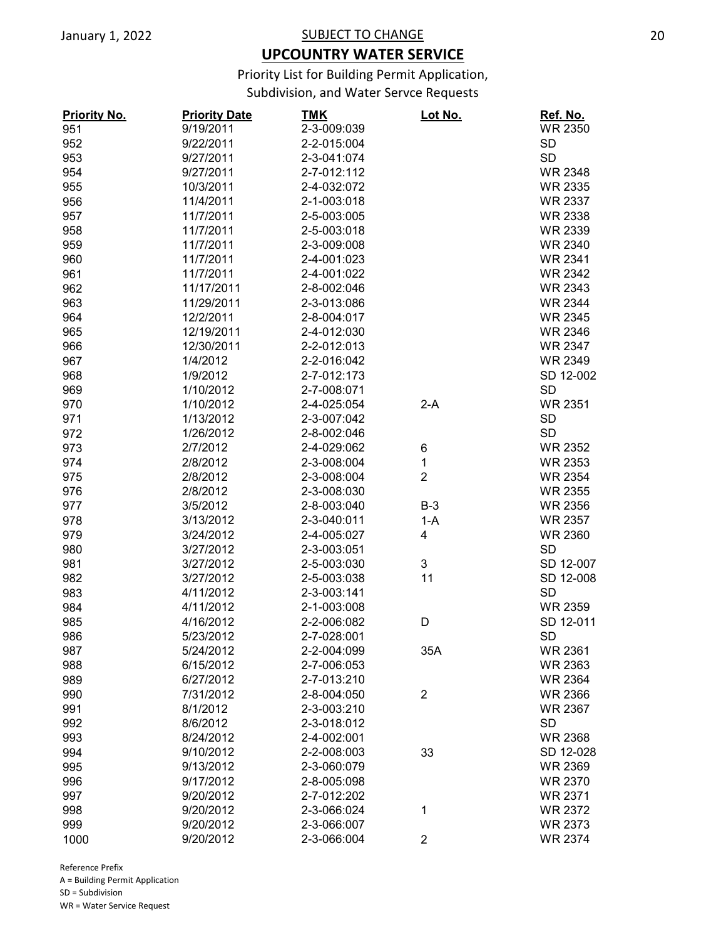## **UPCOUNTRY WATER SERVICE**

Priority List for Building Permit Application,

Subdivision, and Water Servce Requests

| <b>Priority No.</b> | <b>Priority Date</b> | <b>TMK</b>  | Lot No.                 | Ref. No.       |
|---------------------|----------------------|-------------|-------------------------|----------------|
| 951                 | 9/19/2011            | 2-3-009:039 |                         | <b>WR 2350</b> |
| 952                 | 9/22/2011            | 2-2-015:004 |                         | <b>SD</b>      |
| 953                 | 9/27/2011            | 2-3-041:074 |                         | <b>SD</b>      |
| 954                 | 9/27/2011            | 2-7-012:112 |                         | <b>WR 2348</b> |
| 955                 | 10/3/2011            | 2-4-032:072 |                         | <b>WR 2335</b> |
| 956                 | 11/4/2011            | 2-1-003:018 |                         | <b>WR 2337</b> |
| 957                 | 11/7/2011            | 2-5-003:005 |                         | <b>WR 2338</b> |
| 958                 | 11/7/2011            | 2-5-003:018 |                         | <b>WR 2339</b> |
| 959                 | 11/7/2011            | 2-3-009:008 |                         | <b>WR 2340</b> |
| 960                 | 11/7/2011            | 2-4-001:023 |                         | <b>WR 2341</b> |
| 961                 | 11/7/2011            | 2-4-001:022 |                         | <b>WR 2342</b> |
| 962                 | 11/17/2011           | 2-8-002:046 |                         | <b>WR 2343</b> |
| 963                 | 11/29/2011           | 2-3-013:086 |                         | <b>WR 2344</b> |
| 964                 | 12/2/2011            | 2-8-004:017 |                         | <b>WR 2345</b> |
| 965                 | 12/19/2011           | 2-4-012:030 |                         | <b>WR 2346</b> |
| 966                 | 12/30/2011           | 2-2-012:013 |                         | <b>WR 2347</b> |
| 967                 | 1/4/2012             | 2-2-016:042 |                         | <b>WR 2349</b> |
| 968                 | 1/9/2012             | 2-7-012:173 |                         | SD 12-002      |
| 969                 | 1/10/2012            | 2-7-008:071 |                         | <b>SD</b>      |
| 970                 | 1/10/2012            | 2-4-025:054 | $2-A$                   | <b>WR 2351</b> |
| 971                 | 1/13/2012            | 2-3-007:042 |                         | <b>SD</b>      |
| 972                 | 1/26/2012            | 2-8-002:046 |                         | <b>SD</b>      |
| 973                 | 2/7/2012             | 2-4-029:062 | 6                       | <b>WR 2352</b> |
| 974                 | 2/8/2012             | 2-3-008:004 | 1                       | <b>WR 2353</b> |
| 975                 | 2/8/2012             | 2-3-008:004 | $\overline{2}$          | <b>WR 2354</b> |
| 976                 | 2/8/2012             | 2-3-008:030 |                         | <b>WR 2355</b> |
| 977                 | 3/5/2012             | 2-8-003:040 | $B-3$                   | <b>WR 2356</b> |
| 978                 | 3/13/2012            | 2-3-040:011 | $1-A$                   | <b>WR 2357</b> |
| 979                 | 3/24/2012            | 2-4-005:027 | 4                       | <b>WR 2360</b> |
| 980                 | 3/27/2012            | 2-3-003:051 |                         | <b>SD</b>      |
| 981                 | 3/27/2012            | 2-5-003:030 | 3                       | SD 12-007      |
| 982                 | 3/27/2012            | 2-5-003:038 | 11                      | SD 12-008      |
| 983                 | 4/11/2012            | 2-3-003:141 |                         | <b>SD</b>      |
| 984                 | 4/11/2012            | 2-1-003:008 |                         | <b>WR 2359</b> |
| 985                 | 4/16/2012            | 2-2-006:082 | D                       | SD 12-011      |
| 986                 | 5/23/2012            | 2-7-028:001 |                         | <b>SD</b>      |
| 987                 | 5/24/2012            | 2-2-004:099 | 35A                     | WR 2361        |
| 988                 | 6/15/2012            | 2-7-006:053 |                         | <b>WR 2363</b> |
| 989                 | 6/27/2012            | 2-7-013:210 |                         | <b>WR 2364</b> |
| 990                 | 7/31/2012            | 2-8-004:050 | $\overline{2}$          | <b>WR 2366</b> |
| 991                 | 8/1/2012             | 2-3-003:210 |                         | WR 2367        |
| 992                 | 8/6/2012             | 2-3-018:012 |                         | <b>SD</b>      |
| 993                 | 8/24/2012            | 2-4-002:001 |                         | <b>WR 2368</b> |
| 994                 | 9/10/2012            | 2-2-008:003 | 33                      | SD 12-028      |
| 995                 | 9/13/2012            | 2-3-060:079 |                         | <b>WR 2369</b> |
| 996                 | 9/17/2012            | 2-8-005:098 |                         | <b>WR 2370</b> |
| 997                 | 9/20/2012            | 2-7-012:202 |                         | <b>WR 2371</b> |
| 998                 | 9/20/2012            | 2-3-066:024 | 1                       | <b>WR 2372</b> |
| 999                 | 9/20/2012            | 2-3-066:007 |                         | <b>WR 2373</b> |
| 1000                | 9/20/2012            | 2-3-066:004 | $\overline{\mathbf{c}}$ | <b>WR 2374</b> |
|                     |                      |             |                         |                |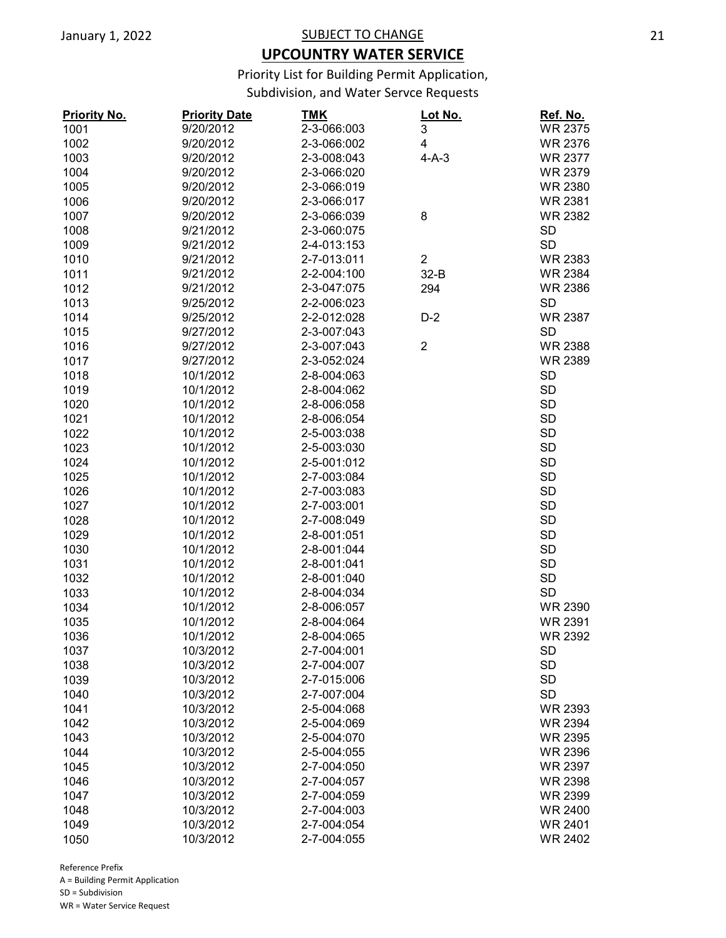## **UPCOUNTRY WATER SERVICE**

Priority List for Building Permit Application,

Subdivision, and Water Servce Requests

| <b>Priority No.</b> | <b>Priority Date</b> | <b>TMK</b>  | Lot No.                 | Ref. No.       |
|---------------------|----------------------|-------------|-------------------------|----------------|
| 1001                | 9/20/2012            | 2-3-066:003 | 3                       | <b>WR 2375</b> |
| 1002                | 9/20/2012            | 2-3-066:002 | 4                       | <b>WR 2376</b> |
| 1003                | 9/20/2012            | 2-3-008:043 | $4-A-3$                 | <b>WR 2377</b> |
| 1004                | 9/20/2012            | 2-3-066:020 |                         | <b>WR 2379</b> |
| 1005                | 9/20/2012            | 2-3-066:019 |                         | <b>WR 2380</b> |
| 1006                | 9/20/2012            | 2-3-066:017 |                         | <b>WR 2381</b> |
| 1007                | 9/20/2012            | 2-3-066:039 | 8                       | <b>WR 2382</b> |
| 1008                | 9/21/2012            | 2-3-060:075 |                         | <b>SD</b>      |
| 1009                | 9/21/2012            | 2-4-013:153 |                         | <b>SD</b>      |
| 1010                | 9/21/2012            | 2-7-013:011 | $\overline{\mathbf{c}}$ | <b>WR 2383</b> |
| 1011                | 9/21/2012            | 2-2-004:100 | $32-B$                  | <b>WR 2384</b> |
| 1012                | 9/21/2012            | 2-3-047:075 | 294                     | <b>WR 2386</b> |
| 1013                | 9/25/2012            | 2-2-006:023 |                         | <b>SD</b>      |
| 1014                | 9/25/2012            | 2-2-012:028 | $D-2$                   | <b>WR 2387</b> |
| 1015                | 9/27/2012            | 2-3-007:043 |                         | <b>SD</b>      |
| 1016                | 9/27/2012            | 2-3-007:043 | $\overline{2}$          | <b>WR 2388</b> |
| 1017                | 9/27/2012            | 2-3-052:024 |                         | <b>WR 2389</b> |
| 1018                | 10/1/2012            | 2-8-004:063 |                         | <b>SD</b>      |
| 1019                | 10/1/2012            | 2-8-004:062 |                         | <b>SD</b>      |
| 1020                | 10/1/2012            | 2-8-006:058 |                         | <b>SD</b>      |
|                     |                      |             |                         |                |
| 1021                | 10/1/2012            | 2-8-006:054 |                         | <b>SD</b>      |
| 1022                | 10/1/2012            | 2-5-003:038 |                         | <b>SD</b>      |
| 1023                | 10/1/2012            | 2-5-003:030 |                         | <b>SD</b>      |
| 1024                | 10/1/2012            | 2-5-001:012 |                         | <b>SD</b>      |
| 1025                | 10/1/2012            | 2-7-003:084 |                         | <b>SD</b>      |
| 1026                | 10/1/2012            | 2-7-003:083 |                         | <b>SD</b>      |
| 1027                | 10/1/2012            | 2-7-003:001 |                         | <b>SD</b>      |
| 1028                | 10/1/2012            | 2-7-008:049 |                         | <b>SD</b>      |
| 1029                | 10/1/2012            | 2-8-001:051 |                         | <b>SD</b>      |
| 1030                | 10/1/2012            | 2-8-001:044 |                         | <b>SD</b>      |
| 1031                | 10/1/2012            | 2-8-001:041 |                         | <b>SD</b>      |
| 1032                | 10/1/2012            | 2-8-001:040 |                         | <b>SD</b>      |
| 1033                | 10/1/2012            | 2-8-004:034 |                         | <b>SD</b>      |
| 1034                | 10/1/2012            | 2-8-006:057 |                         | <b>WR 2390</b> |
| 1035                | 10/1/2012            | 2-8-004:064 |                         | <b>WR 2391</b> |
| 1036                | 10/1/2012            | 2-8-004:065 |                         | <b>WR 2392</b> |
| 1037                | 10/3/2012            | 2-7-004:001 |                         | <b>SD</b>      |
| 1038                | 10/3/2012            | 2-7-004:007 |                         | <b>SD</b>      |
| 1039                | 10/3/2012            | 2-7-015:006 |                         | <b>SD</b>      |
| 1040                | 10/3/2012            | 2-7-007:004 |                         | <b>SD</b>      |
| 1041                | 10/3/2012            | 2-5-004:068 |                         | <b>WR 2393</b> |
| 1042                | 10/3/2012            | 2-5-004:069 |                         | <b>WR 2394</b> |
| 1043                | 10/3/2012            | 2-5-004:070 |                         | <b>WR 2395</b> |
| 1044                | 10/3/2012            | 2-5-004:055 |                         | <b>WR 2396</b> |
| 1045                | 10/3/2012            | 2-7-004:050 |                         | <b>WR 2397</b> |
| 1046                | 10/3/2012            | 2-7-004:057 |                         | <b>WR 2398</b> |
| 1047                | 10/3/2012            | 2-7-004:059 |                         | <b>WR 2399</b> |
| 1048                | 10/3/2012            | 2-7-004:003 |                         | <b>WR 2400</b> |
| 1049                | 10/3/2012            | 2-7-004:054 |                         | <b>WR 2401</b> |
| 1050                | 10/3/2012            | 2-7-004:055 |                         | <b>WR 2402</b> |
|                     |                      |             |                         |                |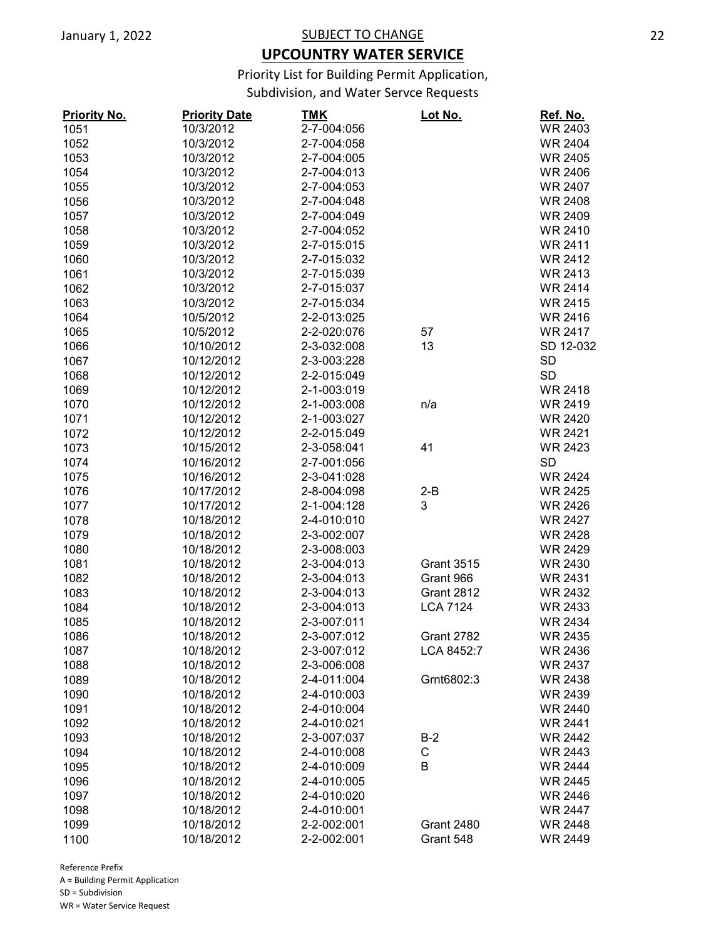## **UPCOUNTRY WATER SERVICE**

Priority List for Building Permit Application,

Subdivision, and Water Servce Requests

| <b>Priority No.</b> | <b>Priority Date</b> | <u>TMK</u>  | <u>Lot No.</u>    | Ref. No.       |
|---------------------|----------------------|-------------|-------------------|----------------|
| 1051                | 10/3/2012            | 2-7-004:056 |                   | <b>WR 2403</b> |
| 1052                | 10/3/2012            | 2-7-004:058 |                   | <b>WR 2404</b> |
| 1053                | 10/3/2012            | 2-7-004:005 |                   | <b>WR 2405</b> |
| 1054                | 10/3/2012            | 2-7-004:013 |                   | <b>WR 2406</b> |
| 1055                | 10/3/2012            | 2-7-004:053 |                   | <b>WR 2407</b> |
| 1056                | 10/3/2012            | 2-7-004:048 |                   | <b>WR 2408</b> |
| 1057                | 10/3/2012            | 2-7-004:049 |                   | WR 2409        |
| 1058                | 10/3/2012            | 2-7-004:052 |                   | <b>WR 2410</b> |
| 1059                | 10/3/2012            | 2-7-015:015 |                   | <b>WR 2411</b> |
| 1060                | 10/3/2012            | 2-7-015:032 |                   | <b>WR 2412</b> |
| 1061                | 10/3/2012            | 2-7-015:039 |                   | <b>WR 2413</b> |
| 1062                | 10/3/2012            | 2-7-015:037 |                   | <b>WR 2414</b> |
| 1063                | 10/3/2012            | 2-7-015:034 |                   | <b>WR 2415</b> |
| 1064                | 10/5/2012            | 2-2-013:025 |                   | <b>WR 2416</b> |
| 1065                | 10/5/2012            | 2-2-020:076 | 57                | <b>WR 2417</b> |
| 1066                | 10/10/2012           | 2-3-032:008 | 13                | SD 12-032      |
| 1067                | 10/12/2012           | 2-3-003:228 |                   | <b>SD</b>      |
| 1068                | 10/12/2012           | 2-2-015:049 |                   | <b>SD</b>      |
| 1069                | 10/12/2012           | 2-1-003:019 |                   | <b>WR 2418</b> |
| 1070                | 10/12/2012           | 2-1-003:008 | n/a               | <b>WR 2419</b> |
| 1071                | 10/12/2012           | 2-1-003:027 |                   | <b>WR 2420</b> |
| 1072                | 10/12/2012           | 2-2-015:049 |                   | <b>WR 2421</b> |
| 1073                | 10/15/2012           | 2-3-058:041 | 41                | <b>WR 2423</b> |
|                     |                      |             |                   | <b>SD</b>      |
| 1074                | 10/16/2012           | 2-7-001:056 |                   | <b>WR 2424</b> |
| 1075                | 10/16/2012           | 2-3-041:028 |                   |                |
| 1076                | 10/17/2012           | 2-8-004:098 | $2 - B$           | <b>WR 2425</b> |
| 1077                | 10/17/2012           | 2-1-004:128 | 3                 | <b>WR 2426</b> |
| 1078                | 10/18/2012           | 2-4-010:010 |                   | <b>WR 2427</b> |
| 1079                | 10/18/2012           | 2-3-002:007 |                   | <b>WR 2428</b> |
| 1080                | 10/18/2012           | 2-3-008:003 |                   | <b>WR 2429</b> |
| 1081                | 10/18/2012           | 2-3-004:013 | <b>Grant 3515</b> | <b>WR 2430</b> |
| 1082                | 10/18/2012           | 2-3-004:013 | Grant 966         | <b>WR 2431</b> |
| 1083                | 10/18/2012           | 2-3-004:013 | <b>Grant 2812</b> | <b>WR 2432</b> |
| 1084                | 10/18/2012           | 2-3-004:013 | <b>LCA 7124</b>   | WR 2433        |
| 1085                | 10/18/2012           | 2-3-007:011 |                   | <b>WR 2434</b> |
| 1086                | 10/18/2012           | 2-3-007:012 | Grant 2782        | <b>WR 2435</b> |
| 1087                | 10/18/2012           | 2-3-007:012 | LCA 8452:7        | WR 2436        |
| 1088                | 10/18/2012           | 2-3-006:008 |                   | <b>WR 2437</b> |
| 1089                | 10/18/2012           | 2-4-011:004 | Grnt6802:3        | <b>WR 2438</b> |
| 1090                | 10/18/2012           | 2-4-010:003 |                   | WR 2439        |
| 1091                | 10/18/2012           | 2-4-010:004 |                   | <b>WR 2440</b> |
| 1092                | 10/18/2012           | 2-4-010:021 |                   | <b>WR 2441</b> |
| 1093                | 10/18/2012           | 2-3-007:037 | $B-2$             | <b>WR 2442</b> |
| 1094                | 10/18/2012           | 2-4-010:008 | С                 | <b>WR 2443</b> |
| 1095                | 10/18/2012           | 2-4-010:009 | В                 | <b>WR 2444</b> |
| 1096                | 10/18/2012           | 2-4-010:005 |                   | <b>WR 2445</b> |
| 1097                | 10/18/2012           | 2-4-010:020 |                   | <b>WR 2446</b> |
| 1098                | 10/18/2012           | 2-4-010:001 |                   | <b>WR 2447</b> |
| 1099                | 10/18/2012           | 2-2-002:001 | <b>Grant 2480</b> | <b>WR 2448</b> |
| 1100                | 10/18/2012           | 2-2-002:001 | Grant 548         | <b>WR 2449</b> |
|                     |                      |             |                   |                |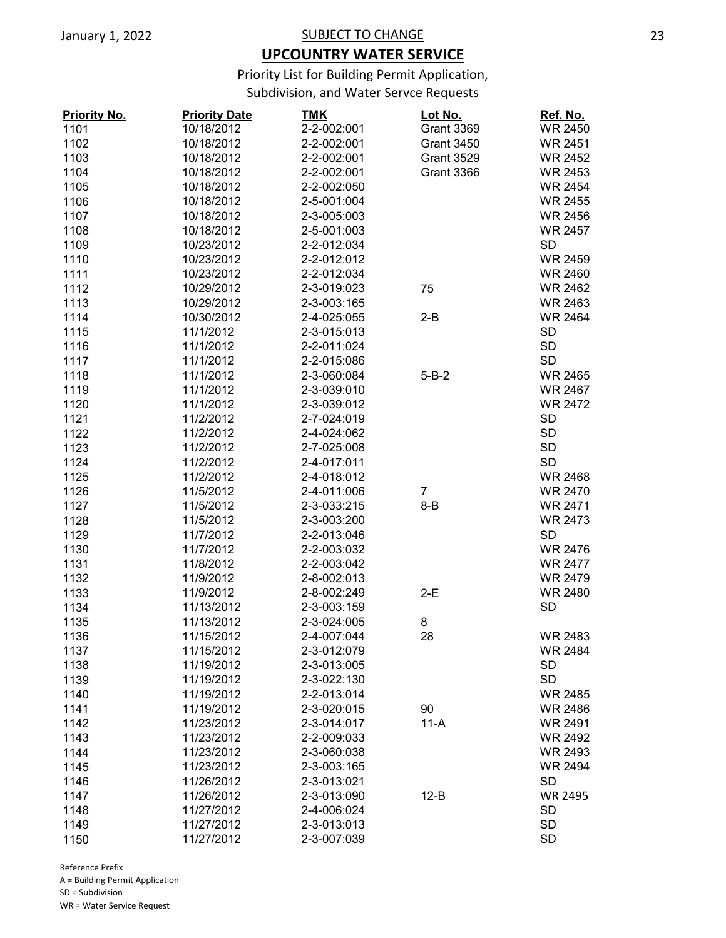## **UPCOUNTRY WATER SERVICE**

Priority List for Building Permit Application,

Subdivision, and Water Servce Requests

| <b>Priority No.</b> | <b>Priority Date</b> | <b>TMK</b>  | Lot No.           | Ref. No.       |
|---------------------|----------------------|-------------|-------------------|----------------|
| 1101                | 10/18/2012           | 2-2-002:001 | <b>Grant 3369</b> | <b>WR 2450</b> |
| 1102                | 10/18/2012           | 2-2-002:001 | <b>Grant 3450</b> | <b>WR 2451</b> |
| 1103                | 10/18/2012           | 2-2-002:001 | <b>Grant 3529</b> | <b>WR 2452</b> |
| 1104                | 10/18/2012           | 2-2-002:001 | <b>Grant 3366</b> | <b>WR 2453</b> |
| 1105                | 10/18/2012           | 2-2-002:050 |                   | <b>WR 2454</b> |
| 1106                | 10/18/2012           | 2-5-001:004 |                   | <b>WR 2455</b> |
| 1107                | 10/18/2012           | 2-3-005:003 |                   | <b>WR 2456</b> |
| 1108                | 10/18/2012           | 2-5-001:003 |                   | <b>WR 2457</b> |
| 1109                | 10/23/2012           | 2-2-012:034 |                   | <b>SD</b>      |
| 1110                | 10/23/2012           | 2-2-012:012 |                   | <b>WR 2459</b> |
| 1111                | 10/23/2012           | 2-2-012:034 |                   | <b>WR 2460</b> |
| 1112                | 10/29/2012           | 2-3-019:023 | 75                | <b>WR 2462</b> |
| 1113                | 10/29/2012           | 2-3-003:165 |                   | <b>WR 2463</b> |
| 1114                | 10/30/2012           | 2-4-025:055 | 2-B               | <b>WR 2464</b> |
| 1115                | 11/1/2012            | 2-3-015:013 |                   | <b>SD</b>      |
| 1116                | 11/1/2012            | 2-2-011:024 |                   | <b>SD</b>      |
| 1117                | 11/1/2012            | 2-2-015:086 |                   | <b>SD</b>      |
| 1118                | 11/1/2012            | 2-3-060:084 | $5 - B - 2$       | <b>WR 2465</b> |
| 1119                | 11/1/2012            | 2-3-039:010 |                   | <b>WR 2467</b> |
| 1120                | 11/1/2012            | 2-3-039:012 |                   | <b>WR 2472</b> |
| 1121                | 11/2/2012            | 2-7-024:019 |                   | <b>SD</b>      |
|                     |                      |             |                   | <b>SD</b>      |
| 1122                | 11/2/2012            | 2-4-024:062 |                   |                |
| 1123                | 11/2/2012            | 2-7-025:008 |                   | <b>SD</b>      |
| 1124                | 11/2/2012            | 2-4-017:011 |                   | <b>SD</b>      |
| 1125                | 11/2/2012            | 2-4-018:012 |                   | <b>WR 2468</b> |
| 1126                | 11/5/2012            | 2-4-011:006 | $\overline{7}$    | <b>WR 2470</b> |
| 1127                | 11/5/2012            | 2-3-033:215 | $8 - B$           | <b>WR 2471</b> |
| 1128                | 11/5/2012            | 2-3-003:200 |                   | <b>WR 2473</b> |
| 1129                | 11/7/2012            | 2-2-013:046 |                   | <b>SD</b>      |
| 1130                | 11/7/2012            | 2-2-003:032 |                   | <b>WR 2476</b> |
| 1131                | 11/8/2012            | 2-2-003:042 |                   | <b>WR 2477</b> |
| 1132                | 11/9/2012            | 2-8-002:013 |                   | <b>WR 2479</b> |
| 1133                | 11/9/2012            | 2-8-002:249 | $2-E$             | <b>WR 2480</b> |
| 1134                | 11/13/2012           | 2-3-003:159 |                   | <b>SD</b>      |
| 1135                | 11/13/2012           | 2-3-024:005 | 8                 |                |
| 1136                | 11/15/2012           | 2-4-007:044 | 28                | <b>WR 2483</b> |
| 1137                | 11/15/2012           | 2-3-012:079 |                   | WR 2484        |
| 1138                | 11/19/2012           | 2-3-013:005 |                   | <b>SD</b>      |
| 1139                | 11/19/2012           | 2-3-022:130 |                   | <b>SD</b>      |
| 1140                | 11/19/2012           | 2-2-013:014 |                   | <b>WR 2485</b> |
| 1141                | 11/19/2012           | 2-3-020:015 | 90                | WR 2486        |
| 1142                | 11/23/2012           | 2-3-014:017 | $11-A$            | WR 2491        |
| 1143                | 11/23/2012           | 2-2-009:033 |                   | <b>WR 2492</b> |
| 1144                | 11/23/2012           | 2-3-060:038 |                   | <b>WR 2493</b> |
| 1145                | 11/23/2012           | 2-3-003:165 |                   | <b>WR 2494</b> |
| 1146                | 11/26/2012           | 2-3-013:021 |                   | <b>SD</b>      |
| 1147                | 11/26/2012           | 2-3-013:090 | $12-B$            | <b>WR 2495</b> |
| 1148                | 11/27/2012           | 2-4-006:024 |                   | <b>SD</b>      |
| 1149                | 11/27/2012           | 2-3-013:013 |                   | <b>SD</b>      |
| 1150                | 11/27/2012           | 2-3-007:039 |                   | <b>SD</b>      |
|                     |                      |             |                   |                |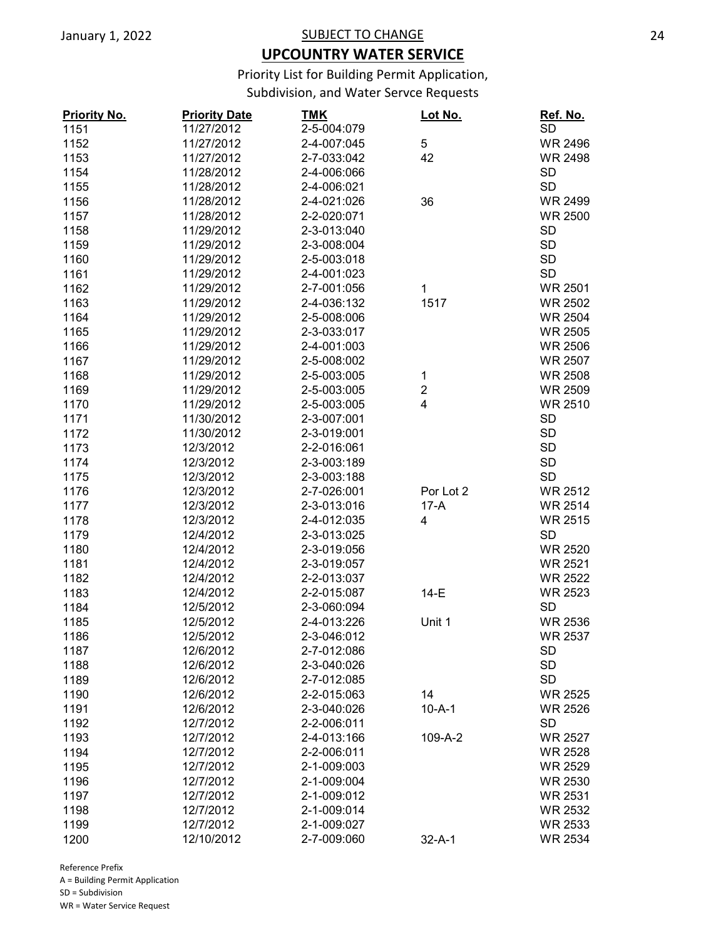## **UPCOUNTRY WATER SERVICE**

Priority List for Building Permit Application,

Subdivision, and Water Servce Requests

| <b>Priority No.</b> | <b>Priority Date</b> | <b>TMK</b>  | Lot No.        | Ref. No.       |
|---------------------|----------------------|-------------|----------------|----------------|
| 1151                | 11/27/2012           | 2-5-004:079 |                | <b>SD</b>      |
| 1152                | 11/27/2012           | 2-4-007:045 | 5              | <b>WR 2496</b> |
| 1153                | 11/27/2012           | 2-7-033:042 | 42             | <b>WR 2498</b> |
| 1154                | 11/28/2012           | 2-4-006:066 |                | <b>SD</b>      |
| 1155                | 11/28/2012           | 2-4-006:021 |                | <b>SD</b>      |
| 1156                | 11/28/2012           | 2-4-021:026 | 36             | WR 2499        |
| 1157                | 11/28/2012           | 2-2-020:071 |                | <b>WR 2500</b> |
| 1158                | 11/29/2012           | 2-3-013:040 |                | <b>SD</b>      |
| 1159                | 11/29/2012           | 2-3-008:004 |                | <b>SD</b>      |
| 1160                | 11/29/2012           | 2-5-003:018 |                | <b>SD</b>      |
| 1161                | 11/29/2012           | 2-4-001:023 |                | <b>SD</b>      |
| 1162                | 11/29/2012           | 2-7-001:056 | 1              | WR 2501        |
| 1163                | 11/29/2012           | 2-4-036:132 | 1517           | <b>WR 2502</b> |
| 1164                | 11/29/2012           | 2-5-008:006 |                | <b>WR 2504</b> |
| 1165                | 11/29/2012           | 2-3-033:017 |                | <b>WR 2505</b> |
| 1166                | 11/29/2012           | 2-4-001:003 |                | <b>WR 2506</b> |
| 1167                | 11/29/2012           | 2-5-008:002 |                | <b>WR 2507</b> |
| 1168                | 11/29/2012           | 2-5-003:005 | 1              | <b>WR 2508</b> |
| 1169                | 11/29/2012           | 2-5-003:005 | $\overline{2}$ | <b>WR 2509</b> |
| 1170                | 11/29/2012           | 2-5-003:005 | 4              | <b>WR 2510</b> |
| 1171                | 11/30/2012           | 2-3-007:001 |                | <b>SD</b>      |
|                     |                      | 2-3-019:001 |                | <b>SD</b>      |
| 1172                | 11/30/2012           | 2-2-016:061 |                | <b>SD</b>      |
| 1173                | 12/3/2012            |             |                |                |
| 1174                | 12/3/2012            | 2-3-003:189 |                | <b>SD</b>      |
| 1175                | 12/3/2012            | 2-3-003:188 |                | <b>SD</b>      |
| 1176                | 12/3/2012            | 2-7-026:001 | Por Lot 2      | <b>WR 2512</b> |
| 1177                | 12/3/2012            | 2-3-013:016 | $17-A$         | <b>WR 2514</b> |
| 1178                | 12/3/2012            | 2-4-012:035 | 4              | <b>WR 2515</b> |
| 1179                | 12/4/2012            | 2-3-013:025 |                | <b>SD</b>      |
| 1180                | 12/4/2012            | 2-3-019:056 |                | <b>WR 2520</b> |
| 1181                | 12/4/2012            | 2-3-019:057 |                | <b>WR 2521</b> |
| 1182                | 12/4/2012            | 2-2-013:037 |                | <b>WR 2522</b> |
| 1183                | 12/4/2012            | 2-2-015:087 | $14-E$         | <b>WR 2523</b> |
| 1184                | 12/5/2012            | 2-3-060:094 |                | <b>SD</b>      |
| 1185                | 12/5/2012            | 2-4-013:226 | Unit 1         | <b>WR 2536</b> |
| 1186                | 12/5/2012            | 2-3-046:012 |                | WR 2537        |
| 1187                | 12/6/2012            | 2-7-012:086 |                | <b>SD</b>      |
| 1188                | 12/6/2012            | 2-3-040:026 |                | <b>SD</b>      |
| 1189                | 12/6/2012            | 2-7-012:085 |                | <b>SD</b>      |
| 1190                | 12/6/2012            | 2-2-015:063 | 14             | <b>WR 2525</b> |
| 1191                | 12/6/2012            | 2-3-040:026 | $10 - A - 1$   | <b>WR 2526</b> |
| 1192                | 12/7/2012            | 2-2-006:011 |                | <b>SD</b>      |
| 1193                | 12/7/2012            | 2-4-013:166 | 109-A-2        | <b>WR 2527</b> |
| 1194                | 12/7/2012            | 2-2-006:011 |                | <b>WR 2528</b> |
| 1195                | 12/7/2012            | 2-1-009:003 |                | <b>WR 2529</b> |
| 1196                | 12/7/2012            | 2-1-009:004 |                | <b>WR 2530</b> |
| 1197                | 12/7/2012            | 2-1-009:012 |                | WR 2531        |
| 1198                | 12/7/2012            | 2-1-009:014 |                | <b>WR 2532</b> |
| 1199                | 12/7/2012            | 2-1-009:027 |                | WR 2533        |
| 1200                | 12/10/2012           | 2-7-009:060 | $32 - A - 1$   | <b>WR 2534</b> |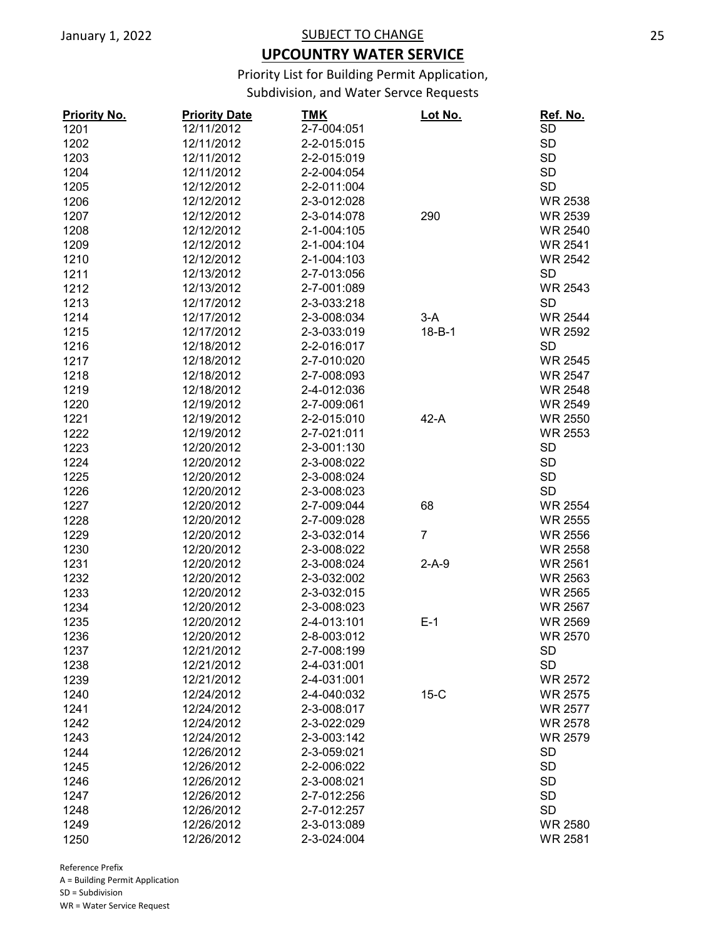## **UPCOUNTRY WATER SERVICE**

Priority List for Building Permit Application,

Subdivision, and Water Servce Requests

| 12/11/2012<br><b>SD</b><br>1201<br>2-7-004:051<br><b>SD</b><br>1202<br>12/11/2012<br>2-2-015:015<br>1203<br><b>SD</b><br>12/11/2012<br>2-2-015:019<br><b>SD</b><br>1204<br>12/11/2012<br>2-2-004:054<br><b>SD</b><br>1205<br>12/12/2012<br>2-2-011:004<br>1206<br>12/12/2012<br>2-3-012:028<br><b>WR 2538</b><br>1207<br>12/12/2012<br>2-3-014:078<br><b>WR 2539</b><br>290<br>1208<br>12/12/2012<br>2-1-004:105<br><b>WR 2540</b><br>1209<br>12/12/2012<br>2-1-004:104<br><b>WR 2541</b><br>1210<br>12/12/2012<br>2-1-004:103<br><b>WR 2542</b><br><b>SD</b><br>12/13/2012<br>2-7-013:056<br>1211<br>1212<br>12/13/2012<br>2-7-001:089<br><b>WR 2543</b><br>1213<br><b>SD</b><br>12/17/2012<br>2-3-033:218<br>1214<br>12/17/2012<br>2-3-008:034<br><b>WR 2544</b><br>$3-A$<br>$18 - B - 1$<br>1215<br>12/17/2012<br>2-3-033:019<br><b>WR 2592</b><br>12/18/2012<br>2-2-016:017<br><b>SD</b><br>1216<br>1217<br>12/18/2012<br>2-7-010:020<br><b>WR 2545</b><br>1218<br>12/18/2012<br>2-7-008:093<br>WR 2547<br>2-4-012:036<br><b>WR 2548</b><br>1219<br>12/18/2012<br>1220<br>12/19/2012<br>2-7-009:061<br><b>WR 2549</b><br>1221<br>12/19/2012<br>2-2-015:010<br>$42-A$<br><b>WR 2550</b><br>12/19/2012<br>2-7-021:011<br><b>WR 2553</b><br>1222<br><b>SD</b><br>1223<br>12/20/2012<br>2-3-001:130<br><b>SD</b><br>1224<br>12/20/2012<br>2-3-008:022<br><b>SD</b><br>12/20/2012<br>2-3-008:024<br>1225<br><b>SD</b><br>1226<br>12/20/2012<br>2-3-008:023<br>12/20/2012<br>2-7-009:044<br>1227<br>68<br><b>WR 2554</b><br>1228<br>12/20/2012<br>2-7-009:028<br><b>WR 2555</b><br>$\overline{7}$<br>1229<br>12/20/2012<br>2-3-032:014<br><b>WR 2556</b><br>12/20/2012<br>2-3-008:022<br><b>WR 2558</b><br>1230<br>1231<br>12/20/2012<br>2-3-008:024<br>$2-A-9$<br><b>WR 2561</b><br>1232<br>12/20/2012<br>2-3-032:002<br>WR 2563<br>12/20/2012<br>2-3-032:015<br><b>WR 2565</b><br>1233<br>1234<br>12/20/2012<br>2-3-008:023<br><b>WR 2567</b><br>1235<br>12/20/2012<br>2-4-013:101<br>$E-1$<br>WR 2569<br>12/20/2012<br>2-8-003:012<br><b>WR 2570</b><br>1236<br>2-7-008:199<br><b>SD</b><br>1237<br>12/21/2012<br><b>SD</b><br>1238<br>12/21/2012<br>2-4-031:001<br>1239<br>12/21/2012<br>2-4-031:001<br><b>WR 2572</b><br>1240<br>12/24/2012<br>2-4-040:032<br>$15-C$<br><b>WR 2575</b><br>1241<br>12/24/2012<br>2-3-008:017<br><b>WR 2577</b><br>1242<br><b>WR 2578</b><br>12/24/2012<br>2-3-022:029<br>1243<br><b>WR 2579</b><br>12/24/2012<br>2-3-003:142<br><b>SD</b><br>1244<br>12/26/2012<br>2-3-059:021<br>1245<br><b>SD</b><br>12/26/2012<br>2-2-006:022<br>1246<br>12/26/2012<br>2-3-008:021<br><b>SD</b><br><b>SD</b><br>12/26/2012<br>2-7-012:256<br>1247<br><b>SD</b><br>1248<br>12/26/2012<br>2-7-012:257<br>1249<br>12/26/2012<br>2-3-013:089<br><b>WR 2580</b><br>1250<br>12/26/2012<br>2-3-024:004<br><b>WR 2581</b> | <b>Priority No.</b> | <b>Priority Date</b> | <b>TMK</b> | <u>Lot No.</u> | Ref. No. |
|----------------------------------------------------------------------------------------------------------------------------------------------------------------------------------------------------------------------------------------------------------------------------------------------------------------------------------------------------------------------------------------------------------------------------------------------------------------------------------------------------------------------------------------------------------------------------------------------------------------------------------------------------------------------------------------------------------------------------------------------------------------------------------------------------------------------------------------------------------------------------------------------------------------------------------------------------------------------------------------------------------------------------------------------------------------------------------------------------------------------------------------------------------------------------------------------------------------------------------------------------------------------------------------------------------------------------------------------------------------------------------------------------------------------------------------------------------------------------------------------------------------------------------------------------------------------------------------------------------------------------------------------------------------------------------------------------------------------------------------------------------------------------------------------------------------------------------------------------------------------------------------------------------------------------------------------------------------------------------------------------------------------------------------------------------------------------------------------------------------------------------------------------------------------------------------------------------------------------------------------------------------------------------------------------------------------------------------------------------------------------------------------------------------------------------------------------------------------------------------------------------------------------------------------------------------------------------------------------------------------------------------------------------------------------------------------------------------------------------------------------------------------------------------------------------------------------------------|---------------------|----------------------|------------|----------------|----------|
|                                                                                                                                                                                                                                                                                                                                                                                                                                                                                                                                                                                                                                                                                                                                                                                                                                                                                                                                                                                                                                                                                                                                                                                                                                                                                                                                                                                                                                                                                                                                                                                                                                                                                                                                                                                                                                                                                                                                                                                                                                                                                                                                                                                                                                                                                                                                                                                                                                                                                                                                                                                                                                                                                                                                                                                                                                        |                     |                      |            |                |          |
|                                                                                                                                                                                                                                                                                                                                                                                                                                                                                                                                                                                                                                                                                                                                                                                                                                                                                                                                                                                                                                                                                                                                                                                                                                                                                                                                                                                                                                                                                                                                                                                                                                                                                                                                                                                                                                                                                                                                                                                                                                                                                                                                                                                                                                                                                                                                                                                                                                                                                                                                                                                                                                                                                                                                                                                                                                        |                     |                      |            |                |          |
|                                                                                                                                                                                                                                                                                                                                                                                                                                                                                                                                                                                                                                                                                                                                                                                                                                                                                                                                                                                                                                                                                                                                                                                                                                                                                                                                                                                                                                                                                                                                                                                                                                                                                                                                                                                                                                                                                                                                                                                                                                                                                                                                                                                                                                                                                                                                                                                                                                                                                                                                                                                                                                                                                                                                                                                                                                        |                     |                      |            |                |          |
|                                                                                                                                                                                                                                                                                                                                                                                                                                                                                                                                                                                                                                                                                                                                                                                                                                                                                                                                                                                                                                                                                                                                                                                                                                                                                                                                                                                                                                                                                                                                                                                                                                                                                                                                                                                                                                                                                                                                                                                                                                                                                                                                                                                                                                                                                                                                                                                                                                                                                                                                                                                                                                                                                                                                                                                                                                        |                     |                      |            |                |          |
|                                                                                                                                                                                                                                                                                                                                                                                                                                                                                                                                                                                                                                                                                                                                                                                                                                                                                                                                                                                                                                                                                                                                                                                                                                                                                                                                                                                                                                                                                                                                                                                                                                                                                                                                                                                                                                                                                                                                                                                                                                                                                                                                                                                                                                                                                                                                                                                                                                                                                                                                                                                                                                                                                                                                                                                                                                        |                     |                      |            |                |          |
|                                                                                                                                                                                                                                                                                                                                                                                                                                                                                                                                                                                                                                                                                                                                                                                                                                                                                                                                                                                                                                                                                                                                                                                                                                                                                                                                                                                                                                                                                                                                                                                                                                                                                                                                                                                                                                                                                                                                                                                                                                                                                                                                                                                                                                                                                                                                                                                                                                                                                                                                                                                                                                                                                                                                                                                                                                        |                     |                      |            |                |          |
|                                                                                                                                                                                                                                                                                                                                                                                                                                                                                                                                                                                                                                                                                                                                                                                                                                                                                                                                                                                                                                                                                                                                                                                                                                                                                                                                                                                                                                                                                                                                                                                                                                                                                                                                                                                                                                                                                                                                                                                                                                                                                                                                                                                                                                                                                                                                                                                                                                                                                                                                                                                                                                                                                                                                                                                                                                        |                     |                      |            |                |          |
|                                                                                                                                                                                                                                                                                                                                                                                                                                                                                                                                                                                                                                                                                                                                                                                                                                                                                                                                                                                                                                                                                                                                                                                                                                                                                                                                                                                                                                                                                                                                                                                                                                                                                                                                                                                                                                                                                                                                                                                                                                                                                                                                                                                                                                                                                                                                                                                                                                                                                                                                                                                                                                                                                                                                                                                                                                        |                     |                      |            |                |          |
|                                                                                                                                                                                                                                                                                                                                                                                                                                                                                                                                                                                                                                                                                                                                                                                                                                                                                                                                                                                                                                                                                                                                                                                                                                                                                                                                                                                                                                                                                                                                                                                                                                                                                                                                                                                                                                                                                                                                                                                                                                                                                                                                                                                                                                                                                                                                                                                                                                                                                                                                                                                                                                                                                                                                                                                                                                        |                     |                      |            |                |          |
|                                                                                                                                                                                                                                                                                                                                                                                                                                                                                                                                                                                                                                                                                                                                                                                                                                                                                                                                                                                                                                                                                                                                                                                                                                                                                                                                                                                                                                                                                                                                                                                                                                                                                                                                                                                                                                                                                                                                                                                                                                                                                                                                                                                                                                                                                                                                                                                                                                                                                                                                                                                                                                                                                                                                                                                                                                        |                     |                      |            |                |          |
|                                                                                                                                                                                                                                                                                                                                                                                                                                                                                                                                                                                                                                                                                                                                                                                                                                                                                                                                                                                                                                                                                                                                                                                                                                                                                                                                                                                                                                                                                                                                                                                                                                                                                                                                                                                                                                                                                                                                                                                                                                                                                                                                                                                                                                                                                                                                                                                                                                                                                                                                                                                                                                                                                                                                                                                                                                        |                     |                      |            |                |          |
|                                                                                                                                                                                                                                                                                                                                                                                                                                                                                                                                                                                                                                                                                                                                                                                                                                                                                                                                                                                                                                                                                                                                                                                                                                                                                                                                                                                                                                                                                                                                                                                                                                                                                                                                                                                                                                                                                                                                                                                                                                                                                                                                                                                                                                                                                                                                                                                                                                                                                                                                                                                                                                                                                                                                                                                                                                        |                     |                      |            |                |          |
|                                                                                                                                                                                                                                                                                                                                                                                                                                                                                                                                                                                                                                                                                                                                                                                                                                                                                                                                                                                                                                                                                                                                                                                                                                                                                                                                                                                                                                                                                                                                                                                                                                                                                                                                                                                                                                                                                                                                                                                                                                                                                                                                                                                                                                                                                                                                                                                                                                                                                                                                                                                                                                                                                                                                                                                                                                        |                     |                      |            |                |          |
|                                                                                                                                                                                                                                                                                                                                                                                                                                                                                                                                                                                                                                                                                                                                                                                                                                                                                                                                                                                                                                                                                                                                                                                                                                                                                                                                                                                                                                                                                                                                                                                                                                                                                                                                                                                                                                                                                                                                                                                                                                                                                                                                                                                                                                                                                                                                                                                                                                                                                                                                                                                                                                                                                                                                                                                                                                        |                     |                      |            |                |          |
|                                                                                                                                                                                                                                                                                                                                                                                                                                                                                                                                                                                                                                                                                                                                                                                                                                                                                                                                                                                                                                                                                                                                                                                                                                                                                                                                                                                                                                                                                                                                                                                                                                                                                                                                                                                                                                                                                                                                                                                                                                                                                                                                                                                                                                                                                                                                                                                                                                                                                                                                                                                                                                                                                                                                                                                                                                        |                     |                      |            |                |          |
|                                                                                                                                                                                                                                                                                                                                                                                                                                                                                                                                                                                                                                                                                                                                                                                                                                                                                                                                                                                                                                                                                                                                                                                                                                                                                                                                                                                                                                                                                                                                                                                                                                                                                                                                                                                                                                                                                                                                                                                                                                                                                                                                                                                                                                                                                                                                                                                                                                                                                                                                                                                                                                                                                                                                                                                                                                        |                     |                      |            |                |          |
|                                                                                                                                                                                                                                                                                                                                                                                                                                                                                                                                                                                                                                                                                                                                                                                                                                                                                                                                                                                                                                                                                                                                                                                                                                                                                                                                                                                                                                                                                                                                                                                                                                                                                                                                                                                                                                                                                                                                                                                                                                                                                                                                                                                                                                                                                                                                                                                                                                                                                                                                                                                                                                                                                                                                                                                                                                        |                     |                      |            |                |          |
|                                                                                                                                                                                                                                                                                                                                                                                                                                                                                                                                                                                                                                                                                                                                                                                                                                                                                                                                                                                                                                                                                                                                                                                                                                                                                                                                                                                                                                                                                                                                                                                                                                                                                                                                                                                                                                                                                                                                                                                                                                                                                                                                                                                                                                                                                                                                                                                                                                                                                                                                                                                                                                                                                                                                                                                                                                        |                     |                      |            |                |          |
|                                                                                                                                                                                                                                                                                                                                                                                                                                                                                                                                                                                                                                                                                                                                                                                                                                                                                                                                                                                                                                                                                                                                                                                                                                                                                                                                                                                                                                                                                                                                                                                                                                                                                                                                                                                                                                                                                                                                                                                                                                                                                                                                                                                                                                                                                                                                                                                                                                                                                                                                                                                                                                                                                                                                                                                                                                        |                     |                      |            |                |          |
|                                                                                                                                                                                                                                                                                                                                                                                                                                                                                                                                                                                                                                                                                                                                                                                                                                                                                                                                                                                                                                                                                                                                                                                                                                                                                                                                                                                                                                                                                                                                                                                                                                                                                                                                                                                                                                                                                                                                                                                                                                                                                                                                                                                                                                                                                                                                                                                                                                                                                                                                                                                                                                                                                                                                                                                                                                        |                     |                      |            |                |          |
|                                                                                                                                                                                                                                                                                                                                                                                                                                                                                                                                                                                                                                                                                                                                                                                                                                                                                                                                                                                                                                                                                                                                                                                                                                                                                                                                                                                                                                                                                                                                                                                                                                                                                                                                                                                                                                                                                                                                                                                                                                                                                                                                                                                                                                                                                                                                                                                                                                                                                                                                                                                                                                                                                                                                                                                                                                        |                     |                      |            |                |          |
|                                                                                                                                                                                                                                                                                                                                                                                                                                                                                                                                                                                                                                                                                                                                                                                                                                                                                                                                                                                                                                                                                                                                                                                                                                                                                                                                                                                                                                                                                                                                                                                                                                                                                                                                                                                                                                                                                                                                                                                                                                                                                                                                                                                                                                                                                                                                                                                                                                                                                                                                                                                                                                                                                                                                                                                                                                        |                     |                      |            |                |          |
|                                                                                                                                                                                                                                                                                                                                                                                                                                                                                                                                                                                                                                                                                                                                                                                                                                                                                                                                                                                                                                                                                                                                                                                                                                                                                                                                                                                                                                                                                                                                                                                                                                                                                                                                                                                                                                                                                                                                                                                                                                                                                                                                                                                                                                                                                                                                                                                                                                                                                                                                                                                                                                                                                                                                                                                                                                        |                     |                      |            |                |          |
|                                                                                                                                                                                                                                                                                                                                                                                                                                                                                                                                                                                                                                                                                                                                                                                                                                                                                                                                                                                                                                                                                                                                                                                                                                                                                                                                                                                                                                                                                                                                                                                                                                                                                                                                                                                                                                                                                                                                                                                                                                                                                                                                                                                                                                                                                                                                                                                                                                                                                                                                                                                                                                                                                                                                                                                                                                        |                     |                      |            |                |          |
|                                                                                                                                                                                                                                                                                                                                                                                                                                                                                                                                                                                                                                                                                                                                                                                                                                                                                                                                                                                                                                                                                                                                                                                                                                                                                                                                                                                                                                                                                                                                                                                                                                                                                                                                                                                                                                                                                                                                                                                                                                                                                                                                                                                                                                                                                                                                                                                                                                                                                                                                                                                                                                                                                                                                                                                                                                        |                     |                      |            |                |          |
|                                                                                                                                                                                                                                                                                                                                                                                                                                                                                                                                                                                                                                                                                                                                                                                                                                                                                                                                                                                                                                                                                                                                                                                                                                                                                                                                                                                                                                                                                                                                                                                                                                                                                                                                                                                                                                                                                                                                                                                                                                                                                                                                                                                                                                                                                                                                                                                                                                                                                                                                                                                                                                                                                                                                                                                                                                        |                     |                      |            |                |          |
|                                                                                                                                                                                                                                                                                                                                                                                                                                                                                                                                                                                                                                                                                                                                                                                                                                                                                                                                                                                                                                                                                                                                                                                                                                                                                                                                                                                                                                                                                                                                                                                                                                                                                                                                                                                                                                                                                                                                                                                                                                                                                                                                                                                                                                                                                                                                                                                                                                                                                                                                                                                                                                                                                                                                                                                                                                        |                     |                      |            |                |          |
|                                                                                                                                                                                                                                                                                                                                                                                                                                                                                                                                                                                                                                                                                                                                                                                                                                                                                                                                                                                                                                                                                                                                                                                                                                                                                                                                                                                                                                                                                                                                                                                                                                                                                                                                                                                                                                                                                                                                                                                                                                                                                                                                                                                                                                                                                                                                                                                                                                                                                                                                                                                                                                                                                                                                                                                                                                        |                     |                      |            |                |          |
|                                                                                                                                                                                                                                                                                                                                                                                                                                                                                                                                                                                                                                                                                                                                                                                                                                                                                                                                                                                                                                                                                                                                                                                                                                                                                                                                                                                                                                                                                                                                                                                                                                                                                                                                                                                                                                                                                                                                                                                                                                                                                                                                                                                                                                                                                                                                                                                                                                                                                                                                                                                                                                                                                                                                                                                                                                        |                     |                      |            |                |          |
|                                                                                                                                                                                                                                                                                                                                                                                                                                                                                                                                                                                                                                                                                                                                                                                                                                                                                                                                                                                                                                                                                                                                                                                                                                                                                                                                                                                                                                                                                                                                                                                                                                                                                                                                                                                                                                                                                                                                                                                                                                                                                                                                                                                                                                                                                                                                                                                                                                                                                                                                                                                                                                                                                                                                                                                                                                        |                     |                      |            |                |          |
|                                                                                                                                                                                                                                                                                                                                                                                                                                                                                                                                                                                                                                                                                                                                                                                                                                                                                                                                                                                                                                                                                                                                                                                                                                                                                                                                                                                                                                                                                                                                                                                                                                                                                                                                                                                                                                                                                                                                                                                                                                                                                                                                                                                                                                                                                                                                                                                                                                                                                                                                                                                                                                                                                                                                                                                                                                        |                     |                      |            |                |          |
|                                                                                                                                                                                                                                                                                                                                                                                                                                                                                                                                                                                                                                                                                                                                                                                                                                                                                                                                                                                                                                                                                                                                                                                                                                                                                                                                                                                                                                                                                                                                                                                                                                                                                                                                                                                                                                                                                                                                                                                                                                                                                                                                                                                                                                                                                                                                                                                                                                                                                                                                                                                                                                                                                                                                                                                                                                        |                     |                      |            |                |          |
|                                                                                                                                                                                                                                                                                                                                                                                                                                                                                                                                                                                                                                                                                                                                                                                                                                                                                                                                                                                                                                                                                                                                                                                                                                                                                                                                                                                                                                                                                                                                                                                                                                                                                                                                                                                                                                                                                                                                                                                                                                                                                                                                                                                                                                                                                                                                                                                                                                                                                                                                                                                                                                                                                                                                                                                                                                        |                     |                      |            |                |          |
|                                                                                                                                                                                                                                                                                                                                                                                                                                                                                                                                                                                                                                                                                                                                                                                                                                                                                                                                                                                                                                                                                                                                                                                                                                                                                                                                                                                                                                                                                                                                                                                                                                                                                                                                                                                                                                                                                                                                                                                                                                                                                                                                                                                                                                                                                                                                                                                                                                                                                                                                                                                                                                                                                                                                                                                                                                        |                     |                      |            |                |          |
|                                                                                                                                                                                                                                                                                                                                                                                                                                                                                                                                                                                                                                                                                                                                                                                                                                                                                                                                                                                                                                                                                                                                                                                                                                                                                                                                                                                                                                                                                                                                                                                                                                                                                                                                                                                                                                                                                                                                                                                                                                                                                                                                                                                                                                                                                                                                                                                                                                                                                                                                                                                                                                                                                                                                                                                                                                        |                     |                      |            |                |          |
|                                                                                                                                                                                                                                                                                                                                                                                                                                                                                                                                                                                                                                                                                                                                                                                                                                                                                                                                                                                                                                                                                                                                                                                                                                                                                                                                                                                                                                                                                                                                                                                                                                                                                                                                                                                                                                                                                                                                                                                                                                                                                                                                                                                                                                                                                                                                                                                                                                                                                                                                                                                                                                                                                                                                                                                                                                        |                     |                      |            |                |          |
|                                                                                                                                                                                                                                                                                                                                                                                                                                                                                                                                                                                                                                                                                                                                                                                                                                                                                                                                                                                                                                                                                                                                                                                                                                                                                                                                                                                                                                                                                                                                                                                                                                                                                                                                                                                                                                                                                                                                                                                                                                                                                                                                                                                                                                                                                                                                                                                                                                                                                                                                                                                                                                                                                                                                                                                                                                        |                     |                      |            |                |          |
|                                                                                                                                                                                                                                                                                                                                                                                                                                                                                                                                                                                                                                                                                                                                                                                                                                                                                                                                                                                                                                                                                                                                                                                                                                                                                                                                                                                                                                                                                                                                                                                                                                                                                                                                                                                                                                                                                                                                                                                                                                                                                                                                                                                                                                                                                                                                                                                                                                                                                                                                                                                                                                                                                                                                                                                                                                        |                     |                      |            |                |          |
|                                                                                                                                                                                                                                                                                                                                                                                                                                                                                                                                                                                                                                                                                                                                                                                                                                                                                                                                                                                                                                                                                                                                                                                                                                                                                                                                                                                                                                                                                                                                                                                                                                                                                                                                                                                                                                                                                                                                                                                                                                                                                                                                                                                                                                                                                                                                                                                                                                                                                                                                                                                                                                                                                                                                                                                                                                        |                     |                      |            |                |          |
|                                                                                                                                                                                                                                                                                                                                                                                                                                                                                                                                                                                                                                                                                                                                                                                                                                                                                                                                                                                                                                                                                                                                                                                                                                                                                                                                                                                                                                                                                                                                                                                                                                                                                                                                                                                                                                                                                                                                                                                                                                                                                                                                                                                                                                                                                                                                                                                                                                                                                                                                                                                                                                                                                                                                                                                                                                        |                     |                      |            |                |          |
|                                                                                                                                                                                                                                                                                                                                                                                                                                                                                                                                                                                                                                                                                                                                                                                                                                                                                                                                                                                                                                                                                                                                                                                                                                                                                                                                                                                                                                                                                                                                                                                                                                                                                                                                                                                                                                                                                                                                                                                                                                                                                                                                                                                                                                                                                                                                                                                                                                                                                                                                                                                                                                                                                                                                                                                                                                        |                     |                      |            |                |          |
|                                                                                                                                                                                                                                                                                                                                                                                                                                                                                                                                                                                                                                                                                                                                                                                                                                                                                                                                                                                                                                                                                                                                                                                                                                                                                                                                                                                                                                                                                                                                                                                                                                                                                                                                                                                                                                                                                                                                                                                                                                                                                                                                                                                                                                                                                                                                                                                                                                                                                                                                                                                                                                                                                                                                                                                                                                        |                     |                      |            |                |          |
|                                                                                                                                                                                                                                                                                                                                                                                                                                                                                                                                                                                                                                                                                                                                                                                                                                                                                                                                                                                                                                                                                                                                                                                                                                                                                                                                                                                                                                                                                                                                                                                                                                                                                                                                                                                                                                                                                                                                                                                                                                                                                                                                                                                                                                                                                                                                                                                                                                                                                                                                                                                                                                                                                                                                                                                                                                        |                     |                      |            |                |          |
|                                                                                                                                                                                                                                                                                                                                                                                                                                                                                                                                                                                                                                                                                                                                                                                                                                                                                                                                                                                                                                                                                                                                                                                                                                                                                                                                                                                                                                                                                                                                                                                                                                                                                                                                                                                                                                                                                                                                                                                                                                                                                                                                                                                                                                                                                                                                                                                                                                                                                                                                                                                                                                                                                                                                                                                                                                        |                     |                      |            |                |          |
|                                                                                                                                                                                                                                                                                                                                                                                                                                                                                                                                                                                                                                                                                                                                                                                                                                                                                                                                                                                                                                                                                                                                                                                                                                                                                                                                                                                                                                                                                                                                                                                                                                                                                                                                                                                                                                                                                                                                                                                                                                                                                                                                                                                                                                                                                                                                                                                                                                                                                                                                                                                                                                                                                                                                                                                                                                        |                     |                      |            |                |          |
|                                                                                                                                                                                                                                                                                                                                                                                                                                                                                                                                                                                                                                                                                                                                                                                                                                                                                                                                                                                                                                                                                                                                                                                                                                                                                                                                                                                                                                                                                                                                                                                                                                                                                                                                                                                                                                                                                                                                                                                                                                                                                                                                                                                                                                                                                                                                                                                                                                                                                                                                                                                                                                                                                                                                                                                                                                        |                     |                      |            |                |          |
|                                                                                                                                                                                                                                                                                                                                                                                                                                                                                                                                                                                                                                                                                                                                                                                                                                                                                                                                                                                                                                                                                                                                                                                                                                                                                                                                                                                                                                                                                                                                                                                                                                                                                                                                                                                                                                                                                                                                                                                                                                                                                                                                                                                                                                                                                                                                                                                                                                                                                                                                                                                                                                                                                                                                                                                                                                        |                     |                      |            |                |          |
|                                                                                                                                                                                                                                                                                                                                                                                                                                                                                                                                                                                                                                                                                                                                                                                                                                                                                                                                                                                                                                                                                                                                                                                                                                                                                                                                                                                                                                                                                                                                                                                                                                                                                                                                                                                                                                                                                                                                                                                                                                                                                                                                                                                                                                                                                                                                                                                                                                                                                                                                                                                                                                                                                                                                                                                                                                        |                     |                      |            |                |          |
|                                                                                                                                                                                                                                                                                                                                                                                                                                                                                                                                                                                                                                                                                                                                                                                                                                                                                                                                                                                                                                                                                                                                                                                                                                                                                                                                                                                                                                                                                                                                                                                                                                                                                                                                                                                                                                                                                                                                                                                                                                                                                                                                                                                                                                                                                                                                                                                                                                                                                                                                                                                                                                                                                                                                                                                                                                        |                     |                      |            |                |          |
|                                                                                                                                                                                                                                                                                                                                                                                                                                                                                                                                                                                                                                                                                                                                                                                                                                                                                                                                                                                                                                                                                                                                                                                                                                                                                                                                                                                                                                                                                                                                                                                                                                                                                                                                                                                                                                                                                                                                                                                                                                                                                                                                                                                                                                                                                                                                                                                                                                                                                                                                                                                                                                                                                                                                                                                                                                        |                     |                      |            |                |          |
|                                                                                                                                                                                                                                                                                                                                                                                                                                                                                                                                                                                                                                                                                                                                                                                                                                                                                                                                                                                                                                                                                                                                                                                                                                                                                                                                                                                                                                                                                                                                                                                                                                                                                                                                                                                                                                                                                                                                                                                                                                                                                                                                                                                                                                                                                                                                                                                                                                                                                                                                                                                                                                                                                                                                                                                                                                        |                     |                      |            |                |          |

Reference Prefix A = Building Permit Application SD = Subdivision WR = Water Service Request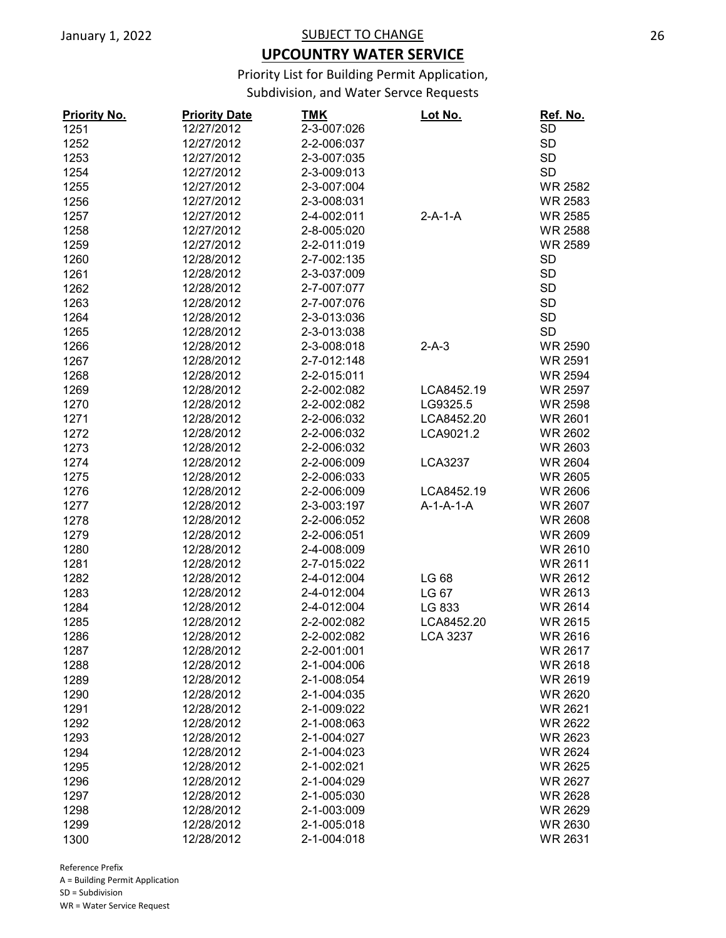## **UPCOUNTRY WATER SERVICE**

Priority List for Building Permit Application,

Subdivision, and Water Servce Requests

| <b>Priority No.</b> | <b>Priority Date</b> | <u>TMK</u>  | <u>Lot No.</u>  | Ref. No.       |
|---------------------|----------------------|-------------|-----------------|----------------|
| 1251                | 12/27/2012           | 2-3-007:026 |                 | SD             |
| 1252                | 12/27/2012           | 2-2-006:037 |                 | <b>SD</b>      |
| 1253                | 12/27/2012           | 2-3-007:035 |                 | <b>SD</b>      |
| 1254                | 12/27/2012           | 2-3-009:013 |                 | <b>SD</b>      |
| 1255                | 12/27/2012           | 2-3-007:004 |                 | <b>WR 2582</b> |
| 1256                | 12/27/2012           | 2-3-008:031 |                 | <b>WR 2583</b> |
| 1257                | 12/27/2012           | 2-4-002:011 | $2-A-1-A$       | <b>WR 2585</b> |
| 1258                | 12/27/2012           | 2-8-005:020 |                 | <b>WR 2588</b> |
| 1259                | 12/27/2012           | 2-2-011:019 |                 | <b>WR 2589</b> |
| 1260                | 12/28/2012           | 2-7-002:135 |                 | <b>SD</b>      |
| 1261                | 12/28/2012           | 2-3-037:009 |                 | <b>SD</b>      |
| 1262                | 12/28/2012           | 2-7-007:077 |                 | <b>SD</b>      |
| 1263                | 12/28/2012           | 2-7-007:076 |                 | <b>SD</b>      |
| 1264                | 12/28/2012           | 2-3-013:036 |                 | <b>SD</b>      |
| 1265                | 12/28/2012           | 2-3-013:038 |                 | <b>SD</b>      |
| 1266                | 12/28/2012           | 2-3-008:018 | $2-A-3$         | <b>WR 2590</b> |
| 1267                | 12/28/2012           | 2-7-012:148 |                 | <b>WR 2591</b> |
| 1268                | 12/28/2012           | 2-2-015:011 |                 | <b>WR 2594</b> |
|                     | 12/28/2012           | 2-2-002:082 | LCA8452.19      | <b>WR 2597</b> |
| 1269                |                      |             |                 |                |
| 1270                | 12/28/2012           | 2-2-002:082 | LG9325.5        | <b>WR 2598</b> |
| 1271                | 12/28/2012           | 2-2-006:032 | LCA8452.20      | <b>WR 2601</b> |
| 1272                | 12/28/2012           | 2-2-006:032 | LCA9021.2       | <b>WR 2602</b> |
| 1273                | 12/28/2012           | 2-2-006:032 |                 | <b>WR 2603</b> |
| 1274                | 12/28/2012           | 2-2-006:009 | <b>LCA3237</b>  | <b>WR 2604</b> |
| 1275                | 12/28/2012           | 2-2-006:033 |                 | <b>WR 2605</b> |
| 1276                | 12/28/2012           | 2-2-006:009 | LCA8452.19      | <b>WR 2606</b> |
| 1277                | 12/28/2012           | 2-3-003:197 | $A-1-A-1-A$     | <b>WR 2607</b> |
| 1278                | 12/28/2012           | 2-2-006:052 |                 | <b>WR 2608</b> |
| 1279                | 12/28/2012           | 2-2-006:051 |                 | <b>WR 2609</b> |
| 1280                | 12/28/2012           | 2-4-008:009 |                 | WR 2610        |
| 1281                | 12/28/2012           | 2-7-015:022 |                 | WR 2611        |
| 1282                | 12/28/2012           | 2-4-012:004 | LG 68           | <b>WR 2612</b> |
| 1283                | 12/28/2012           | 2-4-012:004 | LG 67           | WR 2613        |
| 1284                | 12/28/2012           | 2-4-012:004 | LG 833          | <b>WR 2614</b> |
| 1285                | 12/28/2012           | 2-2-002:082 | LCA8452.20      | <b>WR 2615</b> |
| 1286                | 12/28/2012           | 2-2-002:082 | <b>LCA 3237</b> | <b>WR 2616</b> |
| 1287                | 12/28/2012           | 2-2-001:001 |                 | <b>WR 2617</b> |
| 1288                | 12/28/2012           | 2-1-004:006 |                 | <b>WR 2618</b> |
| 1289                | 12/28/2012           | 2-1-008:054 |                 | <b>WR 2619</b> |
| 1290                | 12/28/2012           | 2-1-004:035 |                 | <b>WR 2620</b> |
| 1291                | 12/28/2012           | 2-1-009:022 |                 | <b>WR 2621</b> |
| 1292                | 12/28/2012           | 2-1-008:063 |                 | <b>WR 2622</b> |
| 1293                | 12/28/2012           | 2-1-004:027 |                 | WR 2623        |
| 1294                | 12/28/2012           | 2-1-004:023 |                 | <b>WR 2624</b> |
| 1295                | 12/28/2012           | 2-1-002:021 |                 | <b>WR 2625</b> |
| 1296                | 12/28/2012           | 2-1-004:029 |                 | WR 2627        |
| 1297                | 12/28/2012           | 2-1-005:030 |                 | <b>WR 2628</b> |
| 1298                | 12/28/2012           | 2-1-003:009 |                 | WR 2629        |
|                     |                      |             |                 |                |
| 1299                | 12/28/2012           | 2-1-005:018 |                 | WR 2630        |
| 1300                | 12/28/2012           | 2-1-004:018 |                 | WR 2631        |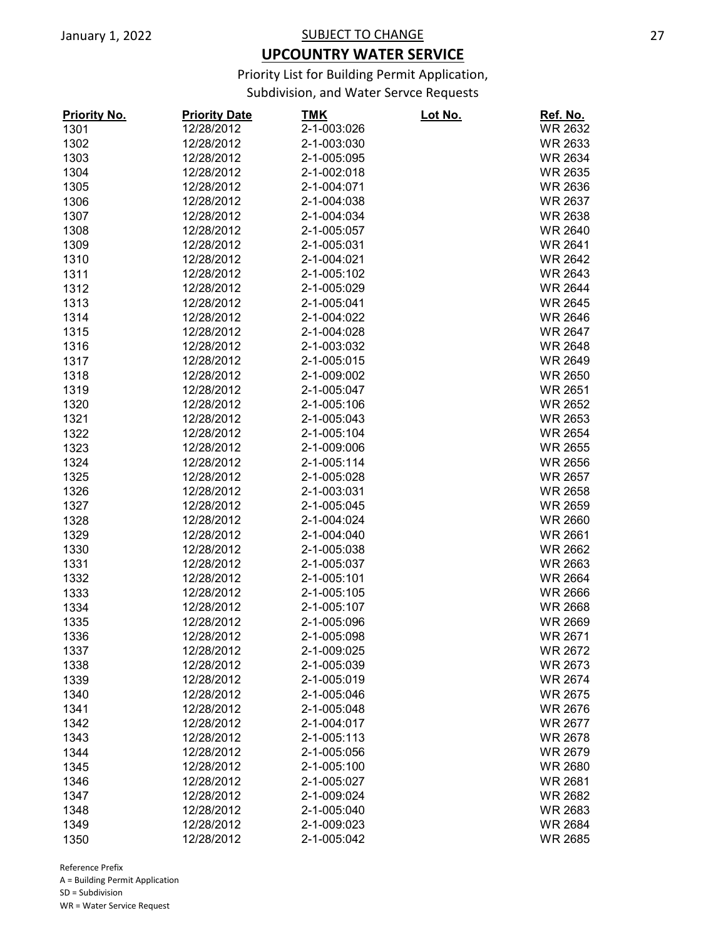## **UPCOUNTRY WATER SERVICE**

Priority List for Building Permit Application,

Subdivision, and Water Servce Requests

| <b>Priority No.</b> | <b>Priority Date</b> | <u>TMK</u>  | <u>Lot No.</u> | Ref. No.       |
|---------------------|----------------------|-------------|----------------|----------------|
| 1301                | 12/28/2012           | 2-1-003:026 |                | <b>WR 2632</b> |
| 1302                | 12/28/2012           | 2-1-003:030 |                | <b>WR 2633</b> |
| 1303                | 12/28/2012           | 2-1-005:095 |                | <b>WR 2634</b> |
| 1304                | 12/28/2012           | 2-1-002:018 |                | <b>WR 2635</b> |
| 1305                | 12/28/2012           | 2-1-004:071 |                | <b>WR 2636</b> |
| 1306                | 12/28/2012           | 2-1-004:038 |                | <b>WR 2637</b> |
| 1307                | 12/28/2012           | 2-1-004:034 |                | <b>WR 2638</b> |
| 1308                | 12/28/2012           | 2-1-005:057 |                | <b>WR 2640</b> |
| 1309                | 12/28/2012           | 2-1-005:031 |                | <b>WR 2641</b> |
| 1310                | 12/28/2012           | 2-1-004:021 |                | <b>WR 2642</b> |
| 1311                | 12/28/2012           | 2-1-005:102 |                | <b>WR 2643</b> |
| 1312                | 12/28/2012           | 2-1-005:029 |                | <b>WR 2644</b> |
| 1313                | 12/28/2012           | 2-1-005:041 |                | <b>WR 2645</b> |
| 1314                | 12/28/2012           | 2-1-004:022 |                | <b>WR 2646</b> |
| 1315                | 12/28/2012           | 2-1-004:028 |                | <b>WR 2647</b> |
| 1316                | 12/28/2012           | 2-1-003:032 |                | <b>WR 2648</b> |
| 1317                | 12/28/2012           | 2-1-005:015 |                | <b>WR 2649</b> |
| 1318                | 12/28/2012           | 2-1-009:002 |                | <b>WR 2650</b> |
| 1319                | 12/28/2012           | 2-1-005:047 |                | <b>WR 2651</b> |
| 1320                | 12/28/2012           | 2-1-005:106 |                | <b>WR 2652</b> |
| 1321                | 12/28/2012           | 2-1-005:043 |                | <b>WR 2653</b> |
| 1322                | 12/28/2012           | 2-1-005:104 |                | <b>WR 2654</b> |
| 1323                | 12/28/2012           | 2-1-009:006 |                | <b>WR 2655</b> |
|                     |                      |             |                |                |
| 1324                | 12/28/2012           | 2-1-005:114 |                | <b>WR 2656</b> |
| 1325                | 12/28/2012           | 2-1-005:028 |                | <b>WR 2657</b> |
| 1326                | 12/28/2012           | 2-1-003:031 |                | <b>WR 2658</b> |
| 1327                | 12/28/2012           | 2-1-005:045 |                | <b>WR 2659</b> |
| 1328                | 12/28/2012           | 2-1-004:024 |                | <b>WR 2660</b> |
| 1329                | 12/28/2012           | 2-1-004:040 |                | <b>WR 2661</b> |
| 1330                | 12/28/2012           | 2-1-005:038 |                | <b>WR 2662</b> |
| 1331                | 12/28/2012           | 2-1-005:037 |                | <b>WR 2663</b> |
| 1332                | 12/28/2012           | 2-1-005:101 |                | <b>WR 2664</b> |
| 1333                | 12/28/2012           | 2-1-005:105 |                | <b>WR 2666</b> |
| 1334                | 12/28/2012           | 2-1-005:107 |                | <b>WR 2668</b> |
| 1335                | 12/28/2012           | 2-1-005:096 |                | <b>WR 2669</b> |
| 1336                | 12/28/2012           | 2-1-005:098 |                | <b>WR 2671</b> |
| 1337                | 12/28/2012           | 2-1-009:025 |                | <b>WR 2672</b> |
| 1338                | 12/28/2012           | 2-1-005:039 |                | WR 2673        |
| 1339                | 12/28/2012           | 2-1-005:019 |                | <b>WR 2674</b> |
| 1340                | 12/28/2012           | 2-1-005:046 |                | <b>WR 2675</b> |
| 1341                | 12/28/2012           | 2-1-005:048 |                | <b>WR 2676</b> |
| 1342                | 12/28/2012           | 2-1-004:017 |                | <b>WR 2677</b> |
| 1343                | 12/28/2012           | 2-1-005:113 |                | <b>WR 2678</b> |
| 1344                | 12/28/2012           | 2-1-005:056 |                | WR 2679        |
| 1345                | 12/28/2012           | 2-1-005:100 |                | <b>WR 2680</b> |
| 1346                | 12/28/2012           | 2-1-005:027 |                | <b>WR 2681</b> |
| 1347                | 12/28/2012           | 2-1-009:024 |                | <b>WR 2682</b> |
| 1348                | 12/28/2012           | 2-1-005:040 |                | <b>WR 2683</b> |
| 1349                | 12/28/2012           | 2-1-009:023 |                | <b>WR 2684</b> |
| 1350                | 12/28/2012           | 2-1-005:042 |                | <b>WR 2685</b> |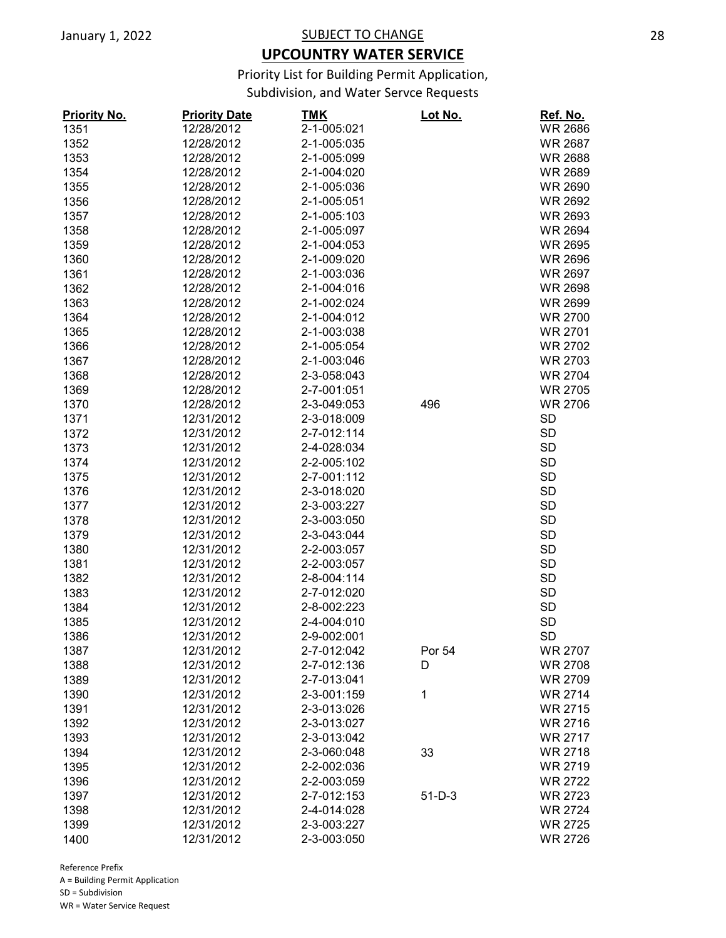## **UPCOUNTRY WATER SERVICE**

Priority List for Building Permit Application,

Subdivision, and Water Servce Requests

| <b>Priority No.</b> | <b>Priority Date</b> | <u>TMK</u>  | Lot No.  | Ref. No.       |
|---------------------|----------------------|-------------|----------|----------------|
| 1351                | 12/28/2012           | 2-1-005:021 |          | <b>WR 2686</b> |
| 1352                | 12/28/2012           | 2-1-005:035 |          | <b>WR 2687</b> |
| 1353                | 12/28/2012           | 2-1-005:099 |          | <b>WR 2688</b> |
| 1354                | 12/28/2012           | 2-1-004:020 |          | <b>WR 2689</b> |
| 1355                | 12/28/2012           | 2-1-005:036 |          | <b>WR 2690</b> |
| 1356                | 12/28/2012           | 2-1-005:051 |          | <b>WR 2692</b> |
| 1357                | 12/28/2012           | 2-1-005:103 |          | <b>WR 2693</b> |
| 1358                | 12/28/2012           | 2-1-005:097 |          | <b>WR 2694</b> |
| 1359                | 12/28/2012           | 2-1-004:053 |          | <b>WR 2695</b> |
| 1360                | 12/28/2012           | 2-1-009:020 |          | <b>WR 2696</b> |
| 1361                | 12/28/2012           | 2-1-003:036 |          | WR 2697        |
| 1362                | 12/28/2012           | 2-1-004:016 |          | <b>WR 2698</b> |
| 1363                | 12/28/2012           | 2-1-002:024 |          | <b>WR 2699</b> |
| 1364                | 12/28/2012           | 2-1-004:012 |          | <b>WR 2700</b> |
| 1365                | 12/28/2012           | 2-1-003:038 |          | <b>WR 2701</b> |
| 1366                | 12/28/2012           | 2-1-005:054 |          | <b>WR 2702</b> |
| 1367                | 12/28/2012           | 2-1-003:046 |          | <b>WR 2703</b> |
| 1368                | 12/28/2012           | 2-3-058:043 |          | <b>WR 2704</b> |
| 1369                | 12/28/2012           | 2-7-001:051 |          | <b>WR 2705</b> |
| 1370                | 12/28/2012           | 2-3-049:053 | 496      | <b>WR 2706</b> |
| 1371                | 12/31/2012           | 2-3-018:009 |          | <b>SD</b>      |
| 1372                | 12/31/2012           | 2-7-012:114 |          | <b>SD</b>      |
|                     |                      |             |          |                |
| 1373                | 12/31/2012           | 2-4-028:034 |          | <b>SD</b>      |
| 1374                | 12/31/2012           | 2-2-005:102 |          | <b>SD</b>      |
| 1375                | 12/31/2012           | 2-7-001:112 |          | <b>SD</b>      |
| 1376                | 12/31/2012           | 2-3-018:020 |          | <b>SD</b>      |
| 1377                | 12/31/2012           | 2-3-003:227 |          | <b>SD</b>      |
| 1378                | 12/31/2012           | 2-3-003:050 |          | <b>SD</b>      |
| 1379                | 12/31/2012           | 2-3-043:044 |          | <b>SD</b>      |
| 1380                | 12/31/2012           | 2-2-003:057 |          | <b>SD</b>      |
| 1381                | 12/31/2012           | 2-2-003:057 |          | <b>SD</b>      |
| 1382                | 12/31/2012           | 2-8-004:114 |          | <b>SD</b>      |
| 1383                | 12/31/2012           | 2-7-012:020 |          | <b>SD</b>      |
| 1384                | 12/31/2012           | 2-8-002:223 |          | <b>SD</b>      |
| 1385                | 12/31/2012           | 2-4-004:010 |          | <b>SD</b>      |
| 1386                | 12/31/2012           | 2-9-002:001 |          | <b>SD</b>      |
| 1387                | 12/31/2012           | 2-7-012:042 | Por 54   | WR 2707        |
| 1388                | 12/31/2012           | 2-7-012:136 | D        | <b>WR 2708</b> |
| 1389                | 12/31/2012           | 2-7-013:041 |          | <b>WR 2709</b> |
| 1390                | 12/31/2012           | 2-3-001:159 | 1        | <b>WR 2714</b> |
| 1391                | 12/31/2012           | 2-3-013:026 |          | <b>WR 2715</b> |
| 1392                | 12/31/2012           | 2-3-013:027 |          | <b>WR 2716</b> |
| 1393                | 12/31/2012           | 2-3-013:042 |          | <b>WR 2717</b> |
| 1394                | 12/31/2012           | 2-3-060:048 | 33       | <b>WR 2718</b> |
| 1395                | 12/31/2012           | 2-2-002:036 |          | <b>WR 2719</b> |
| 1396                | 12/31/2012           | 2-2-003:059 |          | <b>WR 2722</b> |
| 1397                | 12/31/2012           | 2-7-012:153 | $51-D-3$ | WR 2723        |
| 1398                | 12/31/2012           | 2-4-014:028 |          | <b>WR 2724</b> |
| 1399                | 12/31/2012           | 2-3-003:227 |          | <b>WR 2725</b> |
| 1400                | 12/31/2012           | 2-3-003:050 |          | <b>WR 2726</b> |
|                     |                      |             |          |                |